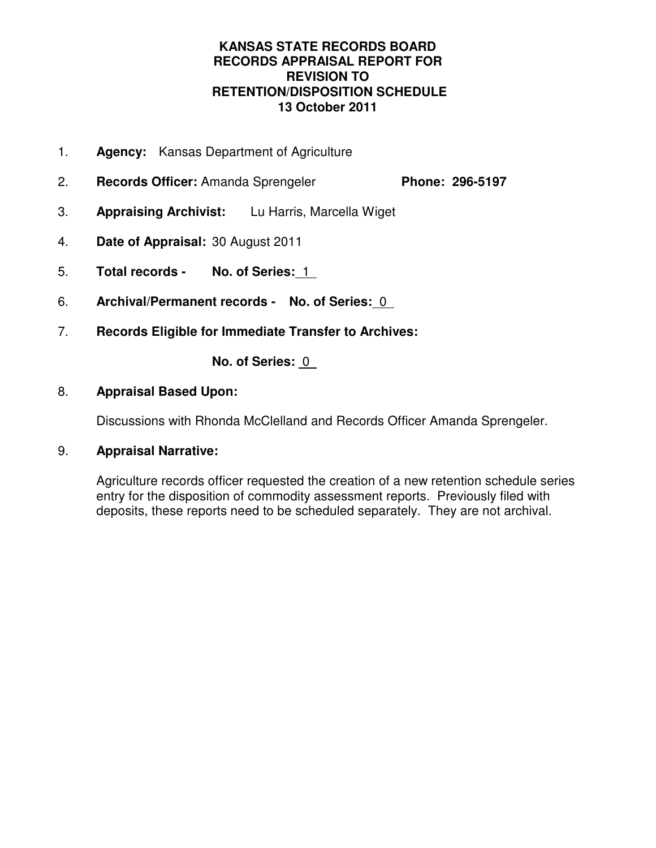## **KANSAS STATE RECORDS BOARD RECORDS APPRAISAL REPORT FOR REVISION TO RETENTION/DISPOSITION SCHEDULE 13 October 2011**

- 1. **Agency:** Kansas Department of Agriculture
- 2. **Records Officer:** Amanda Sprengeler **Phone: 296-5197**
- 3. **Appraising Archivist:** Lu Harris, Marcella Wiget
- 4. **Date of Appraisal:** 30 August 2011
- 5. **Total records No. of Series:** 1
- 6. **Archival/Permanent records No. of Series:** 0
- 7. **Records Eligible for Immediate Transfer to Archives:**

**No. of Series:** 0

## 8. **Appraisal Based Upon:**

Discussions with Rhonda McClelland and Records Officer Amanda Sprengeler.

## 9. **Appraisal Narrative:**

Agriculture records officer requested the creation of a new retention schedule series entry for the disposition of commodity assessment reports. Previously filed with deposits, these reports need to be scheduled separately. They are not archival.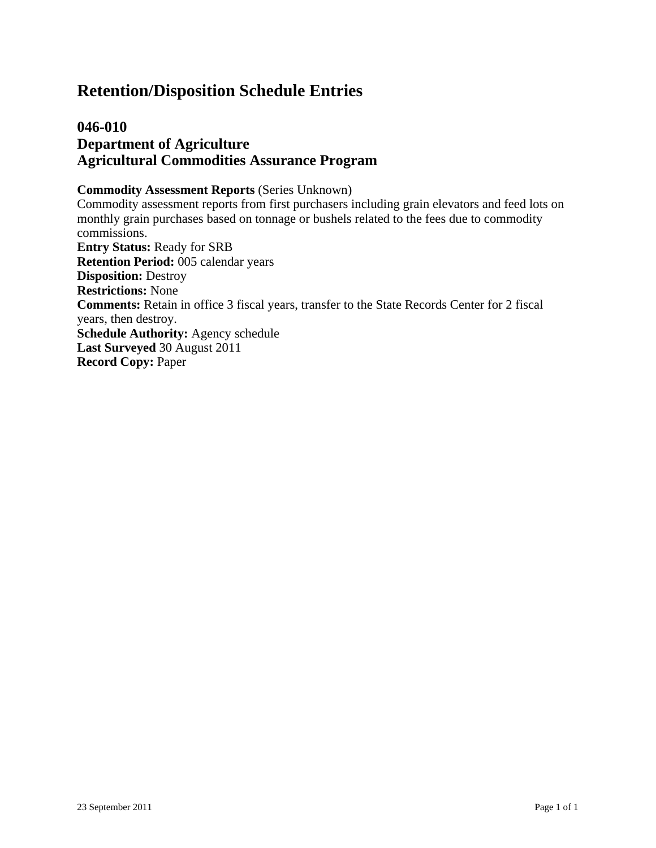## **Retention/Disposition Schedule Entries**

## **046-010 Department of Agriculture Agricultural Commodities Assurance Program**

#### **Commodity Assessment Reports** (Series Unknown)

Commodity assessment reports from first purchasers including grain elevators and feed lots on monthly grain purchases based on tonnage or bushels related to the fees due to commodity commissions. **Entry Status:** Ready for SRB **Retention Period:** 005 calendar years **Disposition:** Destroy **Restrictions:** None **Comments:** Retain in office 3 fiscal years, transfer to the State Records Center for 2 fiscal years, then destroy. **Schedule Authority:** Agency schedule **Last Surveyed** 30 August 2011 **Record Copy:** Paper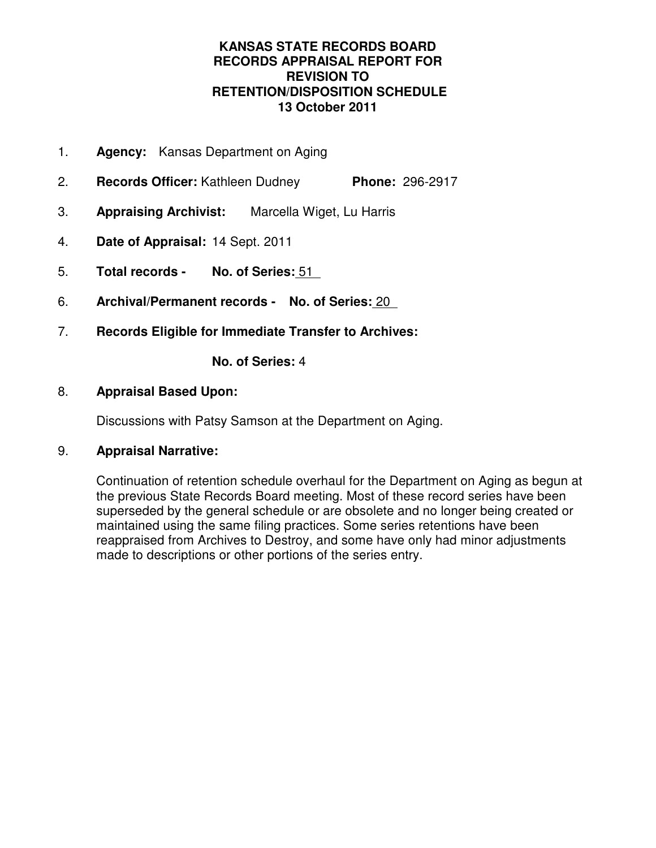## **KANSAS STATE RECORDS BOARD RECORDS APPRAISAL REPORT FOR REVISION TO RETENTION/DISPOSITION SCHEDULE 13 October 2011**

- 1. **Agency:** Kansas Department on Aging
- 2. **Records Officer:** Kathleen Dudney **Phone:** 296-2917
- 3. **Appraising Archivist:** Marcella Wiget, Lu Harris
- 4. **Date of Appraisal:** 14 Sept. 2011
- 5. **Total records No. of Series:** 51
- 6. **Archival/Permanent records No. of Series:** 20
- 7. **Records Eligible for Immediate Transfer to Archives:**

**No. of Series:** 4

## 8. **Appraisal Based Upon:**

Discussions with Patsy Samson at the Department on Aging.

## 9. **Appraisal Narrative:**

Continuation of retention schedule overhaul for the Department on Aging as begun at the previous State Records Board meeting. Most of these record series have been superseded by the general schedule or are obsolete and no longer being created or maintained using the same filing practices. Some series retentions have been reappraised from Archives to Destroy, and some have only had minor adjustments made to descriptions or other portions of the series entry.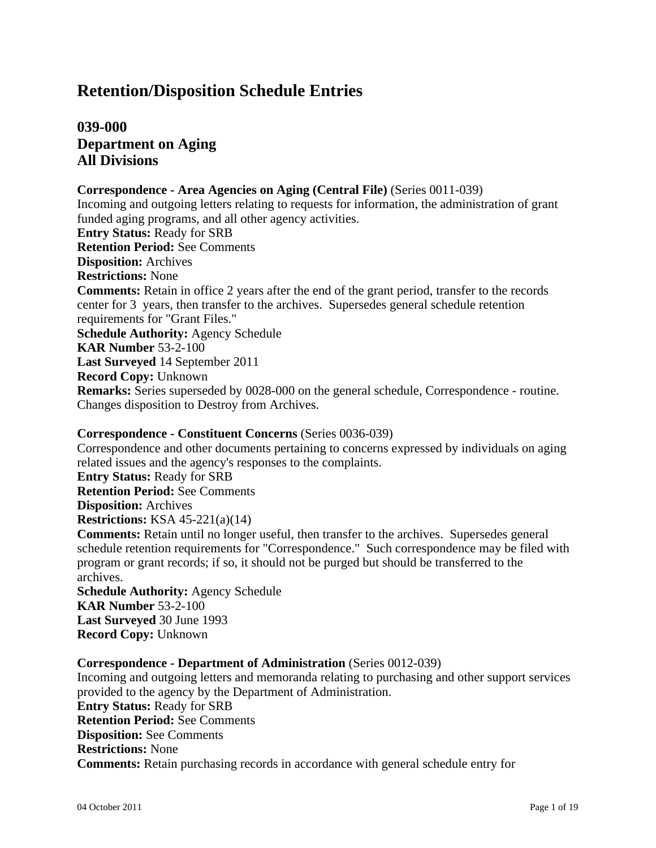## **Retention/Disposition Schedule Entries**

## **039-000 Department on Aging All Divisions**

#### **Correspondence - Area Agencies on Aging (Central File)** (Series 0011-039)

Incoming and outgoing letters relating to requests for information, the administration of grant funded aging programs, and all other agency activities. **Entry Status:** Ready for SRB **Retention Period:** See Comments **Disposition:** Archives **Restrictions:** None **Comments:** Retain in office 2 years after the end of the grant period, transfer to the records center for 3 years, then transfer to the archives. Supersedes general schedule retention requirements for "Grant Files." **Schedule Authority:** Agency Schedule **KAR Number** 53-2-100 **Last Surveyed** 14 September 2011 **Record Copy:** Unknown **Remarks:** Series superseded by 0028-000 on the general schedule, Correspondence - routine. Changes disposition to Destroy from Archives.

## **Correspondence - Constituent Concerns** (Series 0036-039)

Correspondence and other documents pertaining to concerns expressed by individuals on aging related issues and the agency's responses to the complaints.

**Entry Status:** Ready for SRB **Retention Period:** See Comments

**Disposition:** Archives

**Restrictions:** KSA 45-221(a)(14)

**Comments:** Retain until no longer useful, then transfer to the archives. Supersedes general schedule retention requirements for "Correspondence." Such correspondence may be filed with program or grant records; if so, it should not be purged but should be transferred to the archives.

**Schedule Authority:** Agency Schedule **KAR Number** 53-2-100 **Last Surveyed** 30 June 1993 **Record Copy:** Unknown

## **Correspondence - Department of Administration** (Series 0012-039)

Incoming and outgoing letters and memoranda relating to purchasing and other support services provided to the agency by the Department of Administration. **Entry Status:** Ready for SRB **Retention Period:** See Comments **Disposition:** See Comments **Restrictions:** None **Comments:** Retain purchasing records in accordance with general schedule entry for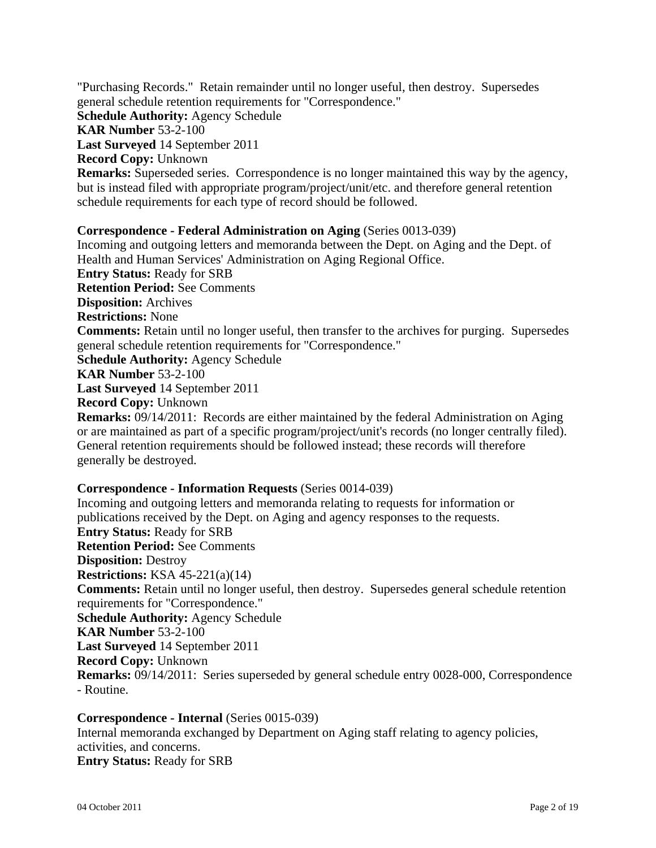"Purchasing Records." Retain remainder until no longer useful, then destroy. Supersedes general schedule retention requirements for "Correspondence." **Schedule Authority:** Agency Schedule **KAR Number** 53-2-100 **Last Surveyed** 14 September 2011 **Record Copy:** Unknown **Remarks:** Superseded series. Correspondence is no longer maintained this way by the agency, but is instead filed with appropriate program/project/unit/etc. and therefore general retention schedule requirements for each type of record should be followed.

#### **Correspondence - Federal Administration on Aging** (Series 0013-039)

Incoming and outgoing letters and memoranda between the Dept. on Aging and the Dept. of Health and Human Services' Administration on Aging Regional Office. **Entry Status:** Ready for SRB **Retention Period:** See Comments **Disposition:** Archives **Restrictions:** None **Comments:** Retain until no longer useful, then transfer to the archives for purging. Supersedes general schedule retention requirements for "Correspondence." **Schedule Authority:** Agency Schedule **KAR Number** 53-2-100 **Last Surveyed** 14 September 2011 **Record Copy:** Unknown **Remarks:** 09/14/2011: Records are either maintained by the federal Administration on Aging

or are maintained as part of a specific program/project/unit's records (no longer centrally filed). General retention requirements should be followed instead; these records will therefore generally be destroyed.

#### **Correspondence - Information Requests** (Series 0014-039)

Incoming and outgoing letters and memoranda relating to requests for information or publications received by the Dept. on Aging and agency responses to the requests. **Entry Status:** Ready for SRB **Retention Period:** See Comments **Disposition:** Destroy **Restrictions:** KSA 45-221(a)(14) **Comments:** Retain until no longer useful, then destroy. Supersedes general schedule retention requirements for "Correspondence." **Schedule Authority:** Agency Schedule **KAR Number** 53-2-100 **Last Surveyed** 14 September 2011 **Record Copy:** Unknown **Remarks:** 09/14/2011: Series superseded by general schedule entry 0028-000, Correspondence - Routine.

**Correspondence - Internal** (Series 0015-039) Internal memoranda exchanged by Department on Aging staff relating to agency policies, activities, and concerns. **Entry Status:** Ready for SRB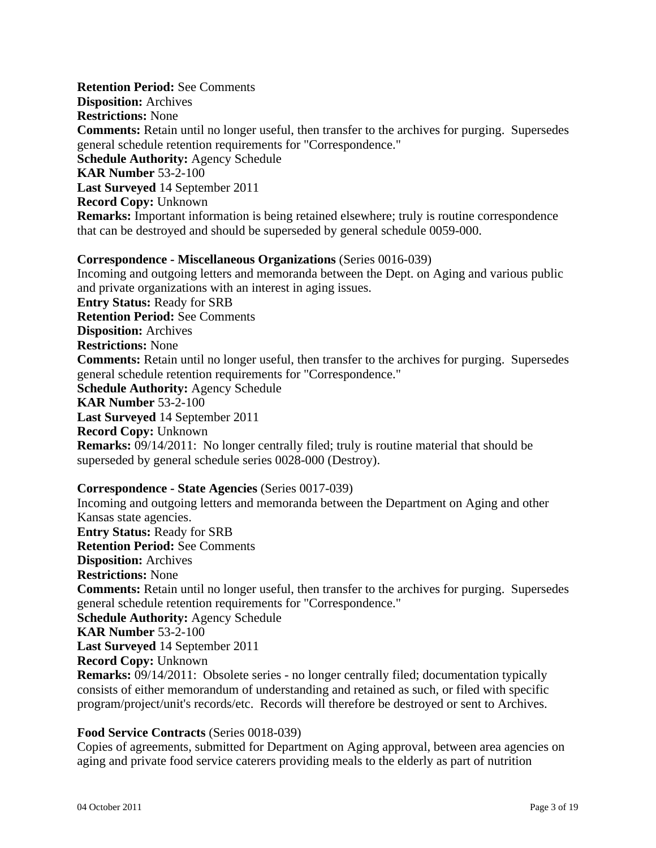**Retention Period:** See Comments **Disposition:** Archives **Restrictions:** None **Comments:** Retain until no longer useful, then transfer to the archives for purging. Supersedes general schedule retention requirements for "Correspondence." **Schedule Authority:** Agency Schedule **KAR Number** 53-2-100 **Last Surveyed** 14 September 2011 **Record Copy:** Unknown **Remarks:** Important information is being retained elsewhere; truly is routine correspondence that can be destroyed and should be superseded by general schedule 0059-000.

#### **Correspondence - Miscellaneous Organizations** (Series 0016-039)

Incoming and outgoing letters and memoranda between the Dept. on Aging and various public and private organizations with an interest in aging issues. **Entry Status:** Ready for SRB **Retention Period:** See Comments **Disposition:** Archives **Restrictions:** None **Comments:** Retain until no longer useful, then transfer to the archives for purging. Supersedes general schedule retention requirements for "Correspondence." **Schedule Authority:** Agency Schedule **KAR Number** 53-2-100 **Last Surveyed** 14 September 2011 **Record Copy:** Unknown **Remarks:** 09/14/2011: No longer centrally filed; truly is routine material that should be superseded by general schedule series 0028-000 (Destroy).

#### **Correspondence - State Agencies** (Series 0017-039)

Incoming and outgoing letters and memoranda between the Department on Aging and other Kansas state agencies. **Entry Status:** Ready for SRB **Retention Period:** See Comments **Disposition:** Archives **Restrictions:** None **Comments:** Retain until no longer useful, then transfer to the archives for purging. Supersedes general schedule retention requirements for "Correspondence." **Schedule Authority:** Agency Schedule **KAR Number** 53-2-100 **Last Surveyed** 14 September 2011 **Record Copy:** Unknown **Remarks:** 09/14/2011: Obsolete series - no longer centrally filed; documentation typically consists of either memorandum of understanding and retained as such, or filed with specific program/project/unit's records/etc. Records will therefore be destroyed or sent to Archives.

#### **Food Service Contracts** (Series 0018-039)

Copies of agreements, submitted for Department on Aging approval, between area agencies on aging and private food service caterers providing meals to the elderly as part of nutrition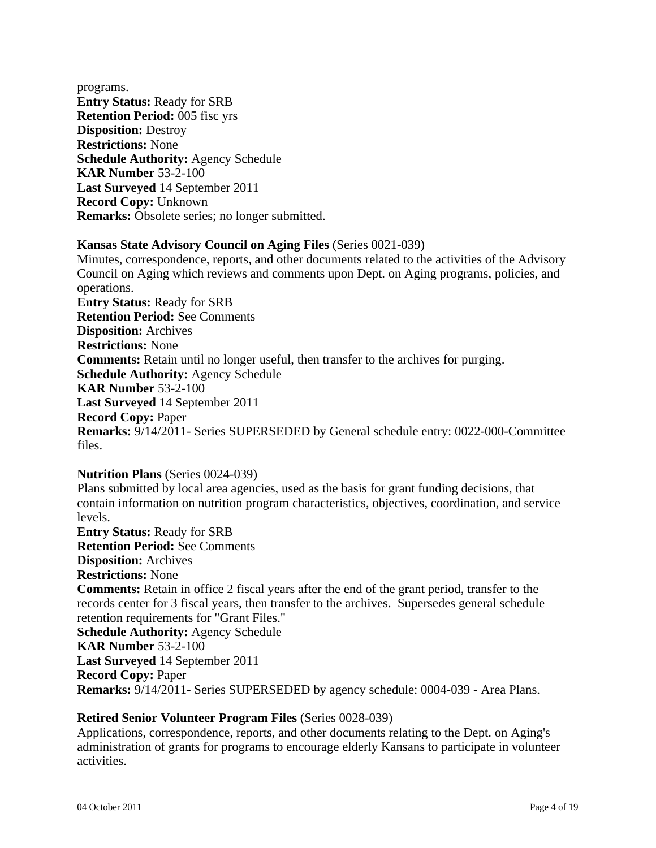programs. **Entry Status:** Ready for SRB **Retention Period:** 005 fisc yrs **Disposition:** Destroy **Restrictions:** None **Schedule Authority:** Agency Schedule **KAR Number** 53-2-100 **Last Surveyed** 14 September 2011 **Record Copy:** Unknown **Remarks:** Obsolete series; no longer submitted.

## **Kansas State Advisory Council on Aging Files** (Series 0021-039)

Minutes, correspondence, reports, and other documents related to the activities of the Advisory Council on Aging which reviews and comments upon Dept. on Aging programs, policies, and operations.

**Entry Status:** Ready for SRB **Retention Period:** See Comments **Disposition:** Archives **Restrictions:** None **Comments:** Retain until no longer useful, then transfer to the archives for purging. **Schedule Authority:** Agency Schedule **KAR Number** 53-2-100 **Last Surveyed** 14 September 2011 **Record Copy:** Paper **Remarks:** 9/14/2011- Series SUPERSEDED by General schedule entry: 0022-000-Committee files.

## **Nutrition Plans** (Series 0024-039)

Plans submitted by local area agencies, used as the basis for grant funding decisions, that contain information on nutrition program characteristics, objectives, coordination, and service levels. **Entry Status:** Ready for SRB **Retention Period:** See Comments **Disposition:** Archives **Restrictions:** None **Comments:** Retain in office 2 fiscal years after the end of the grant period, transfer to the records center for 3 fiscal years, then transfer to the archives. Supersedes general schedule retention requirements for "Grant Files." **Schedule Authority:** Agency Schedule **KAR Number** 53-2-100 **Last Surveyed** 14 September 2011 **Record Copy:** Paper **Remarks:** 9/14/2011- Series SUPERSEDED by agency schedule: 0004-039 - Area Plans.

## **Retired Senior Volunteer Program Files** (Series 0028-039)

Applications, correspondence, reports, and other documents relating to the Dept. on Aging's administration of grants for programs to encourage elderly Kansans to participate in volunteer activities.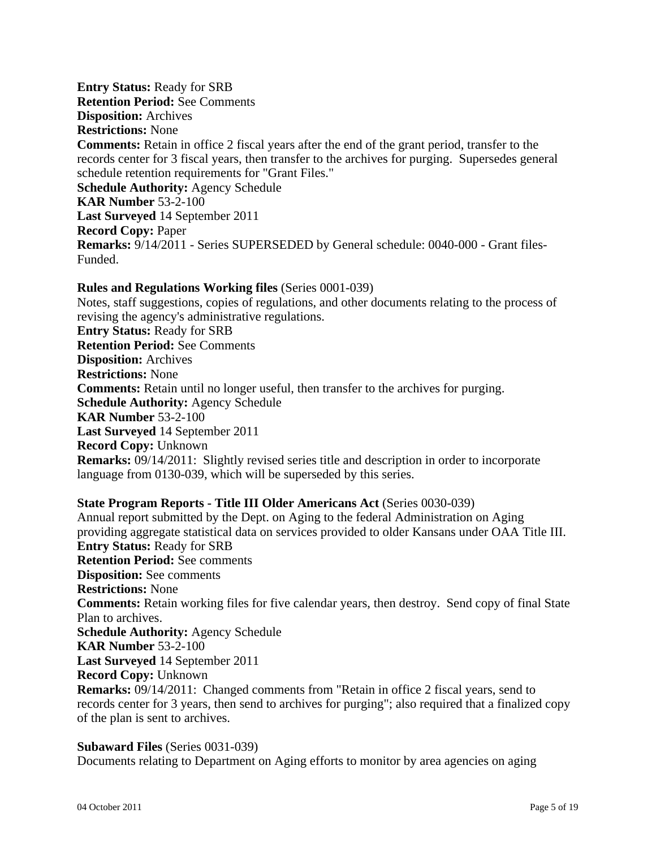## **Entry Status:** Ready for SRB **Retention Period:** See Comments **Disposition:** Archives **Restrictions:** None **Comments:** Retain in office 2 fiscal years after the end of the grant period, transfer to the records center for 3 fiscal years, then transfer to the archives for purging. Supersedes general schedule retention requirements for "Grant Files." **Schedule Authority:** Agency Schedule **KAR Number** 53-2-100 **Last Surveyed** 14 September 2011 **Record Copy:** Paper **Remarks:** 9/14/2011 - Series SUPERSEDED by General schedule: 0040-000 - Grant files-Funded.

## **Rules and Regulations Working files** (Series 0001-039)

Notes, staff suggestions, copies of regulations, and other documents relating to the process of revising the agency's administrative regulations. **Entry Status:** Ready for SRB **Retention Period:** See Comments **Disposition:** Archives **Restrictions:** None **Comments:** Retain until no longer useful, then transfer to the archives for purging. **Schedule Authority:** Agency Schedule **KAR Number** 53-2-100 **Last Surveyed** 14 September 2011 **Record Copy:** Unknown **Remarks:** 09/14/2011: Slightly revised series title and description in order to incorporate language from 0130-039, which will be superseded by this series.

## **State Program Reports - Title III Older Americans Act** (Series 0030-039)

Annual report submitted by the Dept. on Aging to the federal Administration on Aging providing aggregate statistical data on services provided to older Kansans under OAA Title III. **Entry Status:** Ready for SRB **Retention Period:** See comments **Disposition:** See comments **Restrictions:** None **Comments:** Retain working files for five calendar years, then destroy. Send copy of final State Plan to archives. **Schedule Authority:** Agency Schedule **KAR Number** 53-2-100 **Last Surveyed** 14 September 2011 **Record Copy:** Unknown **Remarks:** 09/14/2011: Changed comments from "Retain in office 2 fiscal years, send to records center for 3 years, then send to archives for purging"; also required that a finalized copy of the plan is sent to archives.

#### **Subaward Files** (Series 0031-039)

Documents relating to Department on Aging efforts to monitor by area agencies on aging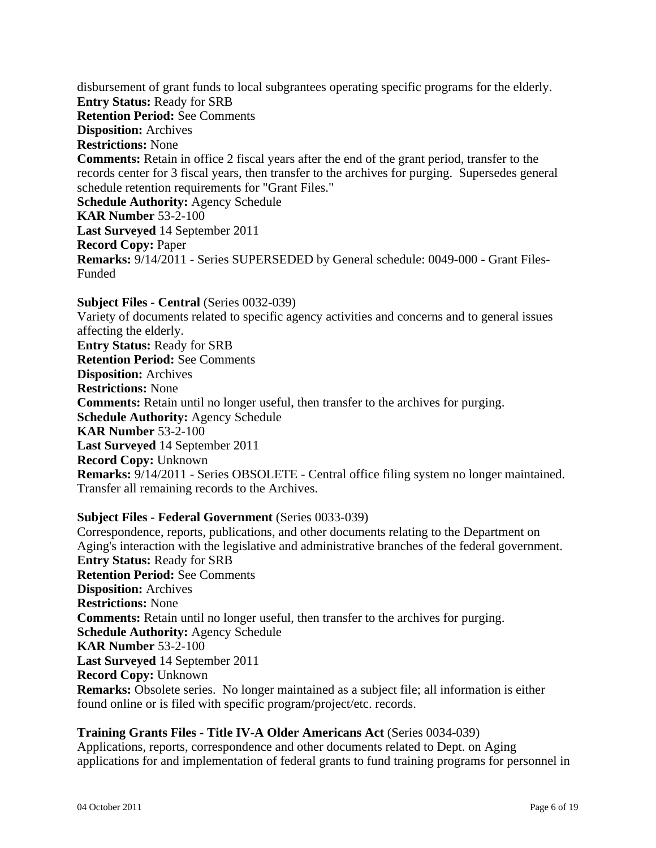disbursement of grant funds to local subgrantees operating specific programs for the elderly. **Entry Status:** Ready for SRB **Retention Period:** See Comments **Disposition:** Archives **Restrictions:** None **Comments:** Retain in office 2 fiscal years after the end of the grant period, transfer to the records center for 3 fiscal years, then transfer to the archives for purging. Supersedes general schedule retention requirements for "Grant Files." **Schedule Authority:** Agency Schedule **KAR Number** 53-2-100 **Last Surveyed** 14 September 2011 **Record Copy:** Paper **Remarks:** 9/14/2011 - Series SUPERSEDED by General schedule: 0049-000 - Grant Files-Funded

**Subject Files - Central** (Series 0032-039) Variety of documents related to specific agency activities and concerns and to general issues affecting the elderly. **Entry Status:** Ready for SRB **Retention Period:** See Comments **Disposition:** Archives **Restrictions:** None **Comments:** Retain until no longer useful, then transfer to the archives for purging. **Schedule Authority:** Agency Schedule **KAR Number** 53-2-100 **Last Surveyed** 14 September 2011 **Record Copy:** Unknown **Remarks:** 9/14/2011 - Series OBSOLETE - Central office filing system no longer maintained. Transfer all remaining records to the Archives.

## **Subject Files - Federal Government** (Series 0033-039)

Correspondence, reports, publications, and other documents relating to the Department on Aging's interaction with the legislative and administrative branches of the federal government. **Entry Status:** Ready for SRB **Retention Period:** See Comments **Disposition:** Archives **Restrictions:** None **Comments:** Retain until no longer useful, then transfer to the archives for purging. **Schedule Authority:** Agency Schedule **KAR Number** 53-2-100 **Last Surveyed** 14 September 2011 **Record Copy:** Unknown **Remarks:** Obsolete series. No longer maintained as a subject file; all information is either found online or is filed with specific program/project/etc. records.

#### **Training Grants Files - Title IV-A Older Americans Act** (Series 0034-039)

Applications, reports, correspondence and other documents related to Dept. on Aging applications for and implementation of federal grants to fund training programs for personnel in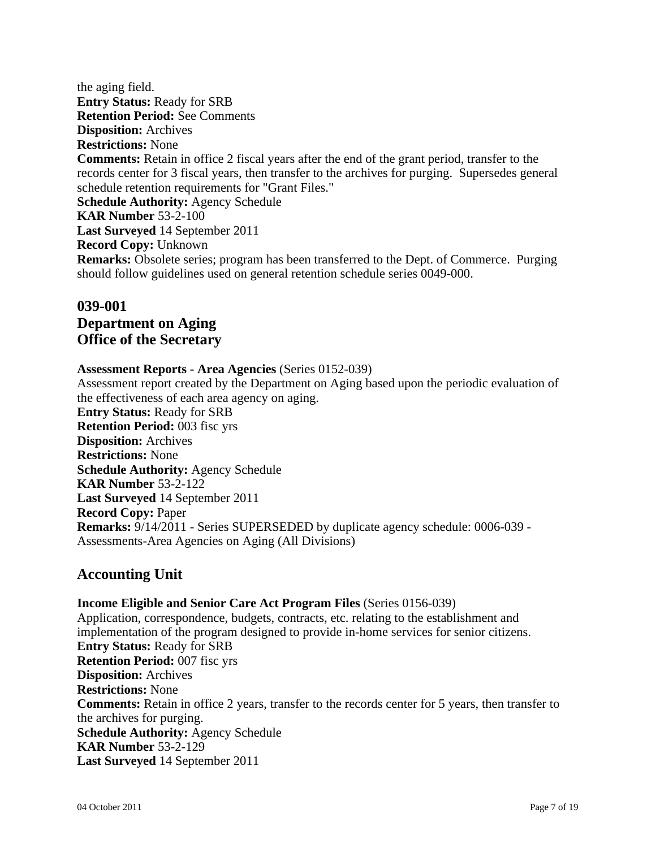the aging field. **Entry Status:** Ready for SRB **Retention Period:** See Comments **Disposition:** Archives **Restrictions:** None **Comments:** Retain in office 2 fiscal years after the end of the grant period, transfer to the records center for 3 fiscal years, then transfer to the archives for purging. Supersedes general schedule retention requirements for "Grant Files." **Schedule Authority:** Agency Schedule **KAR Number** 53-2-100 **Last Surveyed** 14 September 2011 **Record Copy:** Unknown **Remarks:** Obsolete series; program has been transferred to the Dept. of Commerce. Purging should follow guidelines used on general retention schedule series 0049-000.

## **039-001 Department on Aging Office of the Secretary**

#### **Assessment Reports - Area Agencies** (Series 0152-039)

Assessment report created by the Department on Aging based upon the periodic evaluation of the effectiveness of each area agency on aging. **Entry Status:** Ready for SRB **Retention Period:** 003 fisc yrs **Disposition:** Archives **Restrictions:** None **Schedule Authority:** Agency Schedule **KAR Number** 53-2-122 **Last Surveyed** 14 September 2011 **Record Copy:** Paper **Remarks:** 9/14/2011 - Series SUPERSEDED by duplicate agency schedule: 0006-039 - Assessments-Area Agencies on Aging (All Divisions)

## **Accounting Unit**

**Income Eligible and Senior Care Act Program Files** (Series 0156-039) Application, correspondence, budgets, contracts, etc. relating to the establishment and implementation of the program designed to provide in-home services for senior citizens. **Entry Status:** Ready for SRB **Retention Period:** 007 fisc yrs **Disposition:** Archives **Restrictions:** None **Comments:** Retain in office 2 years, transfer to the records center for 5 years, then transfer to the archives for purging. **Schedule Authority:** Agency Schedule **KAR Number** 53-2-129 **Last Surveyed** 14 September 2011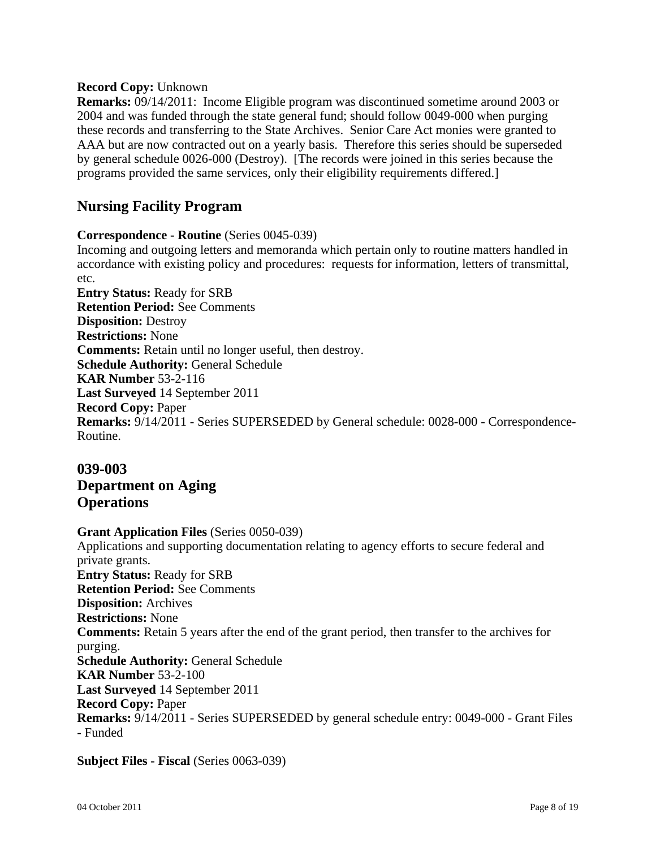## **Record Copy:** Unknown

**Remarks:** 09/14/2011: Income Eligible program was discontinued sometime around 2003 or 2004 and was funded through the state general fund; should follow 0049-000 when purging these records and transferring to the State Archives. Senior Care Act monies were granted to AAA but are now contracted out on a yearly basis. Therefore this series should be superseded by general schedule 0026-000 (Destroy). [The records were joined in this series because the programs provided the same services, only their eligibility requirements differed.]

## **Nursing Facility Program**

## **Correspondence - Routine** (Series 0045-039)

Incoming and outgoing letters and memoranda which pertain only to routine matters handled in accordance with existing policy and procedures: requests for information, letters of transmittal, etc. **Entry Status:** Ready for SRB **Retention Period:** See Comments **Disposition:** Destroy **Restrictions:** None **Comments:** Retain until no longer useful, then destroy. **Schedule Authority:** General Schedule **KAR Number** 53-2-116 **Last Surveyed** 14 September 2011

**Record Copy:** Paper **Remarks:** 9/14/2011 - Series SUPERSEDED by General schedule: 0028-000 - Correspondence-Routine.

## **039-003 Department on Aging Operations**

**Grant Application Files** (Series 0050-039) Applications and supporting documentation relating to agency efforts to secure federal and private grants. **Entry Status:** Ready for SRB **Retention Period:** See Comments **Disposition:** Archives **Restrictions:** None **Comments:** Retain 5 years after the end of the grant period, then transfer to the archives for purging. **Schedule Authority:** General Schedule **KAR Number** 53-2-100 **Last Surveyed** 14 September 2011 **Record Copy:** Paper **Remarks:** 9/14/2011 - Series SUPERSEDED by general schedule entry: 0049-000 - Grant Files - Funded

**Subject Files - Fiscal** (Series 0063-039)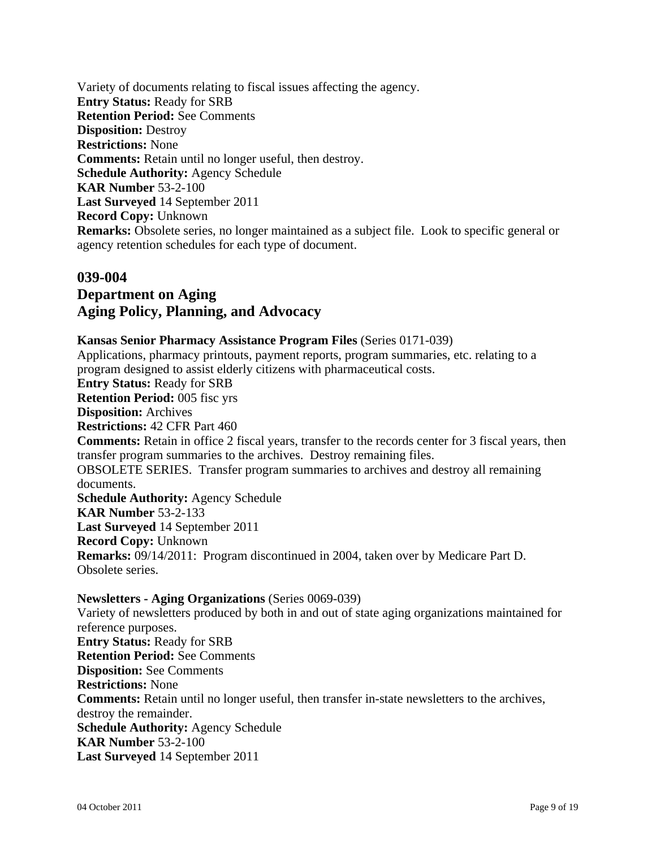Variety of documents relating to fiscal issues affecting the agency. **Entry Status:** Ready for SRB **Retention Period:** See Comments **Disposition:** Destroy **Restrictions:** None **Comments:** Retain until no longer useful, then destroy. **Schedule Authority:** Agency Schedule **KAR Number** 53-2-100 **Last Surveyed** 14 September 2011 **Record Copy:** Unknown **Remarks:** Obsolete series, no longer maintained as a subject file. Look to specific general or agency retention schedules for each type of document.

## **039-004 Department on Aging Aging Policy, Planning, and Advocacy**

## **Kansas Senior Pharmacy Assistance Program Files** (Series 0171-039)

Applications, pharmacy printouts, payment reports, program summaries, etc. relating to a program designed to assist elderly citizens with pharmaceutical costs. **Entry Status:** Ready for SRB **Retention Period:** 005 fisc yrs **Disposition:** Archives **Restrictions:** 42 CFR Part 460 **Comments:** Retain in office 2 fiscal years, transfer to the records center for 3 fiscal years, then transfer program summaries to the archives. Destroy remaining files. OBSOLETE SERIES. Transfer program summaries to archives and destroy all remaining documents. **Schedule Authority:** Agency Schedule **KAR Number** 53-2-133 **Last Surveyed** 14 September 2011 **Record Copy:** Unknown **Remarks:** 09/14/2011: Program discontinued in 2004, taken over by Medicare Part D. Obsolete series. **Newsletters - Aging Organizations** (Series 0069-039) Variety of newsletters produced by both in and out of state aging organizations maintained for reference purposes. **Entry Status:** Ready for SRB **Retention Period:** See Comments **Disposition:** See Comments **Restrictions:** None **Comments:** Retain until no longer useful, then transfer in-state newsletters to the archives, destroy the remainder. **Schedule Authority:** Agency Schedule **KAR Number** 53-2-100

**Last Surveyed** 14 September 2011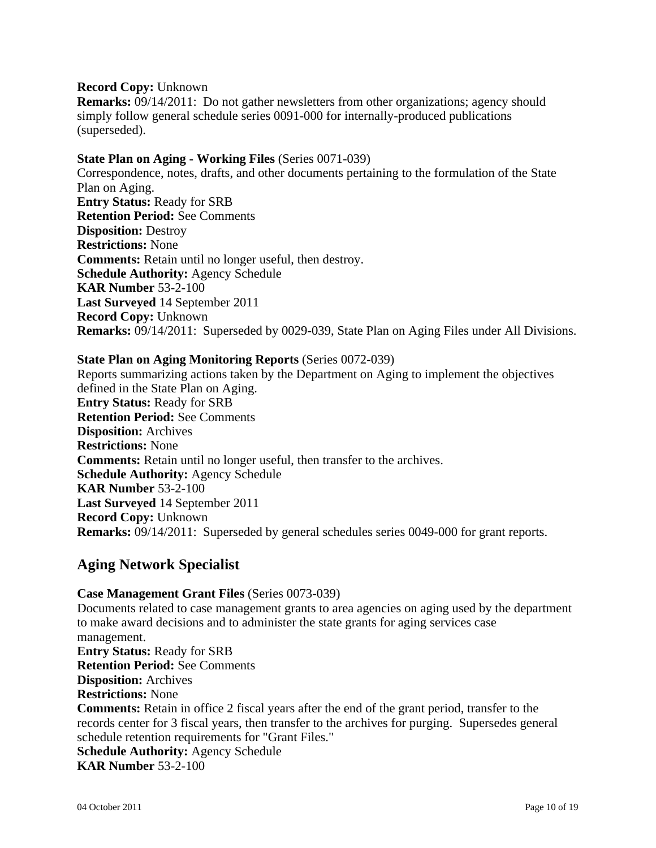#### **Record Copy:** Unknown

**Remarks:** 09/14/2011: Do not gather newsletters from other organizations; agency should simply follow general schedule series 0091-000 for internally-produced publications (superseded).

#### **State Plan on Aging - Working Files** (Series 0071-039)

Correspondence, notes, drafts, and other documents pertaining to the formulation of the State Plan on Aging. **Entry Status:** Ready for SRB **Retention Period:** See Comments **Disposition:** Destroy **Restrictions:** None **Comments:** Retain until no longer useful, then destroy. **Schedule Authority:** Agency Schedule **KAR Number** 53-2-100 **Last Surveyed** 14 September 2011 **Record Copy:** Unknown **Remarks:** 09/14/2011: Superseded by 0029-039, State Plan on Aging Files under All Divisions.

#### **State Plan on Aging Monitoring Reports** (Series 0072-039)

Reports summarizing actions taken by the Department on Aging to implement the objectives defined in the State Plan on Aging. **Entry Status:** Ready for SRB **Retention Period:** See Comments **Disposition:** Archives **Restrictions:** None **Comments:** Retain until no longer useful, then transfer to the archives. **Schedule Authority:** Agency Schedule **KAR Number** 53-2-100 **Last Surveyed** 14 September 2011 **Record Copy:** Unknown **Remarks:** 09/14/2011: Superseded by general schedules series 0049-000 for grant reports.

## **Aging Network Specialist**

**Case Management Grant Files** (Series 0073-039) Documents related to case management grants to area agencies on aging used by the department to make award decisions and to administer the state grants for aging services case management. **Entry Status:** Ready for SRB **Retention Period:** See Comments **Disposition:** Archives **Restrictions:** None **Comments:** Retain in office 2 fiscal years after the end of the grant period, transfer to the records center for 3 fiscal years, then transfer to the archives for purging. Supersedes general schedule retention requirements for "Grant Files." **Schedule Authority:** Agency Schedule **KAR Number** 53-2-100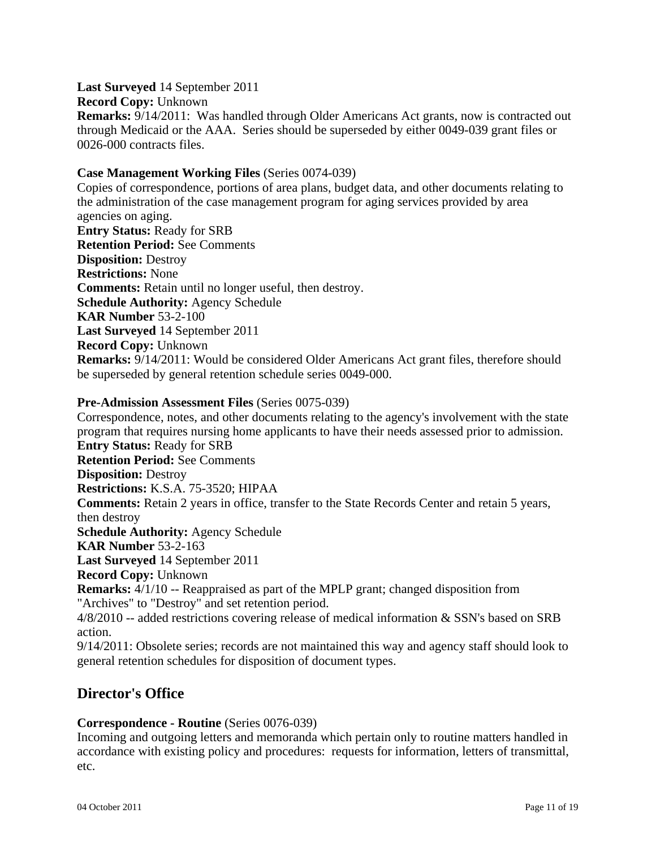**Last Surveyed** 14 September 2011 **Record Copy:** Unknown **Remarks:** 9/14/2011: Was handled through Older Americans Act grants, now is contracted out through Medicaid or the AAA. Series should be superseded by either 0049-039 grant files or 0026-000 contracts files.

#### **Case Management Working Files** (Series 0074-039)

Copies of correspondence, portions of area plans, budget data, and other documents relating to the administration of the case management program for aging services provided by area agencies on aging. **Entry Status:** Ready for SRB **Retention Period:** See Comments **Disposition:** Destroy **Restrictions:** None **Comments:** Retain until no longer useful, then destroy. **Schedule Authority:** Agency Schedule **KAR Number** 53-2-100 **Last Surveyed** 14 September 2011 **Record Copy:** Unknown **Remarks:** 9/14/2011: Would be considered Older Americans Act grant files, therefore should be superseded by general retention schedule series 0049-000.

#### **Pre-Admission Assessment Files** (Series 0075-039)

Correspondence, notes, and other documents relating to the agency's involvement with the state program that requires nursing home applicants to have their needs assessed prior to admission. **Entry Status:** Ready for SRB **Retention Period:** See Comments **Disposition:** Destroy **Restrictions:** K.S.A. 75-3520; HIPAA **Comments:** Retain 2 years in office, transfer to the State Records Center and retain 5 years, then destroy **Schedule Authority:** Agency Schedule **KAR Number** 53-2-163 **Last Surveyed** 14 September 2011 **Record Copy:** Unknown **Remarks:** 4/1/10 -- Reappraised as part of the MPLP grant; changed disposition from "Archives" to "Destroy" and set retention period. 4/8/2010 -- added restrictions covering release of medical information & SSN's based on SRB action.

9/14/2011: Obsolete series; records are not maintained this way and agency staff should look to general retention schedules for disposition of document types.

## **Director's Office**

## **Correspondence - Routine** (Series 0076-039)

Incoming and outgoing letters and memoranda which pertain only to routine matters handled in accordance with existing policy and procedures: requests for information, letters of transmittal, etc.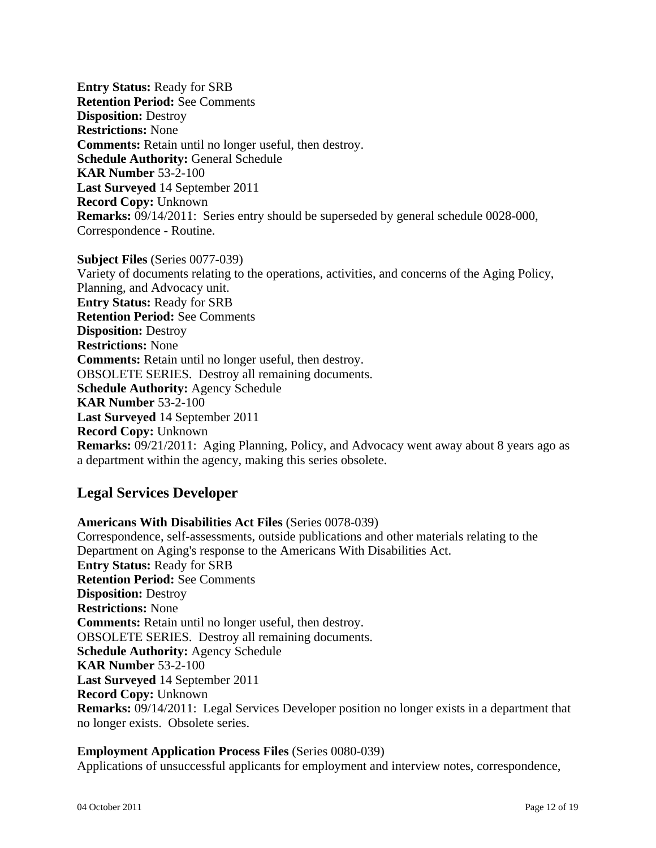**Entry Status:** Ready for SRB **Retention Period:** See Comments **Disposition:** Destroy **Restrictions:** None **Comments:** Retain until no longer useful, then destroy. **Schedule Authority:** General Schedule **KAR Number** 53-2-100 **Last Surveyed** 14 September 2011 **Record Copy:** Unknown **Remarks:** 09/14/2011: Series entry should be superseded by general schedule 0028-000, Correspondence - Routine.

**Subject Files** (Series 0077-039) Variety of documents relating to the operations, activities, and concerns of the Aging Policy, Planning, and Advocacy unit. **Entry Status:** Ready for SRB **Retention Period:** See Comments **Disposition:** Destroy **Restrictions:** None **Comments:** Retain until no longer useful, then destroy. OBSOLETE SERIES. Destroy all remaining documents. **Schedule Authority:** Agency Schedule **KAR Number** 53-2-100 **Last Surveyed** 14 September 2011 **Record Copy:** Unknown **Remarks:** 09/21/2011: Aging Planning, Policy, and Advocacy went away about 8 years ago as a department within the agency, making this series obsolete.

## **Legal Services Developer**

**Americans With Disabilities Act Files** (Series 0078-039) Correspondence, self-assessments, outside publications and other materials relating to the Department on Aging's response to the Americans With Disabilities Act. **Entry Status:** Ready for SRB **Retention Period:** See Comments **Disposition:** Destroy **Restrictions:** None **Comments:** Retain until no longer useful, then destroy. OBSOLETE SERIES. Destroy all remaining documents. **Schedule Authority:** Agency Schedule **KAR Number** 53-2-100 **Last Surveyed** 14 September 2011 **Record Copy:** Unknown **Remarks:** 09/14/2011: Legal Services Developer position no longer exists in a department that no longer exists. Obsolete series.

## **Employment Application Process Files** (Series 0080-039)

Applications of unsuccessful applicants for employment and interview notes, correspondence,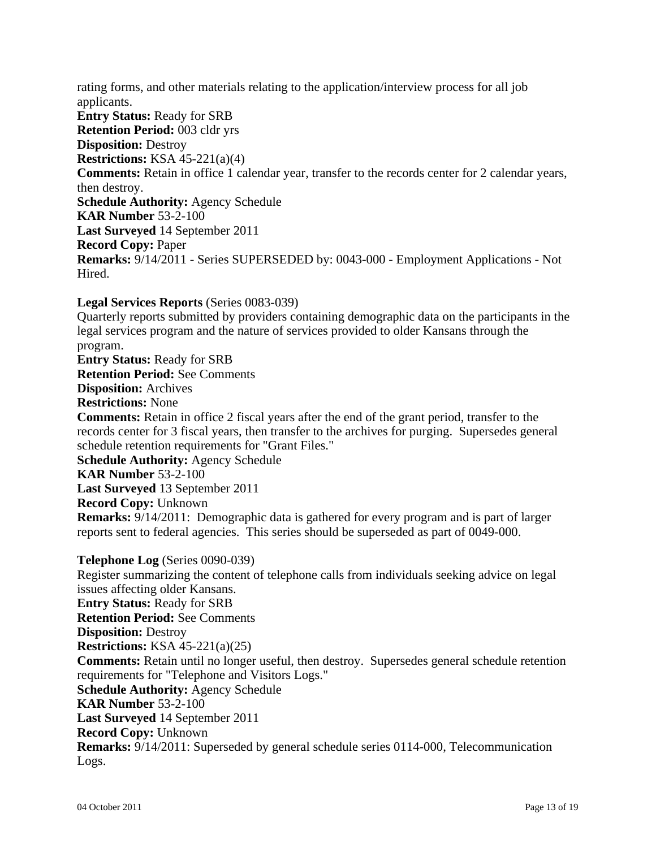rating forms, and other materials relating to the application/interview process for all job applicants. **Entry Status:** Ready for SRB **Retention Period:** 003 cldr yrs **Disposition:** Destroy **Restrictions:** KSA 45-221(a)(4) **Comments:** Retain in office 1 calendar year, transfer to the records center for 2 calendar years, then destroy. **Schedule Authority:** Agency Schedule **KAR Number** 53-2-100 **Last Surveyed** 14 September 2011 **Record Copy:** Paper **Remarks:** 9/14/2011 - Series SUPERSEDED by: 0043-000 - Employment Applications - Not Hired.

**Legal Services Reports** (Series 0083-039)

Quarterly reports submitted by providers containing demographic data on the participants in the legal services program and the nature of services provided to older Kansans through the program.

**Entry Status:** Ready for SRB

**Retention Period:** See Comments

**Disposition:** Archives

**Restrictions:** None

**Comments:** Retain in office 2 fiscal years after the end of the grant period, transfer to the records center for 3 fiscal years, then transfer to the archives for purging. Supersedes general schedule retention requirements for "Grant Files."

**Schedule Authority:** Agency Schedule

**KAR Number** 53-2-100

**Last Surveyed** 13 September 2011

**Record Copy:** Unknown

**Remarks:** 9/14/2011: Demographic data is gathered for every program and is part of larger reports sent to federal agencies. This series should be superseded as part of 0049-000.

**Telephone Log** (Series 0090-039)

Register summarizing the content of telephone calls from individuals seeking advice on legal issues affecting older Kansans. **Entry Status:** Ready for SRB **Retention Period:** See Comments **Disposition:** Destroy **Restrictions:** KSA 45-221(a)(25) **Comments:** Retain until no longer useful, then destroy. Supersedes general schedule retention requirements for "Telephone and Visitors Logs." **Schedule Authority:** Agency Schedule **KAR Number** 53-2-100 **Last Surveyed** 14 September 2011 **Record Copy:** Unknown **Remarks:** 9/14/2011: Superseded by general schedule series 0114-000, Telecommunication Logs.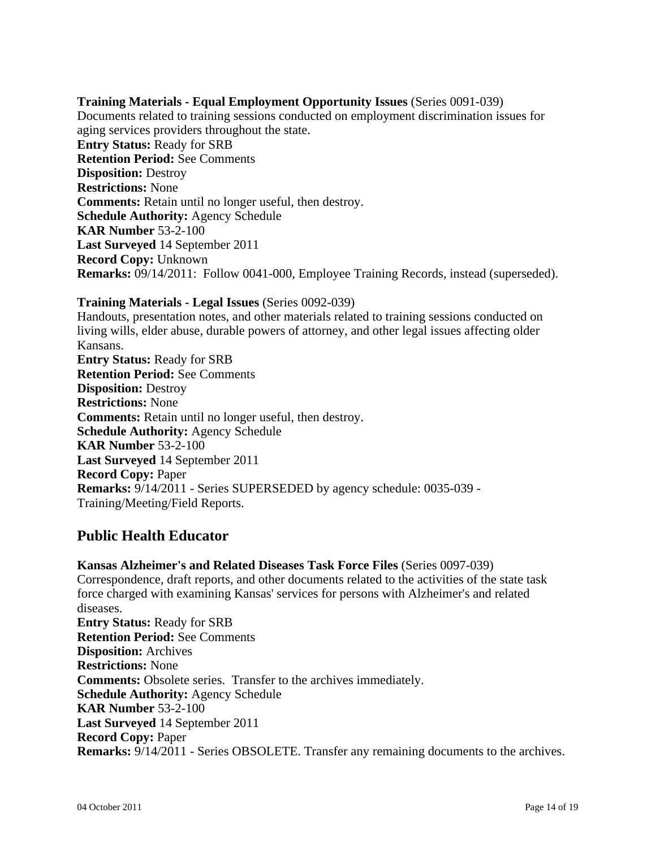#### **Training Materials - Equal Employment Opportunity Issues** (Series 0091-039)

Documents related to training sessions conducted on employment discrimination issues for aging services providers throughout the state. **Entry Status:** Ready for SRB **Retention Period:** See Comments **Disposition:** Destroy **Restrictions:** None **Comments:** Retain until no longer useful, then destroy. **Schedule Authority:** Agency Schedule **KAR Number** 53-2-100 **Last Surveyed** 14 September 2011 **Record Copy:** Unknown **Remarks:** 09/14/2011: Follow 0041-000, Employee Training Records, instead (superseded).

#### **Training Materials - Legal Issues** (Series 0092-039)

Handouts, presentation notes, and other materials related to training sessions conducted on living wills, elder abuse, durable powers of attorney, and other legal issues affecting older Kansans. **Entry Status:** Ready for SRB **Retention Period:** See Comments **Disposition:** Destroy **Restrictions:** None **Comments:** Retain until no longer useful, then destroy. **Schedule Authority:** Agency Schedule **KAR Number** 53-2-100 **Last Surveyed** 14 September 2011 **Record Copy:** Paper **Remarks:** 9/14/2011 - Series SUPERSEDED by agency schedule: 0035-039 - Training/Meeting/Field Reports.

## **Public Health Educator**

**Kansas Alzheimer's and Related Diseases Task Force Files** (Series 0097-039) Correspondence, draft reports, and other documents related to the activities of the state task force charged with examining Kansas' services for persons with Alzheimer's and related diseases. **Entry Status:** Ready for SRB **Retention Period:** See Comments **Disposition:** Archives **Restrictions:** None **Comments:** Obsolete series. Transfer to the archives immediately. **Schedule Authority:** Agency Schedule **KAR Number** 53-2-100 **Last Surveyed** 14 September 2011 **Record Copy:** Paper **Remarks:** 9/14/2011 - Series OBSOLETE. Transfer any remaining documents to the archives.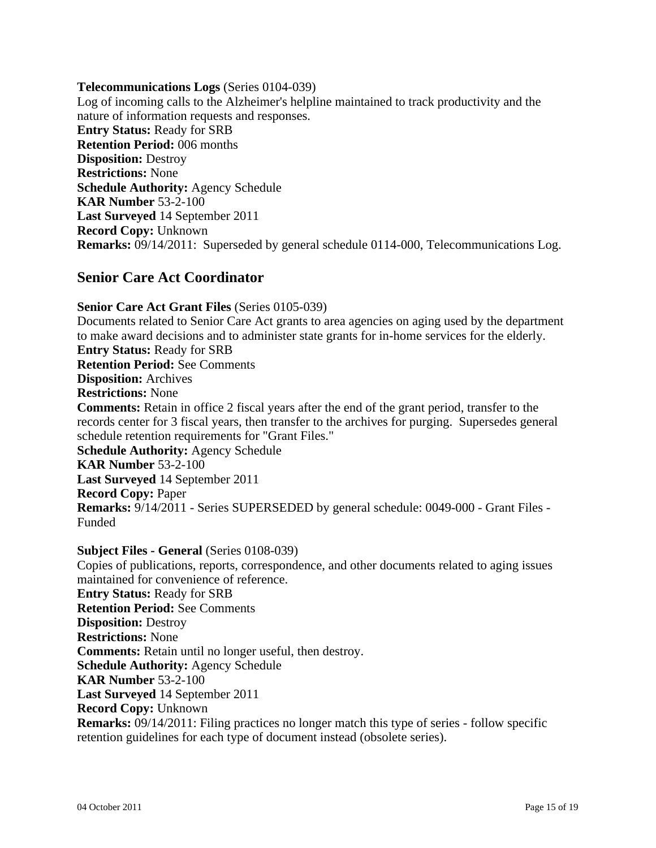#### **Telecommunications Logs** (Series 0104-039)

Log of incoming calls to the Alzheimer's helpline maintained to track productivity and the nature of information requests and responses. **Entry Status:** Ready for SRB **Retention Period:** 006 months **Disposition:** Destroy **Restrictions:** None **Schedule Authority:** Agency Schedule **KAR Number** 53-2-100 **Last Surveyed** 14 September 2011 **Record Copy:** Unknown **Remarks:** 09/14/2011: Superseded by general schedule 0114-000, Telecommunications Log.

## **Senior Care Act Coordinator**

**Senior Care Act Grant Files** (Series 0105-039) Documents related to Senior Care Act grants to area agencies on aging used by the department to make award decisions and to administer state grants for in-home services for the elderly. **Entry Status:** Ready for SRB **Retention Period:** See Comments **Disposition:** Archives **Restrictions:** None **Comments:** Retain in office 2 fiscal years after the end of the grant period, transfer to the records center for 3 fiscal years, then transfer to the archives for purging. Supersedes general schedule retention requirements for "Grant Files." **Schedule Authority:** Agency Schedule **KAR Number** 53-2-100 **Last Surveyed** 14 September 2011 **Record Copy:** Paper **Remarks:** 9/14/2011 - Series SUPERSEDED by general schedule: 0049-000 - Grant Files - Funded

**Subject Files - General** (Series 0108-039) Copies of publications, reports, correspondence, and other documents related to aging issues maintained for convenience of reference. **Entry Status:** Ready for SRB **Retention Period:** See Comments **Disposition:** Destroy **Restrictions:** None **Comments:** Retain until no longer useful, then destroy. **Schedule Authority:** Agency Schedule **KAR Number** 53-2-100 **Last Surveyed** 14 September 2011 **Record Copy:** Unknown **Remarks:** 09/14/2011: Filing practices no longer match this type of series - follow specific retention guidelines for each type of document instead (obsolete series).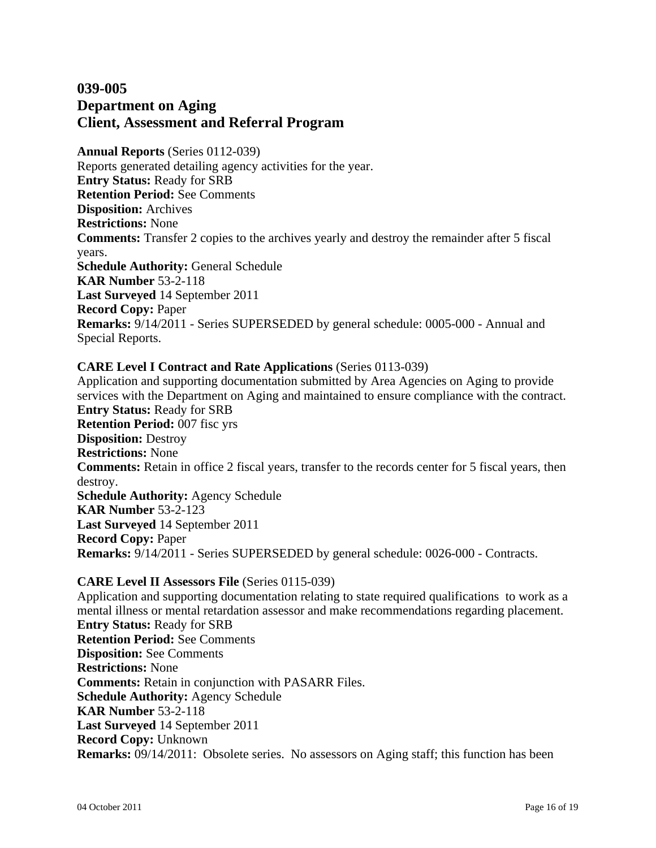## **039-005 Department on Aging Client, Assessment and Referral Program**

**Annual Reports** (Series 0112-039) Reports generated detailing agency activities for the year. **Entry Status:** Ready for SRB **Retention Period:** See Comments **Disposition:** Archives **Restrictions:** None **Comments:** Transfer 2 copies to the archives yearly and destroy the remainder after 5 fiscal years. **Schedule Authority:** General Schedule **KAR Number** 53-2-118 **Last Surveyed** 14 September 2011 **Record Copy:** Paper **Remarks:** 9/14/2011 - Series SUPERSEDED by general schedule: 0005-000 - Annual and Special Reports.

## **CARE Level I Contract and Rate Applications** (Series 0113-039)

Application and supporting documentation submitted by Area Agencies on Aging to provide services with the Department on Aging and maintained to ensure compliance with the contract. **Entry Status:** Ready for SRB **Retention Period:** 007 fisc yrs **Disposition:** Destroy **Restrictions:** None **Comments:** Retain in office 2 fiscal years, transfer to the records center for 5 fiscal years, then destroy. **Schedule Authority:** Agency Schedule **KAR Number** 53-2-123 **Last Surveyed** 14 September 2011 **Record Copy:** Paper **Remarks:** 9/14/2011 - Series SUPERSEDED by general schedule: 0026-000 - Contracts.

#### **CARE Level II Assessors File** (Series 0115-039)

Application and supporting documentation relating to state required qualifications to work as a mental illness or mental retardation assessor and make recommendations regarding placement. **Entry Status:** Ready for SRB **Retention Period:** See Comments **Disposition:** See Comments **Restrictions:** None **Comments:** Retain in conjunction with PASARR Files. **Schedule Authority:** Agency Schedule **KAR Number** 53-2-118 **Last Surveyed** 14 September 2011 **Record Copy:** Unknown **Remarks:** 09/14/2011: Obsolete series. No assessors on Aging staff; this function has been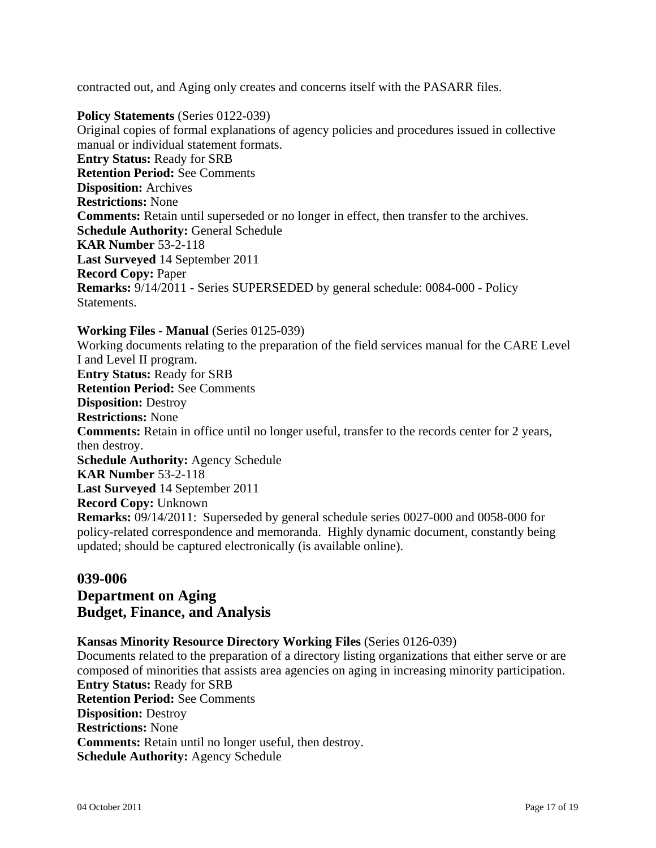contracted out, and Aging only creates and concerns itself with the PASARR files.

**Policy Statements** (Series 0122-039) Original copies of formal explanations of agency policies and procedures issued in collective manual or individual statement formats. **Entry Status:** Ready for SRB **Retention Period:** See Comments **Disposition:** Archives **Restrictions:** None **Comments:** Retain until superseded or no longer in effect, then transfer to the archives. **Schedule Authority:** General Schedule **KAR Number** 53-2-118 **Last Surveyed** 14 September 2011 **Record Copy:** Paper **Remarks:** 9/14/2011 - Series SUPERSEDED by general schedule: 0084-000 - Policy Statements.

#### **Working Files - Manual** (Series 0125-039)

Working documents relating to the preparation of the field services manual for the CARE Level I and Level II program. **Entry Status:** Ready for SRB **Retention Period:** See Comments **Disposition:** Destroy **Restrictions:** None **Comments:** Retain in office until no longer useful, transfer to the records center for 2 years, then destroy. **Schedule Authority:** Agency Schedule **KAR Number** 53-2-118 **Last Surveyed** 14 September 2011 **Record Copy:** Unknown **Remarks:** 09/14/2011: Superseded by general schedule series 0027-000 and 0058-000 for policy-related correspondence and memoranda. Highly dynamic document, constantly being updated; should be captured electronically (is available online).

## **039-006 Department on Aging Budget, Finance, and Analysis**

#### **Kansas Minority Resource Directory Working Files** (Series 0126-039)

Documents related to the preparation of a directory listing organizations that either serve or are composed of minorities that assists area agencies on aging in increasing minority participation. **Entry Status:** Ready for SRB **Retention Period:** See Comments **Disposition:** Destroy **Restrictions:** None **Comments:** Retain until no longer useful, then destroy. **Schedule Authority:** Agency Schedule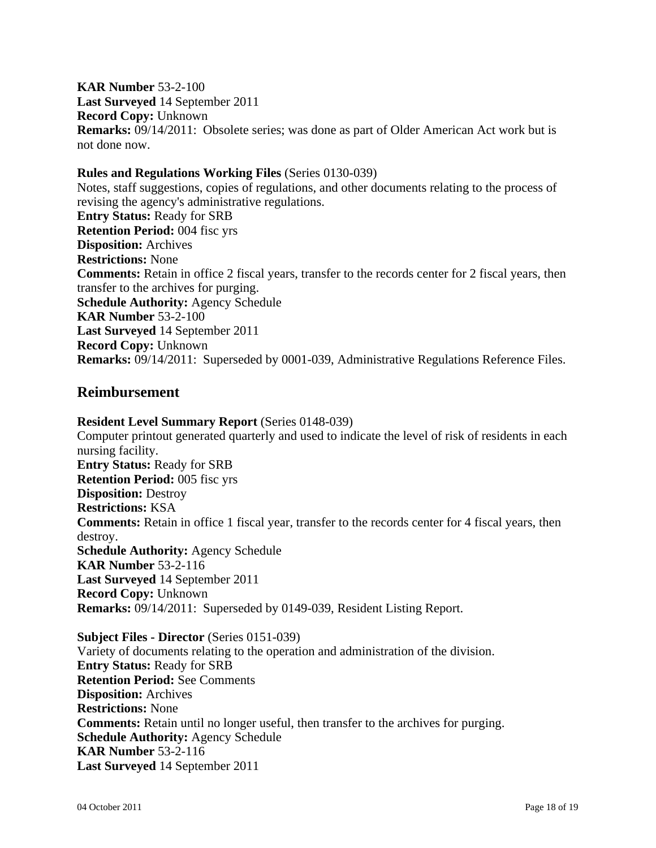**KAR Number** 53-2-100 **Last Surveyed** 14 September 2011 **Record Copy:** Unknown **Remarks:** 09/14/2011: Obsolete series; was done as part of Older American Act work but is not done now.

#### **Rules and Regulations Working Files** (Series 0130-039)

Notes, staff suggestions, copies of regulations, and other documents relating to the process of revising the agency's administrative regulations. **Entry Status:** Ready for SRB **Retention Period:** 004 fisc yrs **Disposition:** Archives **Restrictions:** None **Comments:** Retain in office 2 fiscal years, transfer to the records center for 2 fiscal years, then transfer to the archives for purging. **Schedule Authority:** Agency Schedule **KAR Number** 53-2-100 **Last Surveyed** 14 September 2011 **Record Copy:** Unknown **Remarks:** 09/14/2011: Superseded by 0001-039, Administrative Regulations Reference Files.

## **Reimbursement**

**Resident Level Summary Report** (Series 0148-039) Computer printout generated quarterly and used to indicate the level of risk of residents in each nursing facility. **Entry Status:** Ready for SRB **Retention Period:** 005 fisc yrs **Disposition:** Destroy **Restrictions:** KSA **Comments:** Retain in office 1 fiscal year, transfer to the records center for 4 fiscal years, then destroy. **Schedule Authority:** Agency Schedule **KAR Number** 53-2-116 **Last Surveyed** 14 September 2011 **Record Copy:** Unknown **Remarks:** 09/14/2011: Superseded by 0149-039, Resident Listing Report.

**Subject Files - Director** (Series 0151-039) Variety of documents relating to the operation and administration of the division. **Entry Status:** Ready for SRB **Retention Period:** See Comments **Disposition:** Archives **Restrictions:** None **Comments:** Retain until no longer useful, then transfer to the archives for purging. **Schedule Authority:** Agency Schedule **KAR Number** 53-2-116 **Last Surveyed** 14 September 2011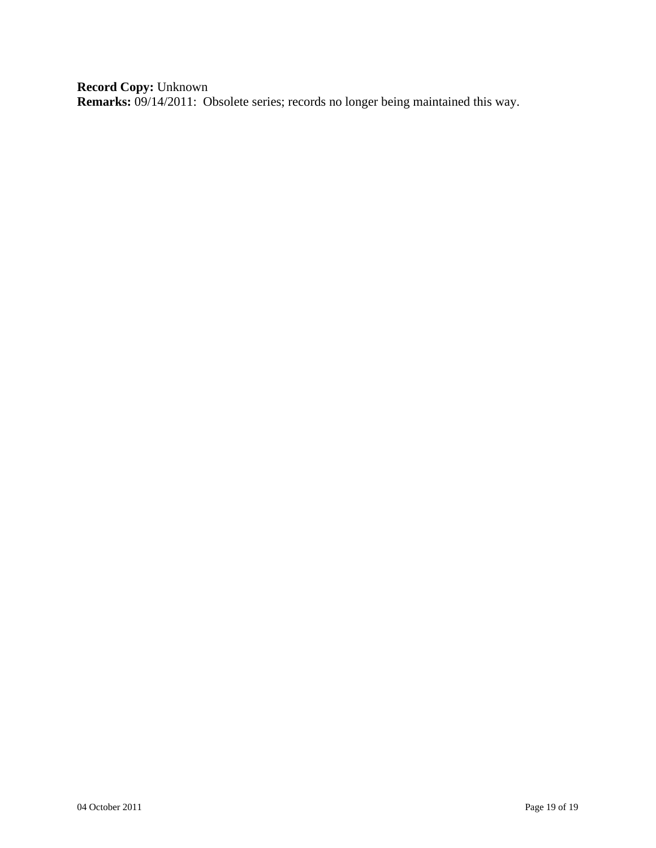**Record Copy:** Unknown **Remarks:** 09/14/2011: Obsolete series; records no longer being maintained this way.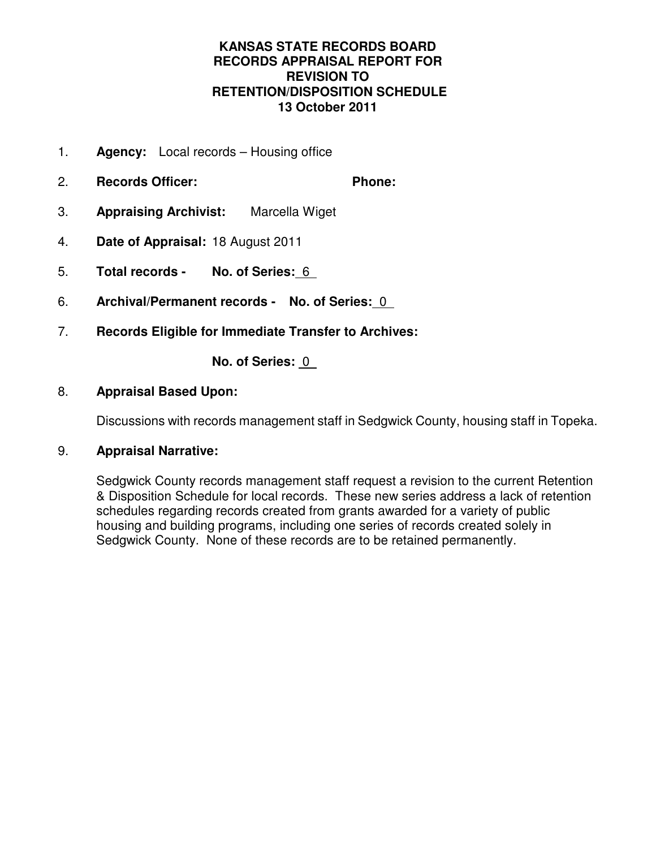## **KANSAS STATE RECORDS BOARD RECORDS APPRAISAL REPORT FOR REVISION TO RETENTION/DISPOSITION SCHEDULE 13 October 2011**

- 1. **Agency:** Local records Housing office
- 2. **Records Officer: Phone:**
- 3. **Appraising Archivist:** Marcella Wiget
- 4. **Date of Appraisal:** 18 August 2011
- 5. **Total records No. of Series:** 6
- 6. **Archival/Permanent records No. of Series:** 0
- 7. **Records Eligible for Immediate Transfer to Archives:**

**No. of Series:** 0

## 8. **Appraisal Based Upon:**

Discussions with records management staff in Sedgwick County, housing staff in Topeka.

## 9. **Appraisal Narrative:**

Sedgwick County records management staff request a revision to the current Retention & Disposition Schedule for local records. These new series address a lack of retention schedules regarding records created from grants awarded for a variety of public housing and building programs, including one series of records created solely in Sedgwick County. None of these records are to be retained permanently.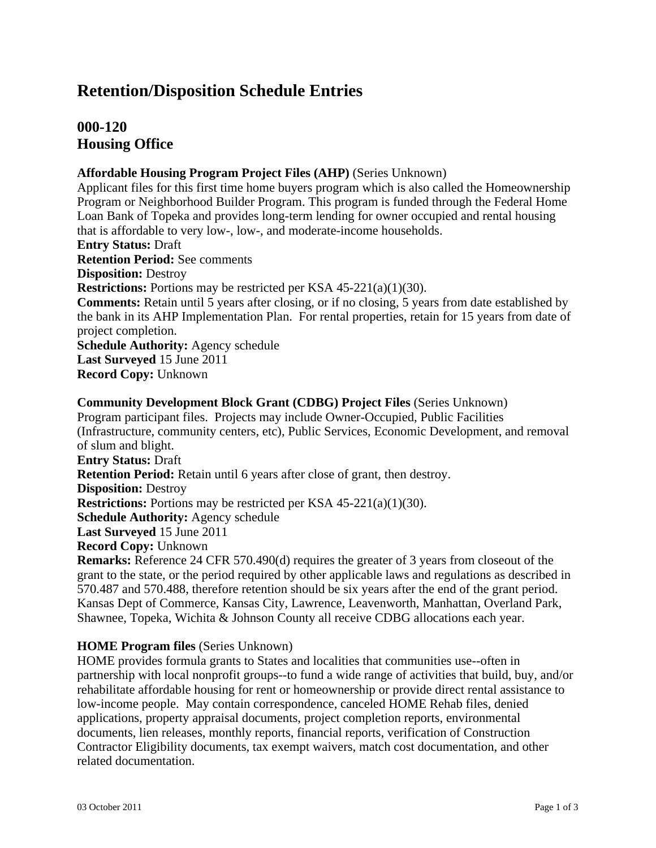## **Retention/Disposition Schedule Entries**

## **000-120 Housing Office**

## **Affordable Housing Program Project Files (AHP)** (Series Unknown)

Applicant files for this first time home buyers program which is also called the Homeownership Program or Neighborhood Builder Program. This program is funded through the Federal Home Loan Bank of Topeka and provides long-term lending for owner occupied and rental housing that is affordable to very low-, low-, and moderate-income households. **Entry Status:** Draft **Retention Period:** See comments **Disposition:** Destroy **Restrictions:** Portions may be restricted per KSA 45-221(a)(1)(30). **Comments:** Retain until 5 years after closing, or if no closing, 5 years from date established by the bank in its AHP Implementation Plan. For rental properties, retain for 15 years from date of project completion. **Schedule Authority:** Agency schedule **Last Surveyed** 15 June 2011 **Record Copy:** Unknown

**Community Development Block Grant (CDBG) Project Files** (Series Unknown) Program participant files. Projects may include Owner-Occupied, Public Facilities (Infrastructure, community centers, etc), Public Services, Economic Development, and removal of slum and blight. **Entry Status:** Draft **Retention Period:** Retain until 6 years after close of grant, then destroy. **Disposition:** Destroy **Restrictions:** Portions may be restricted per KSA 45-221(a)(1)(30). **Schedule Authority:** Agency schedule **Last Surveyed** 15 June 2011 **Record Copy:** Unknown **Remarks:** Reference 24 CFR 570.490(d) requires the greater of 3 years from closeout of the

grant to the state, or the period required by other applicable laws and regulations as described in 570.487 and 570.488, therefore retention should be six years after the end of the grant period. Kansas Dept of Commerce, Kansas City, Lawrence, Leavenworth, Manhattan, Overland Park, Shawnee, Topeka, Wichita & Johnson County all receive CDBG allocations each year.

## **HOME Program files** (Series Unknown)

HOME provides formula grants to States and localities that communities use--often in partnership with local nonprofit groups--to fund a wide range of activities that build, buy, and/or rehabilitate affordable housing for rent or homeownership or provide direct rental assistance to low-income people. May contain correspondence, canceled HOME Rehab files, denied applications, property appraisal documents, project completion reports, environmental documents, lien releases, monthly reports, financial reports, verification of Construction Contractor Eligibility documents, tax exempt waivers, match cost documentation, and other related documentation.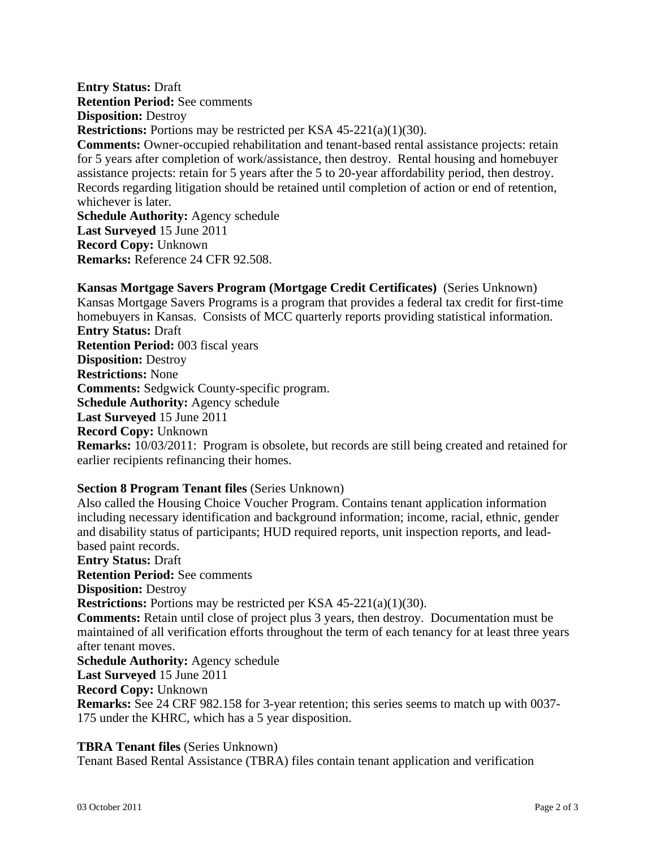**Entry Status:** Draft **Retention Period:** See comments **Disposition:** Destroy **Restrictions:** Portions may be restricted per KSA 45-221(a)(1)(30). **Comments:** Owner-occupied rehabilitation and tenant-based rental assistance projects: retain for 5 years after completion of work/assistance, then destroy. Rental housing and homebuyer assistance projects: retain for 5 years after the 5 to 20-year affordability period, then destroy. Records regarding litigation should be retained until completion of action or end of retention, whichever is later. **Schedule Authority:** Agency schedule **Last Surveyed** 15 June 2011 **Record Copy:** Unknown

**Remarks:** Reference 24 CFR 92.508.

**Kansas Mortgage Savers Program (Mortgage Credit Certificates)** (Series Unknown) Kansas Mortgage Savers Programs is a program that provides a federal tax credit for first-time homebuyers in Kansas. Consists of MCC quarterly reports providing statistical information. **Entry Status:** Draft **Retention Period:** 003 fiscal years **Disposition:** Destroy **Restrictions:** None **Comments:** Sedgwick County-specific program. **Schedule Authority:** Agency schedule **Last Surveyed** 15 June 2011 **Record Copy:** Unknown **Remarks:** 10/03/2011: Program is obsolete, but records are still being created and retained for earlier recipients refinancing their homes.

## **Section 8 Program Tenant files** (Series Unknown)

Also called the Housing Choice Voucher Program. Contains tenant application information including necessary identification and background information; income, racial, ethnic, gender and disability status of participants; HUD required reports, unit inspection reports, and leadbased paint records. **Entry Status:** Draft **Retention Period:** See comments **Disposition:** Destroy **Restrictions:** Portions may be restricted per KSA 45-221(a)(1)(30). **Comments:** Retain until close of project plus 3 years, then destroy. Documentation must be maintained of all verification efforts throughout the term of each tenancy for at least three years after tenant moves. **Schedule Authority:** Agency schedule **Last Surveyed** 15 June 2011 **Record Copy:** Unknown **Remarks:** See 24 CRF 982.158 for 3-year retention; this series seems to match up with 0037-

175 under the KHRC, which has a 5 year disposition.

## **TBRA Tenant files** (Series Unknown)

Tenant Based Rental Assistance (TBRA) files contain tenant application and verification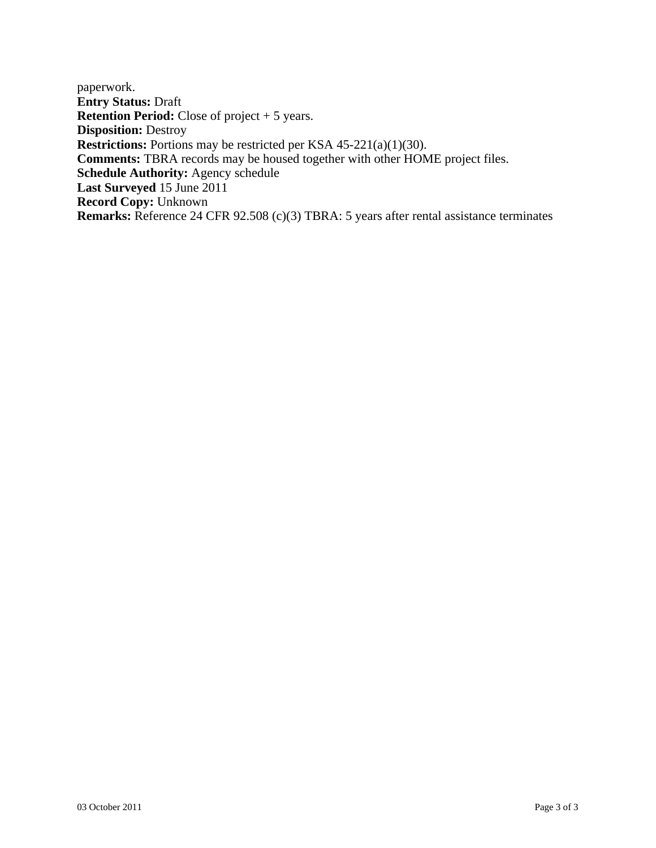paperwork. **Entry Status:** Draft **Retention Period:** Close of project + 5 years. **Disposition:** Destroy **Restrictions:** Portions may be restricted per KSA 45-221(a)(1)(30). **Comments:** TBRA records may be housed together with other HOME project files. **Schedule Authority:** Agency schedule **Last Surveyed** 15 June 2011 **Record Copy:** Unknown **Remarks:** Reference 24 CFR 92.508 (c)(3) TBRA: 5 years after rental assistance terminates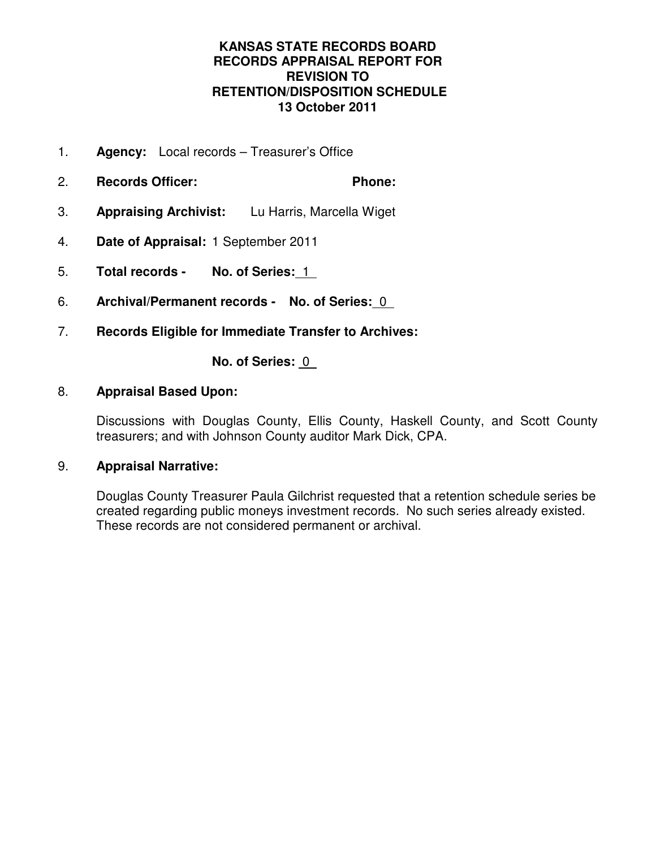## **KANSAS STATE RECORDS BOARD RECORDS APPRAISAL REPORT FOR REVISION TO RETENTION/DISPOSITION SCHEDULE 13 October 2011**

- 1. **Agency:** Local records Treasurer's Office
- 2. **Records Officer: Phone:**
- 3. **Appraising Archivist:** Lu Harris, Marcella Wiget
- 4. **Date of Appraisal:** 1 September 2011
- 5. **Total records No. of Series:** 1
- 6. **Archival/Permanent records No. of Series:** 0
- 7. **Records Eligible for Immediate Transfer to Archives:**

**No. of Series:** 0

## 8. **Appraisal Based Upon:**

Discussions with Douglas County, Ellis County, Haskell County, and Scott County treasurers; and with Johnson County auditor Mark Dick, CPA.

## 9. **Appraisal Narrative:**

Douglas County Treasurer Paula Gilchrist requested that a retention schedule series be created regarding public moneys investment records. No such series already existed. These records are not considered permanent or archival.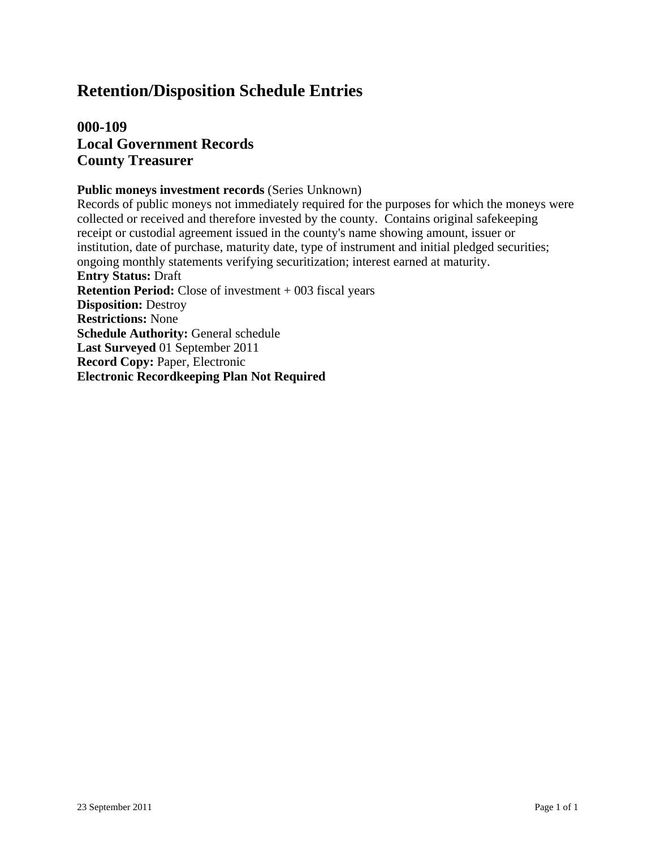## **Retention/Disposition Schedule Entries**

## **000-109 Local Government Records County Treasurer**

#### **Public moneys investment records** (Series Unknown)

Records of public moneys not immediately required for the purposes for which the moneys were collected or received and therefore invested by the county. Contains original safekeeping receipt or custodial agreement issued in the county's name showing amount, issuer or institution, date of purchase, maturity date, type of instrument and initial pledged securities; ongoing monthly statements verifying securitization; interest earned at maturity. **Entry Status:** Draft **Retention Period:** Close of investment + 003 fiscal years **Disposition:** Destroy **Restrictions:** None **Schedule Authority:** General schedule **Last Surveyed** 01 September 2011 **Record Copy:** Paper, Electronic **Electronic Recordkeeping Plan Not Required**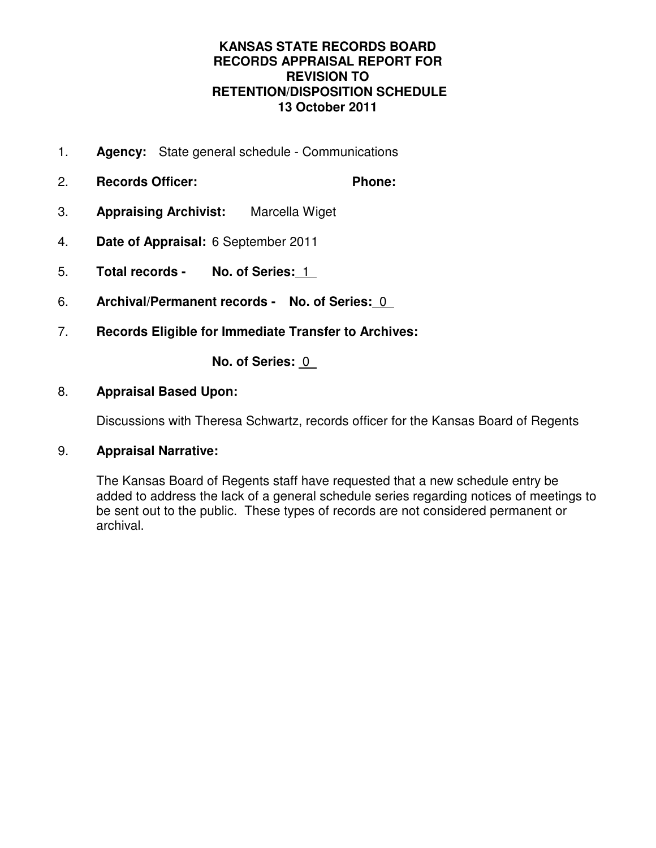## **KANSAS STATE RECORDS BOARD RECORDS APPRAISAL REPORT FOR REVISION TO RETENTION/DISPOSITION SCHEDULE 13 October 2011**

- 1. **Agency:** State general schedule Communications
- 2. **Records Officer: Phone:**
- 3. **Appraising Archivist:** Marcella Wiget
- 4. **Date of Appraisal:** 6 September 2011
- 5. **Total records No. of Series:** 1
- 6. **Archival/Permanent records No. of Series:** 0
- 7. **Records Eligible for Immediate Transfer to Archives:**

**No. of Series:** 0

## 8. **Appraisal Based Upon:**

Discussions with Theresa Schwartz, records officer for the Kansas Board of Regents

## 9. **Appraisal Narrative:**

The Kansas Board of Regents staff have requested that a new schedule entry be added to address the lack of a general schedule series regarding notices of meetings to be sent out to the public. These types of records are not considered permanent or archival.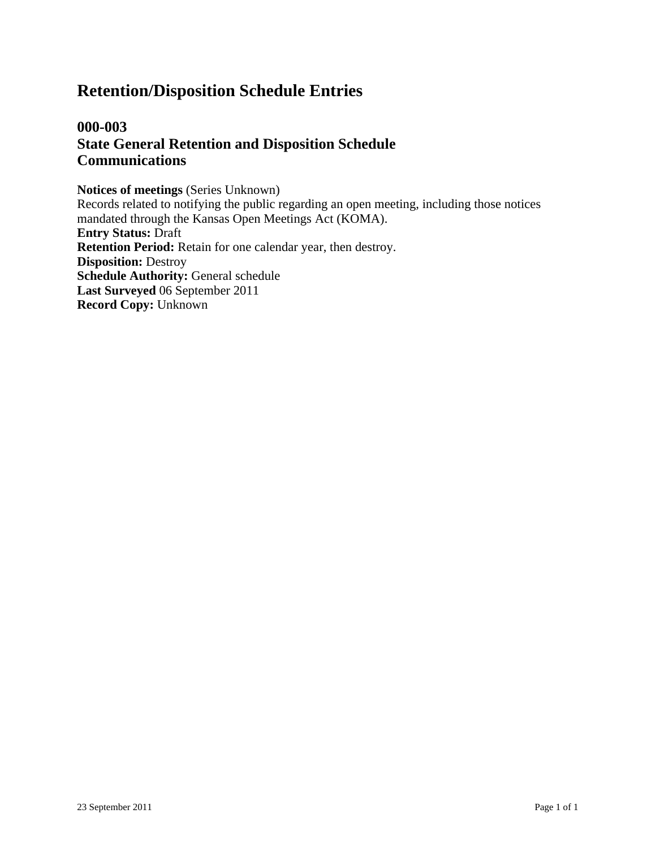## **Retention/Disposition Schedule Entries**

## **000-003 State General Retention and Disposition Schedule Communications**

**Notices of meetings** (Series Unknown) Records related to notifying the public regarding an open meeting, including those notices mandated through the Kansas Open Meetings Act (KOMA). **Entry Status:** Draft **Retention Period:** Retain for one calendar year, then destroy. **Disposition:** Destroy **Schedule Authority:** General schedule **Last Surveyed** 06 September 2011 **Record Copy:** Unknown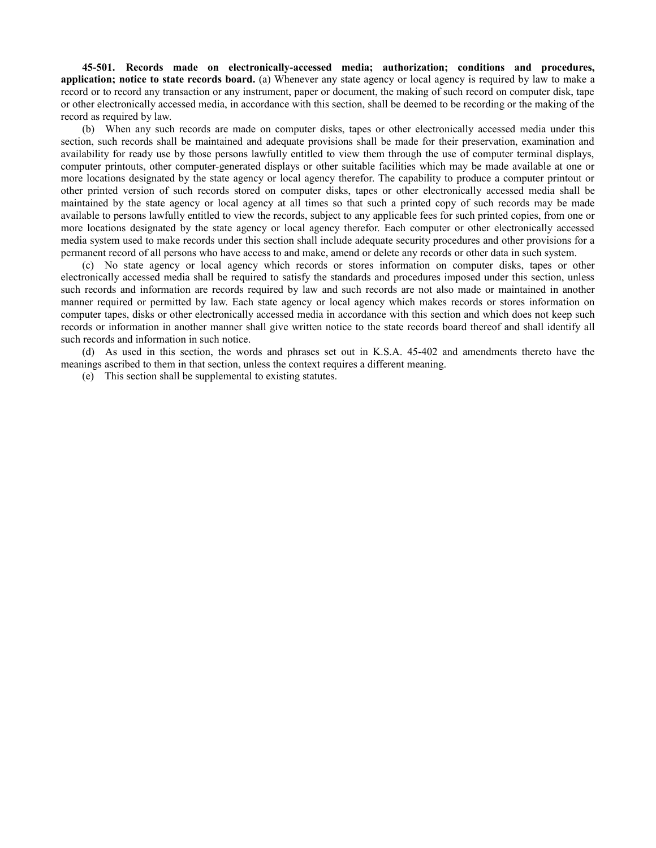**45-501. Records made on electronically-accessed media; authorization; conditions and procedures, application; notice to state records board.** (a) Whenever any state agency or local agency is required by law to make a record or to record any transaction or any instrument, paper or document, the making of such record on computer disk, tape or other electronically accessed media, in accordance with this section, shall be deemed to be recording or the making of the record as required by law.

(b) When any such records are made on computer disks, tapes or other electronically accessed media under this section, such records shall be maintained and adequate provisions shall be made for their preservation, examination and availability for ready use by those persons lawfully entitled to view them through the use of computer terminal displays, computer printouts, other computer-generated displays or other suitable facilities which may be made available at one or more locations designated by the state agency or local agency therefor. The capability to produce a computer printout or other printed version of such records stored on computer disks, tapes or other electronically accessed media shall be maintained by the state agency or local agency at all times so that such a printed copy of such records may be made available to persons lawfully entitled to view the records, subject to any applicable fees for such printed copies, from one or more locations designated by the state agency or local agency therefor. Each computer or other electronically accessed media system used to make records under this section shall include adequate security procedures and other provisions for a permanent record of all persons who have access to and make, amend or delete any records or other data in such system.

(c) No state agency or local agency which records or stores information on computer disks, tapes or other electronically accessed media shall be required to satisfy the standards and procedures imposed under this section, unless such records and information are records required by law and such records are not also made or maintained in another manner required or permitted by law. Each state agency or local agency which makes records or stores information on computer tapes, disks or other electronically accessed media in accordance with this section and which does not keep such records or information in another manner shall give written notice to the state records board thereof and shall identify all such records and information in such notice.

(d) As used in this section, the words and phrases set out in K.S.A. 45-402 and amendments thereto have the meanings ascribed to them in that section, unless the context requires a different meaning.

(e) This section shall be supplemental to existing statutes.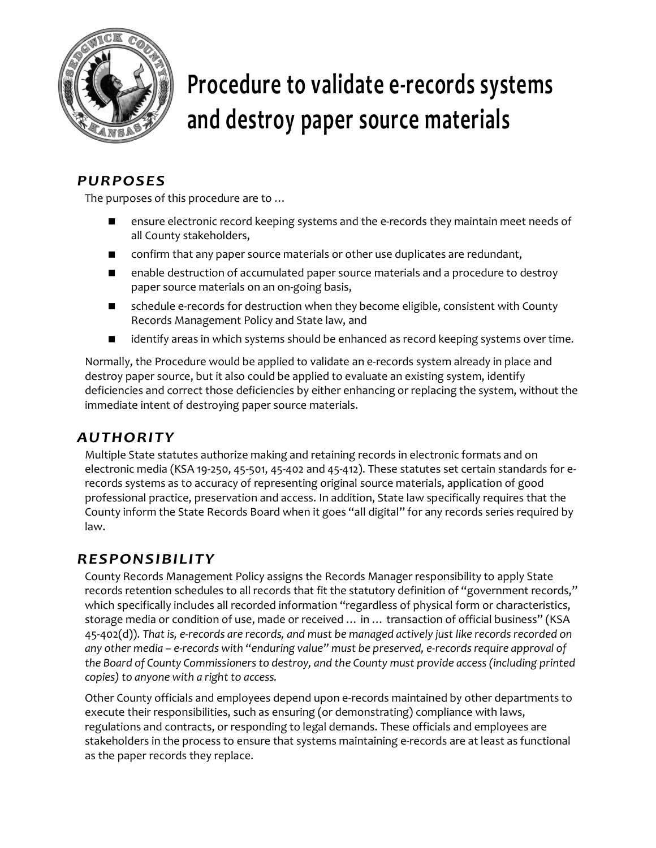

# **Procedure to validate e-records systems and destroy paper source materials**

## *PURPOSES*

The purposes of this procedure are to …

- ensure electronic record keeping systems and the e-records they maintain meet needs of all County stakeholders,
- **n** confirm that any paper source materials or other use duplicates are redundant,
- **E** enable destruction of accumulated paper source materials and a procedure to destroy paper source materials on an on-going basis,
- schedule e-records for destruction when they become eligible, consistent with County Records Management Policy and State law, and
- identify areas in which systems should be enhanced as record keeping systems over time.

Normally, the Procedure would be applied to validate an e-records system already in place and destroy paper source, but it also could be applied to evaluate an existing system, identify deficiencies and correct those deficiencies by either enhancing or replacing the system, without the immediate intent of destroying paper source materials.

## *AUTHORITY*

Multiple State statutes authorize making and retaining records in electronic formats and on electronic media (KSA 19-250, 45-501, 45-402 and 45-412). These statutes set certain standards for erecords systems as to accuracy of representing original source materials, application of good professional practice, preservation and access. In addition, State law specifically requires that the County inform the State Records Board when it goes "all digital" for any records series required by law.

## *RESPONSIBILITY*

County Records Management Policy assigns the Records Manager responsibility to apply State records retention schedules to all records that fit the statutory definition of "government records," which specifically includes all recorded information "regardless of physical form or characteristics, storage media or condition of use, made or received … in … transaction of official business" (KSA 45-402(d)). *That is, e-records are records, and must be managed actively just like records recorded on any other media – e-records with "enduring value" must be preserved, e-records require approval of the Board of County Commissioners to destroy, and the County must provide access (including printed copies) to anyone with a right to access.*

Other County officials and employees depend upon e-records maintained by other departments to execute their responsibilities, such as ensuring (or demonstrating) compliance with laws, regulations and contracts, or responding to legal demands. These officials and employees are stakeholders in the process to ensure that systems maintaining e-records are at least as functional as the paper records they replace.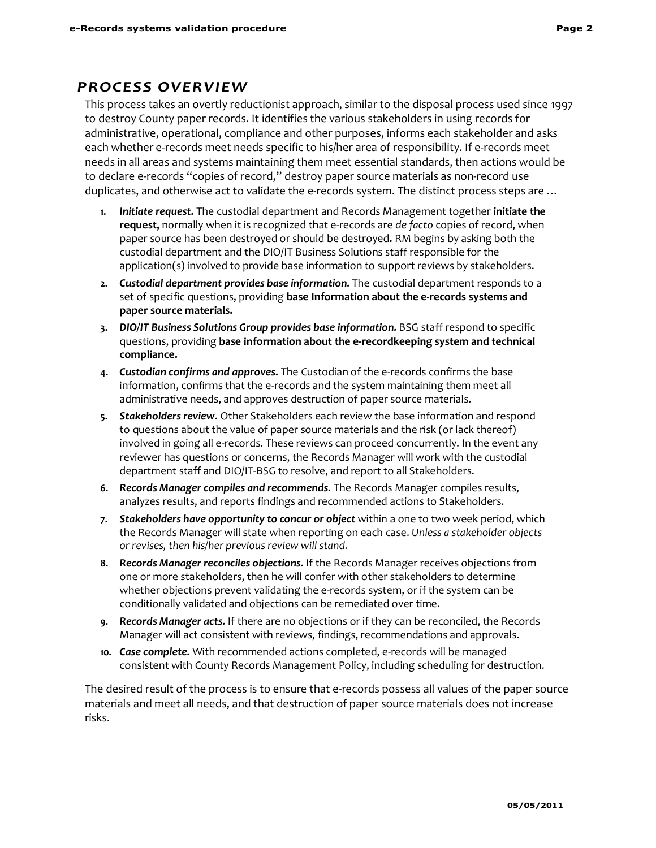## *PROCESS OVERVIEW*

This process takes an overtly reductionist approach, similar to the disposal process used since 1997 to destroy County paper records. It identifies the various stakeholders in using records for administrative, operational, compliance and other purposes, informs each stakeholder and asks each whether e-records meet needs specific to his/her area of responsibility. If e-records meet needs in all areas and systems maintaining them meet essential standards, then actions would be to declare e-records "copies of record," destroy paper source materials as non-record use duplicates, and otherwise act to validate the e-records system. The distinct process steps are …

- **1.** *Initiate request.* The custodial department and Records Management together **initiate the request,** normally when it is recognized that e-records are *de facto* copies of record, when paper source has been destroyed or should be destroyed**.** RM begins by asking both the custodial department and the DIO/IT Business Solutions staff responsible for the application(s) involved to provide base information to support reviews by stakeholders.
- **2.** *Custodial department provides base information.* The custodial department responds to a set of specific questions, providing **base Information about the e-records systems and paper source materials.**
- **3.** *DIO/IT Business Solutions Group provides base information.* BSG staff respond to specific questions, providing **base information about the e-recordkeeping system and technical compliance.**
- **4.** *Custodian confirms and approves.* The Custodian of the e-records confirms the base information, confirms that the e-records and the system maintaining them meet all administrative needs, and approves destruction of paper source materials.
- **5.** *Stakeholders review.* Other Stakeholders each review the base information and respond to questions about the value of paper source materials and the risk (or lack thereof) involved in going all e-records. These reviews can proceed concurrently. In the event any reviewer has questions or concerns, the Records Manager will work with the custodial department staff and DIO/IT-BSG to resolve, and report to all Stakeholders.
- **6.** *Records Manager compiles and recommends.* The Records Manager compiles results, analyzes results, and reports findings and recommended actions to Stakeholders.
- **7.** *Stakeholders have opportunity to concur or object* within a one to two week period, which the Records Manager will state when reporting on each case. *Unless a stakeholder objects or revises, then his/her previous review will stand.*
- **8.** *Records Manager reconciles objections.* If the Records Manager receives objections from one or more stakeholders, then he will confer with other stakeholders to determine whether objections prevent validating the e-records system, or if the system can be conditionally validated and objections can be remediated over time.
- **9.** *Records Manager acts.* If there are no objections or if they can be reconciled, the Records Manager will act consistent with reviews, findings, recommendations and approvals.
- **10.** *Case complete.* With recommended actions completed, e-records will be managed consistent with County Records Management Policy, including scheduling for destruction.

The desired result of the process is to ensure that e-records possess all values of the paper source materials and meet all needs, and that destruction of paper source materials does not increase risks.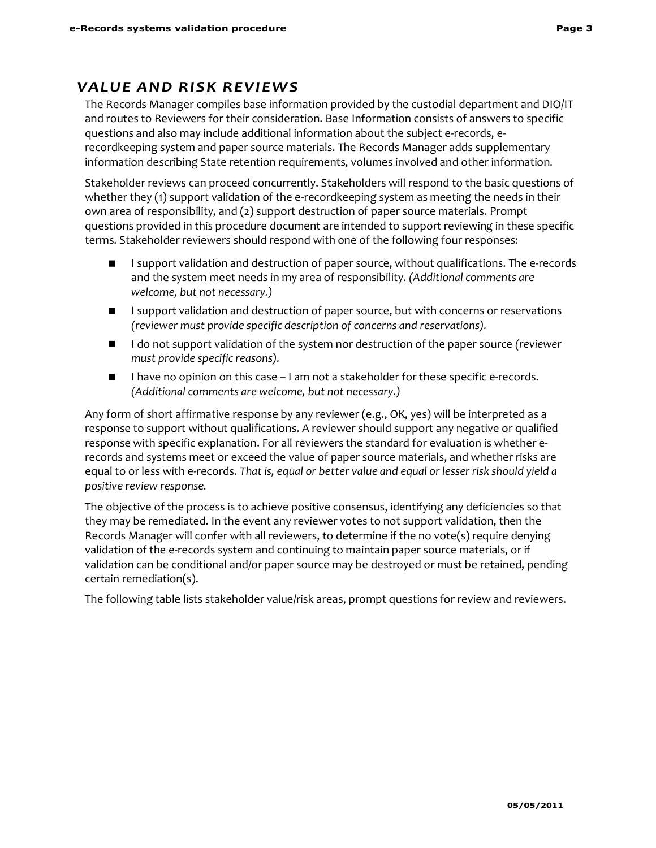## *VALUE AND RISK REVIEWS*

The Records Manager compiles base information provided by the custodial department and DIO/IT and routes to Reviewers for their consideration. Base Information consists of answers to specific questions and also may include additional information about the subject e-rec0rds, erecordkeeping system and paper source materials. The Records Manager adds supplementary information describing State retention requirements, volumes involved and other information.

Stakeholder reviews can proceed concurrently. Stakeholders will respond to the basic questions of whether they (1) support validation of the e-recordkeeping system as meeting the needs in their own area of responsibility, and (2) support destruction of paper source materials. Prompt questions provided in this procedure document are intended to support reviewing in these specific terms. Stakeholder reviewers should respond with one of the following four responses:

- I support validation and destruction of paper source, without qualifications. The e-records and the system meet needs in my area of responsibility. *(Additional comments are welcome, but not necessary.)*
- **I** I support validation and destruction of paper source, but with concerns or reservations *(reviewer must provide specific description of concerns and reservations).*
- **I do not support validation of the system nor destruction of the paper source** *(reviewer***)** *must provide specific reasons).*
- I have no opinion on this case I am not a stakeholder for these specific e-records. *(Additional comments are welcome, but not necessary.)*

Any form of short affirmative response by any reviewer (e.g., OK, yes) will be interpreted as a response to support without qualifications. A reviewer should support any negative or qualified response with specific explanation. For all reviewers the standard for evaluation is whether erecords and systems meet or exceed the value of paper source materials, and whether risks are equal to or less with e-records. *That is, equal or better value and equal or lesser risk should yield a positive review response.*

The objective of the process is to achieve positive consensus, identifying any deficiencies so that they may be remediated. In the event any reviewer votes to not support validation, then the Records Manager will confer with all reviewers, to determine if the no vote(s) require denying validation of the e-records system and continuing to maintain paper source materials, or if validation can be conditional and/or paper source may be destroyed or must be retained, pending certain remediation(s).

The following table lists stakeholder value/risk areas, prompt questions for review and reviewers.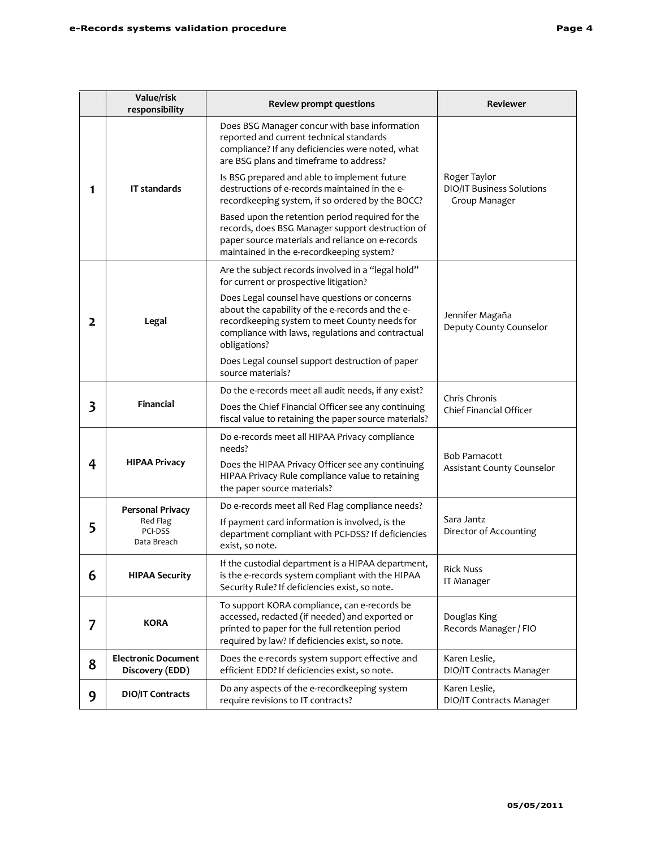|   | Value/risk<br>responsibility                  | <b>Review prompt questions</b>                                                                                                                                                                                          | Reviewer                                                   |  |  |
|---|-----------------------------------------------|-------------------------------------------------------------------------------------------------------------------------------------------------------------------------------------------------------------------------|------------------------------------------------------------|--|--|
|   |                                               | Does BSG Manager concur with base information<br>reported and current technical standards<br>compliance? If any deficiencies were noted, what<br>are BSG plans and timeframe to address?                                |                                                            |  |  |
| 1 | <b>IT standards</b>                           | Is BSG prepared and able to implement future<br>destructions of e-records maintained in the e-<br>recordkeeping system, if so ordered by the BOCC?                                                                      | Roger Taylor<br>DIO/IT Business Solutions<br>Group Manager |  |  |
|   |                                               | Based upon the retention period required for the<br>records, does BSG Manager support destruction of<br>paper source materials and reliance on e-records<br>maintained in the e-recordkeeping system?                   |                                                            |  |  |
|   |                                               | Are the subject records involved in a "legal hold"<br>for current or prospective litigation?                                                                                                                            |                                                            |  |  |
| 2 | Legal                                         | Does Legal counsel have questions or concerns<br>about the capability of the e-records and the e-<br>recordkeeping system to meet County needs for<br>compliance with laws, regulations and contractual<br>obligations? | Jennifer Magaña<br>Deputy County Counselor                 |  |  |
|   |                                               | Does Legal counsel support destruction of paper<br>source materials?                                                                                                                                                    |                                                            |  |  |
| 3 | Financial                                     | Do the e-records meet all audit needs, if any exist?                                                                                                                                                                    | Chris Chronis                                              |  |  |
|   |                                               | Does the Chief Financial Officer see any continuing<br>fiscal value to retaining the paper source materials?                                                                                                            | <b>Chief Financial Officer</b>                             |  |  |
|   |                                               | Do e-records meet all HIPAA Privacy compliance<br>needs?                                                                                                                                                                | <b>Bob Parnacott</b>                                       |  |  |
| 4 | <b>HIPAA Privacy</b>                          | Does the HIPAA Privacy Officer see any continuing<br>HIPAA Privacy Rule compliance value to retaining<br>the paper source materials?                                                                                    | Assistant County Counselor                                 |  |  |
|   | <b>Personal Privacy</b>                       | Do e-records meet all Red Flag compliance needs?                                                                                                                                                                        |                                                            |  |  |
| 5 | Red Flag<br>PCI-DSS<br>Data Breach            | If payment card information is involved, is the<br>department compliant with PCI-DSS? If deficiencies<br>exist, so note.                                                                                                | Sara Jantz<br>Director of Accounting                       |  |  |
| 6 | <b>HIPAA Security</b>                         | If the custodial department is a HIPAA department,<br>is the e-records system compliant with the HIPAA<br>Security Rule? If deficiencies exist, so note.                                                                | <b>Rick Nuss</b><br>IT Manager                             |  |  |
| 7 | <b>KORA</b>                                   | To support KORA compliance, can e-records be<br>accessed, redacted (if needed) and exported or<br>printed to paper for the full retention period<br>required by law? If deficiencies exist, so note.                    | Douglas King<br>Records Manager / FIO                      |  |  |
| 8 | <b>Electronic Document</b><br>Discovery (EDD) | Does the e-records system support effective and<br>efficient EDD? If deficiencies exist, so note.                                                                                                                       | Karen Leslie,<br>DIO/IT Contracts Manager                  |  |  |
| 9 | <b>DIO/IT Contracts</b>                       | Do any aspects of the e-recordkeeping system<br>require revisions to IT contracts?                                                                                                                                      | Karen Leslie,<br>DIO/IT Contracts Manager                  |  |  |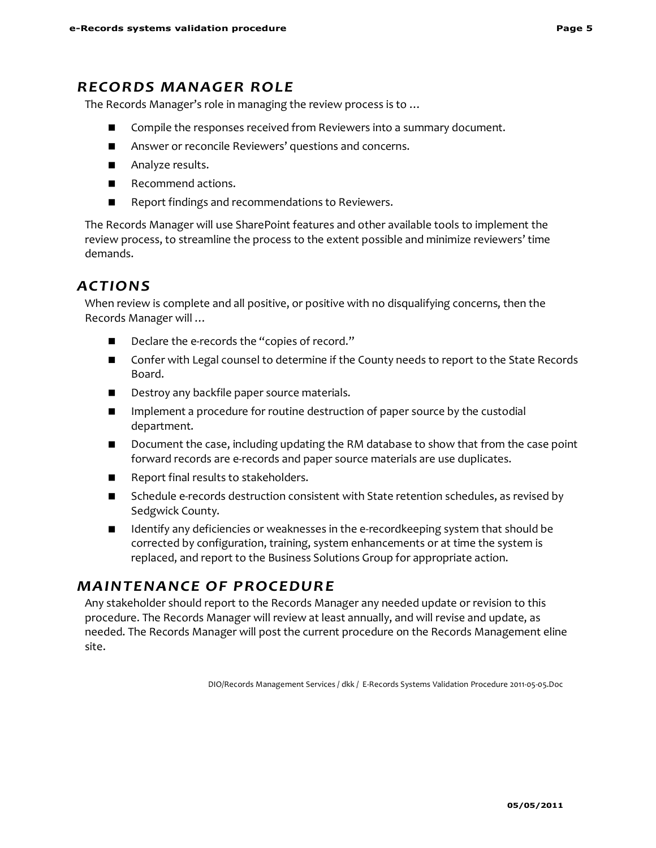## *RECORDS MANAGER ROLE*

The Records Manager's role in managing the review process is to …

- Compile the responses received from Reviewers into a summary document.
- **Answer or reconcile Reviewers' questions and concerns.**
- Analyze results.
- Recommend actions.
- **Report findings and recommendations to Reviewers.**

The Records Manager will use SharePoint features and other available tools to implement the review process, to streamline the process to the extent possible and minimize reviewers' time demands.

## *ACTIONS*

When review is complete and all positive, or positive with no disqualifying concerns, then the Records Manager will …

- Declare the e-records the "copies of record."
- Confer with Legal counsel to determine if the County needs to report to the State Records Board.
- Destroy any backfile paper source materials.
- **IMPLEM** Implement a procedure for routine destruction of paper source by the custodial department.
- **D** Document the case, including updating the RM database to show that from the case point forward records are e-records and paper source materials are use duplicates.
- Report final results to stakeholders.
- **Schedule e-records destruction consistent with State retention schedules, as revised by** Sedgwick County.
- Identify any deficiencies or weaknesses in the e-recordkeeping system that should be corrected by configuration, training, system enhancements or at time the system is replaced, and report to the Business Solutions Group for appropriate action.

## *MAINTENANCE OF PROCEDURE*

Any stakeholder should report to the Records Manager any needed update or revision to this procedure. The Records Manager will review at least annually, and will revise and update, as needed. The Records Manager will post the current procedure on the Records Management eline site.

DIO/Records Management Services / dkk / E-Records Systems Validation Procedure 2011-05-05.Doc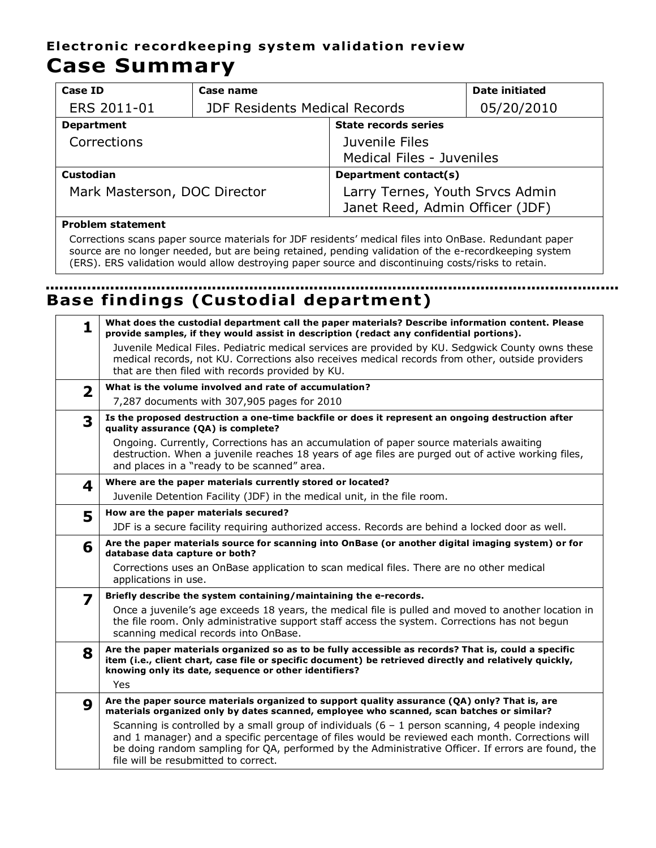## **Electronic recordkeeping system validation review Case Summary**

| Case ID                      | Case name                            |                                                                    | Date initiated |  |  |
|------------------------------|--------------------------------------|--------------------------------------------------------------------|----------------|--|--|
| ERS 2011-01                  | <b>JDF Residents Medical Records</b> | 05/20/2010                                                         |                |  |  |
| <b>Department</b>            |                                      | <b>State records series</b>                                        |                |  |  |
| Corrections                  |                                      | Juvenile Files                                                     |                |  |  |
|                              |                                      | Medical Files - Juveniles                                          |                |  |  |
| Custodian                    |                                      | Department contact(s)                                              |                |  |  |
| Mark Masterson, DOC Director |                                      | Larry Ternes, Youth Srvcs Admin<br>Janet Reed, Admin Officer (JDF) |                |  |  |
|                              |                                      |                                                                    |                |  |  |

## **Problem statement**

Corrections scans paper source materials for JDF residents' medical files into OnBase. Redundant paper source are no longer needed, but are being retained, pending validation of the e-recordkeeping system (ERS). ERS validation would allow destroying paper source and discontinuing costs/risks to retain.

## **Base findings (Custodial department)**

| 1                       | What does the custodial department call the paper materials? Describe information content. Please<br>provide samples, if they would assist in description (redact any confidential portions).                                                                                                                                                         |
|-------------------------|-------------------------------------------------------------------------------------------------------------------------------------------------------------------------------------------------------------------------------------------------------------------------------------------------------------------------------------------------------|
|                         | Juvenile Medical Files. Pediatric medical services are provided by KU. Sedgwick County owns these<br>medical records, not KU. Corrections also receives medical records from other, outside providers<br>that are then filed with records provided by KU.                                                                                             |
| $\overline{\mathbf{2}}$ | What is the volume involved and rate of accumulation?                                                                                                                                                                                                                                                                                                 |
|                         | 7,287 documents with 307,905 pages for 2010                                                                                                                                                                                                                                                                                                           |
| 3                       | Is the proposed destruction a one-time backfile or does it represent an ongoing destruction after<br>quality assurance (QA) is complete?                                                                                                                                                                                                              |
|                         | Ongoing. Currently, Corrections has an accumulation of paper source materials awaiting<br>destruction. When a juvenile reaches 18 years of age files are purged out of active working files,<br>and places in a "ready to be scanned" area.                                                                                                           |
| 4                       | Where are the paper materials currently stored or located?                                                                                                                                                                                                                                                                                            |
|                         | Juvenile Detention Facility (JDF) in the medical unit, in the file room.                                                                                                                                                                                                                                                                              |
| 5                       | How are the paper materials secured?                                                                                                                                                                                                                                                                                                                  |
|                         | JDF is a secure facility requiring authorized access. Records are behind a locked door as well.                                                                                                                                                                                                                                                       |
| 6                       | Are the paper materials source for scanning into OnBase (or another digital imaging system) or for<br>database data capture or both?                                                                                                                                                                                                                  |
|                         | Corrections uses an OnBase application to scan medical files. There are no other medical<br>applications in use.                                                                                                                                                                                                                                      |
| 7                       | Briefly describe the system containing/maintaining the e-records.                                                                                                                                                                                                                                                                                     |
|                         | Once a juvenile's age exceeds 18 years, the medical file is pulled and moved to another location in<br>the file room. Only administrative support staff access the system. Corrections has not begun<br>scanning medical records into OnBase.                                                                                                         |
| 8                       | Are the paper materials organized so as to be fully accessible as records? That is, could a specific<br>item (i.e., client chart, case file or specific document) be retrieved directly and relatively quickly,<br>knowing only its date, sequence or other identifiers?                                                                              |
|                         | Yes                                                                                                                                                                                                                                                                                                                                                   |
| 9                       | Are the paper source materials organized to support quality assurance (QA) only? That is, are<br>materials organized only by dates scanned, employee who scanned, scan batches or similar?                                                                                                                                                            |
|                         | Scanning is controlled by a small group of individuals $(6 - 1)$ person scanning, 4 people indexing<br>and 1 manager) and a specific percentage of files would be reviewed each month. Corrections will<br>be doing random sampling for QA, performed by the Administrative Officer. If errors are found, the<br>file will be resubmitted to correct. |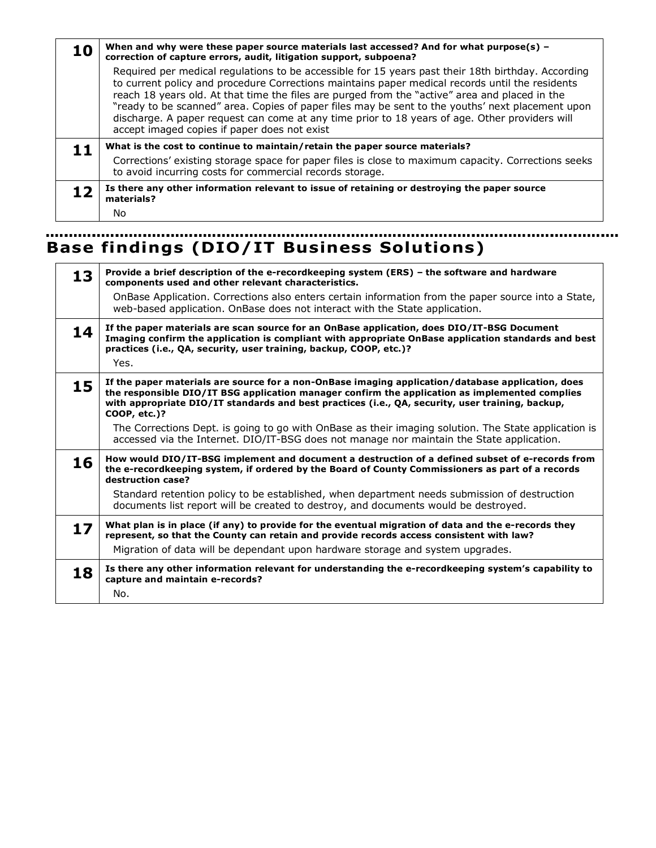| 10 | When and why were these paper source materials last accessed? And for what purpose(s) $-$<br>correction of capture errors, audit, litigation support, subpoena?                                                                                                                                                                                                                                                                                                                                                                                               |  |  |  |  |  |  |  |  |
|----|---------------------------------------------------------------------------------------------------------------------------------------------------------------------------------------------------------------------------------------------------------------------------------------------------------------------------------------------------------------------------------------------------------------------------------------------------------------------------------------------------------------------------------------------------------------|--|--|--|--|--|--|--|--|
|    | Required per medical regulations to be accessible for 15 years past their 18th birthday. According<br>to current policy and procedure Corrections maintains paper medical records until the residents<br>reach 18 years old. At that time the files are purged from the "active" area and placed in the<br>"ready to be scanned" area. Copies of paper files may be sent to the youths' next placement upon<br>discharge. A paper request can come at any time prior to 18 years of age. Other providers will<br>accept imaged copies if paper does not exist |  |  |  |  |  |  |  |  |
| 11 | What is the cost to continue to maintain/retain the paper source materials?                                                                                                                                                                                                                                                                                                                                                                                                                                                                                   |  |  |  |  |  |  |  |  |
|    | Corrections' existing storage space for paper files is close to maximum capacity. Corrections seeks<br>to avoid incurring costs for commercial records storage.                                                                                                                                                                                                                                                                                                                                                                                               |  |  |  |  |  |  |  |  |
| 12 | Is there any other information relevant to issue of retaining or destroying the paper source<br>materials?                                                                                                                                                                                                                                                                                                                                                                                                                                                    |  |  |  |  |  |  |  |  |
|    | No                                                                                                                                                                                                                                                                                                                                                                                                                                                                                                                                                            |  |  |  |  |  |  |  |  |

# **Base findings (DIO/IT Business Solutions)**

| 13 | Provide a brief description of the e-recordkeeping system (ERS) - the software and hardware<br>components used and other relevant characteristics.<br>OnBase Application. Corrections also enters certain information from the paper source into a State,<br>web-based application. OnBase does not interact with the State application. |
|----|------------------------------------------------------------------------------------------------------------------------------------------------------------------------------------------------------------------------------------------------------------------------------------------------------------------------------------------|
| 14 | If the paper materials are scan source for an OnBase application, does DIO/IT-BSG Document<br>Imaging confirm the application is compliant with appropriate OnBase application standards and best<br>practices (i.e., QA, security, user training, backup, COOP, etc.)?<br>Yes.                                                          |
| 15 | If the paper materials are source for a non-OnBase imaging application/database application, does<br>the responsible DIO/IT BSG application manager confirm the application as implemented complies<br>with appropriate DIO/IT standards and best practices (i.e., QA, security, user training, backup,<br>COOP, etc.)?                  |
|    | The Corrections Dept. is going to go with OnBase as their imaging solution. The State application is<br>accessed via the Internet. DIO/IT-BSG does not manage nor maintain the State application.                                                                                                                                        |
| 16 | How would DIO/IT-BSG implement and document a destruction of a defined subset of e-records from<br>the e-recordkeeping system, if ordered by the Board of County Commissioners as part of a records<br>destruction case?                                                                                                                 |
|    | Standard retention policy to be established, when department needs submission of destruction<br>documents list report will be created to destroy, and documents would be destroyed.                                                                                                                                                      |
| 17 | What plan is in place (if any) to provide for the eventual migration of data and the e-records they<br>represent, so that the County can retain and provide records access consistent with law?<br>Migration of data will be dependant upon hardware storage and system upgrades.                                                        |
| 18 | Is there any other information relevant for understanding the e-recordkeeping system's capability to<br>capture and maintain e-records?<br>No.                                                                                                                                                                                           |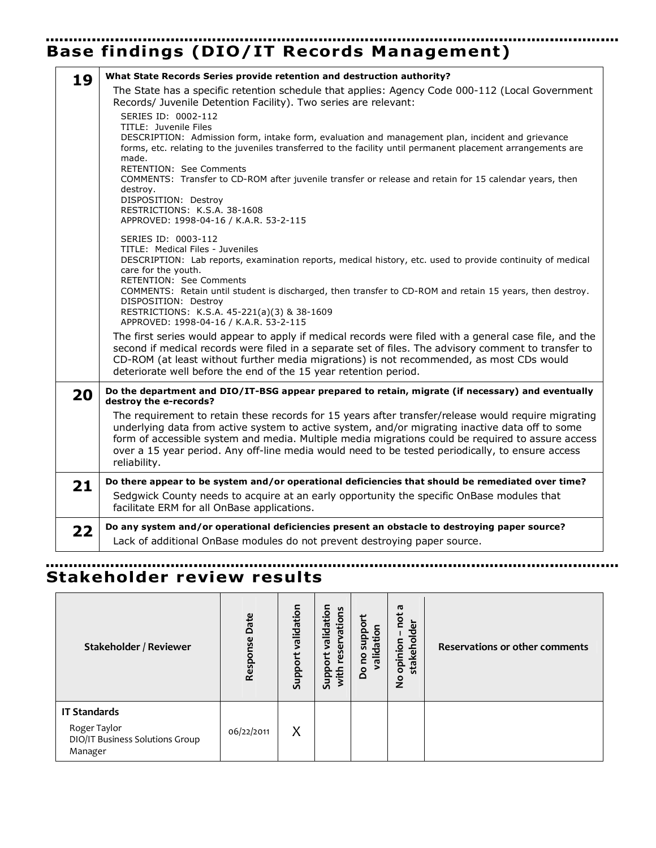## **Base findings (DIO/IT Records Management)**

| 19 | What State Records Series provide retention and destruction authority?                                                                                                                                                                                                                                                                                                                                                                                                                                                              |
|----|-------------------------------------------------------------------------------------------------------------------------------------------------------------------------------------------------------------------------------------------------------------------------------------------------------------------------------------------------------------------------------------------------------------------------------------------------------------------------------------------------------------------------------------|
|    | The State has a specific retention schedule that applies: Agency Code 000-112 (Local Government<br>Records/ Juvenile Detention Facility). Two series are relevant:                                                                                                                                                                                                                                                                                                                                                                  |
|    | SERIES ID: 0002-112<br>TITLE: Juvenile Files<br>DESCRIPTION: Admission form, intake form, evaluation and management plan, incident and grievance<br>forms, etc. relating to the juveniles transferred to the facility until permanent placement arrangements are<br>made.<br><b>RETENTION: See Comments</b><br>COMMENTS: Transfer to CD-ROM after juvenile transfer or release and retain for 15 calendar years, then<br>destroy.<br>DISPOSITION: Destroy<br>RESTRICTIONS: K.S.A. 38-1608<br>APPROVED: 1998-04-16 / K.A.R. 53-2-115 |
|    | SERIES ID: 0003-112<br>TITLE: Medical Files - Juveniles<br>DESCRIPTION: Lab reports, examination reports, medical history, etc. used to provide continuity of medical<br>care for the youth.<br>RETENTION: See Comments<br>COMMENTS: Retain until student is discharged, then transfer to CD-ROM and retain 15 years, then destroy.<br>DISPOSITION: Destroy<br>RESTRICTIONS: K.S.A. 45-221(a)(3) & 38-1609<br>APPROVED: 1998-04-16 / K.A.R. 53-2-115                                                                                |
|    | The first series would appear to apply if medical records were filed with a general case file, and the<br>second if medical records were filed in a separate set of files. The advisory comment to transfer to<br>CD-ROM (at least without further media migrations) is not recommended, as most CDs would<br>deteriorate well before the end of the 15 year retention period.                                                                                                                                                      |
| 20 | Do the department and DIO/IT-BSG appear prepared to retain, migrate (if necessary) and eventually<br>destroy the e-records?                                                                                                                                                                                                                                                                                                                                                                                                         |
|    | The requirement to retain these records for 15 years after transfer/release would require migrating<br>underlying data from active system to active system, and/or migrating inactive data off to some<br>form of accessible system and media. Multiple media migrations could be required to assure access<br>over a 15 year period. Any off-line media would need to be tested periodically, to ensure access<br>reliability.                                                                                                     |
| 21 | Do there appear to be system and/or operational deficiencies that should be remediated over time?                                                                                                                                                                                                                                                                                                                                                                                                                                   |
|    | Sedgwick County needs to acquire at an early opportunity the specific OnBase modules that<br>facilitate ERM for all OnBase applications.                                                                                                                                                                                                                                                                                                                                                                                            |
| 22 | Do any system and/or operational deficiencies present an obstacle to destroying paper source?                                                                                                                                                                                                                                                                                                                                                                                                                                       |
|    | Lack of additional OnBase modules do not prevent destroying paper source.                                                                                                                                                                                                                                                                                                                                                                                                                                                           |

#### <u>. . . . . . . . . . . . . .</u> **Stakeholder review results**

| Stakeholder / Reviewer                                                            | Date<br>Response | validation<br>Support | validation<br>vations<br>reser<br>ᢡ<br><b>ddns</b><br>with | support<br>validation<br>Dono | π<br>not<br>stakeholder<br>opinion<br>$\frac{1}{2}$ | <b>Reservations or other comments</b> |
|-----------------------------------------------------------------------------------|------------------|-----------------------|------------------------------------------------------------|-------------------------------|-----------------------------------------------------|---------------------------------------|
| <b>IT Standards</b><br>Roger Taylor<br>DIO/IT Business Solutions Group<br>Manager | 06/22/2011       | X                     |                                                            |                               |                                                     |                                       |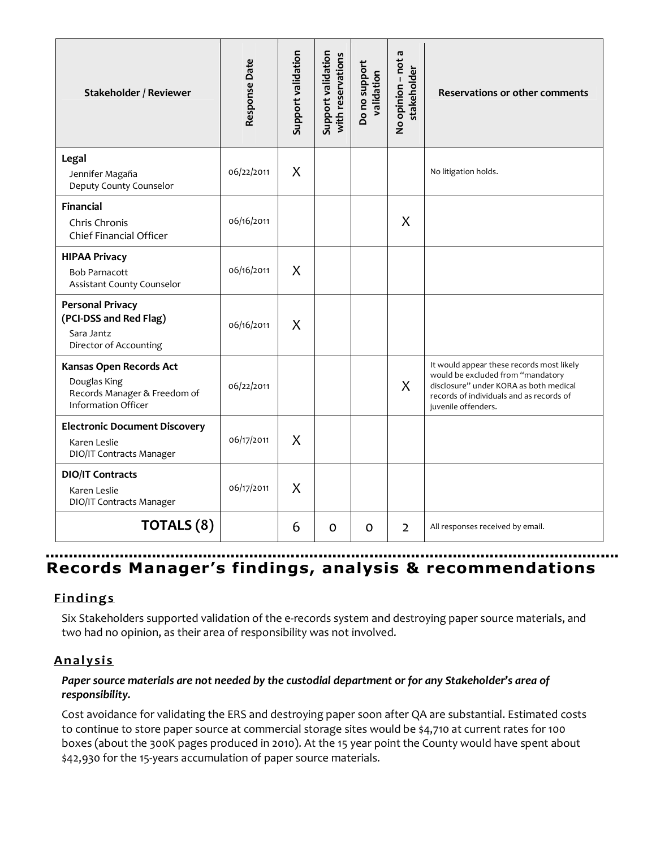| Stakeholder / Reviewer                                                                                | Response Date | Support validation | Support validation<br>with reservations | Do no support<br>validation | No opinion - not a<br>stakeholder | <b>Reservations or other comments</b>                                                                                                                                                       |
|-------------------------------------------------------------------------------------------------------|---------------|--------------------|-----------------------------------------|-----------------------------|-----------------------------------|---------------------------------------------------------------------------------------------------------------------------------------------------------------------------------------------|
| Legal<br>Jennifer Magaña<br>Deputy County Counselor                                                   | 06/22/2011    | X                  |                                         |                             |                                   | No litigation holds.                                                                                                                                                                        |
| <b>Financial</b><br>Chris Chronis<br>Chief Financial Officer                                          | 06/16/2011    |                    |                                         |                             | X                                 |                                                                                                                                                                                             |
| <b>HIPAA Privacy</b><br><b>Bob Parnacott</b><br>Assistant County Counselor                            | 06/16/2011    | X                  |                                         |                             |                                   |                                                                                                                                                                                             |
| <b>Personal Privacy</b><br>(PCI-DSS and Red Flag)<br>Sara Jantz<br>Director of Accounting             | 06/16/2011    | X                  |                                         |                             |                                   |                                                                                                                                                                                             |
| Kansas Open Records Act<br>Douglas King<br>Records Manager & Freedom of<br><b>Information Officer</b> | 06/22/2011    |                    |                                         |                             | X                                 | It would appear these records most likely<br>would be excluded from "mandatory<br>disclosure" under KORA as both medical<br>records of individuals and as records of<br>juvenile offenders. |
| <b>Electronic Document Discovery</b><br>Karen Leslie<br>DIO/IT Contracts Manager                      | 06/17/2011    | X                  |                                         |                             |                                   |                                                                                                                                                                                             |
| <b>DIO/IT Contracts</b><br>Karen Leslie<br>DIO/IT Contracts Manager                                   | 06/17/2011    | X                  |                                         |                             |                                   |                                                                                                                                                                                             |
| TOTALS (8)                                                                                            |               | 6                  | 0                                       | 0                           | $\overline{2}$                    | All responses received by email.                                                                                                                                                            |

## **Records Manager's findings, analysis & recommendations**

## **F indings**

Six Stakeholders supported validation of the e-records system and destroying paper source materials, and two had no opinion, as their area of responsibility was not involved.

## **Ana l y sis**

## *Paper source materials are not needed by the custodial department or for any Stakeholder's area of responsibility.*

Cost avoidance for validating the ERS and destroying paper soon after QA are substantial. Estimated costs to continue to store paper source at commercial storage sites would be \$4,710 at current rates for 100 boxes (about the 300K pages produced in 2010). At the 15 year point the County would have spent about \$42,930 for the 15-years accumulation of paper source materials.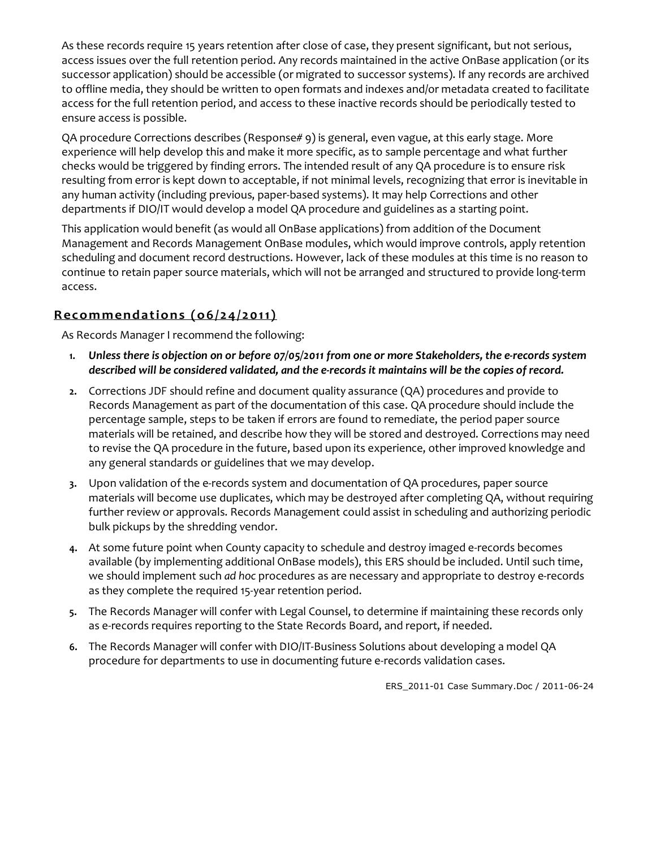As these records require 15 years retention after close of case, they present significant, but not serious, access issues over the full retention period. Any records maintained in the active OnBase application (or its successor application) should be accessible (or migrated to successor systems). If any records are archived to offline media, they should be written to open formats and indexes and/or metadata created to facilitate access for the full retention period, and access to these inactive records should be periodically tested to ensure access is possible.

QA procedure Corrections describes (Response# 9) is general, even vague, at this early stage. More experience will help develop this and make it more specific, as to sample percentage and what further checks would be triggered by finding errors. The intended result of any QA procedure is to ensure risk resulting from error is kept down to acceptable, if not minimal levels, recognizing that error is inevitable in any human activity (including previous, paper-based systems). It may help Corrections and other departments if DIO/IT would develop a model QA procedure and guidelines as a starting point.

This application would benefit (as would all OnBase applications) from addition of the Document Management and Records Management OnBase modules, which would improve controls, apply retention scheduling and document record destructions. However, lack of these modules at this time is no reason to continue to retain paper source materials, which will not be arranged and structured to provide long-term access.

## **Recommendations (06/24/2011)**

As Records Manager I recommend the following:

- **1.** *Unless there is objection on or before 07/05/2011 from one or more Stakeholders, the e-records system described will be considered validated, and the e-records it maintains will be the copies of record.*
- **2.** Corrections JDF should refine and document quality assurance (QA) procedures and provide to Records Management as part of the documentation of this case. QA procedure should include the percentage sample, steps to be taken if errors are found to remediate, the period paper source materials will be retained, and describe how they will be stored and destroyed. Corrections may need to revise the QA procedure in the future, based upon its experience, other improved knowledge and any general standards or guidelines that we may develop.
- **3.** Upon validation of the e-records system and documentation of QA procedures, paper source materials will become use duplicates, which may be destroyed after completing QA, without requiring further review or approvals. Records Management could assist in scheduling and authorizing periodic bulk pickups by the shredding vendor.
- **4.** At some future point when County capacity to schedule and destroy imaged e-records becomes available (by implementing additional OnBase models), this ERS should be included. Until such time, we should implement such *ad hoc* procedures as are necessary and appropriate to destroy e-records as they complete the required 15-year retention period.
- **5.** The Records Manager will confer with Legal Counsel, to determine if maintaining these records only as e-records requires reporting to the State Records Board, and report, if needed.
- **6.** The Records Manager will confer with DIO/IT-Business Solutions about developing a model QA procedure for departments to use in documenting future e-records validation cases.

ERS\_2011-01 Case Summary.Doc / 2011-06-24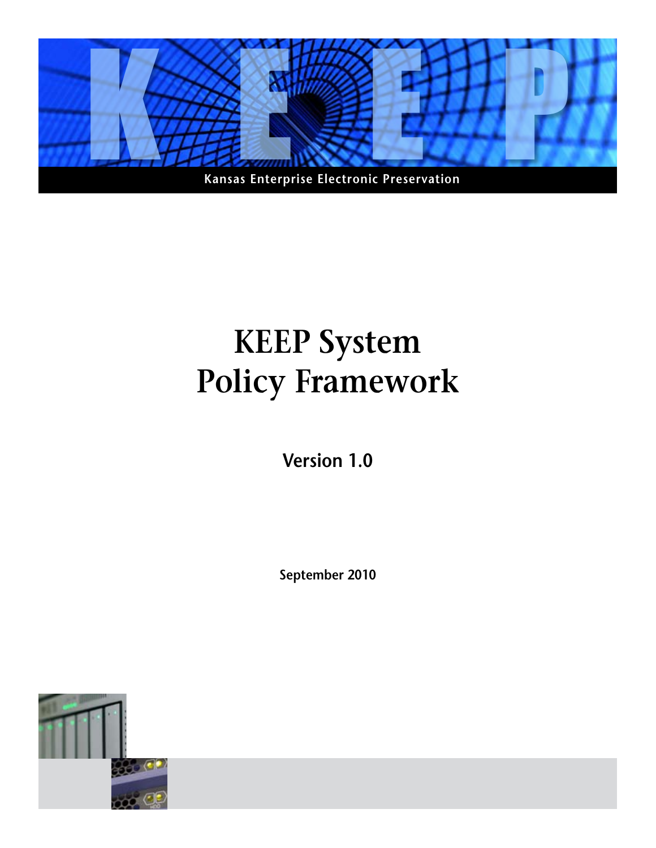

# **KEEP System Policy Framework**

**Version 1.0**

**September 2010**

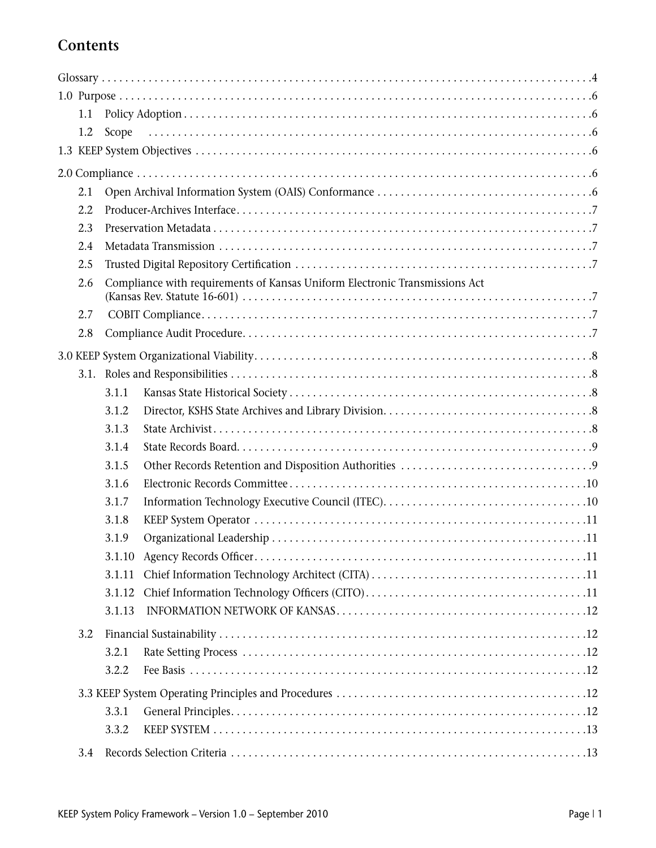## **Contents**

| 1.1  |        |                                                                             |
|------|--------|-----------------------------------------------------------------------------|
| 1.2  | Scope  |                                                                             |
|      |        |                                                                             |
|      |        |                                                                             |
| 2.1  |        |                                                                             |
| 2.2  |        |                                                                             |
| 2.3  |        |                                                                             |
| 2.4  |        |                                                                             |
| 2.5  |        |                                                                             |
| 2.6  |        | Compliance with requirements of Kansas Uniform Electronic Transmissions Act |
|      |        |                                                                             |
| 2.7  |        |                                                                             |
| 2.8  |        |                                                                             |
|      |        |                                                                             |
| 3.1. |        |                                                                             |
|      | 3.1.1  |                                                                             |
|      | 3.1.2  |                                                                             |
|      | 3.1.3  |                                                                             |
|      | 3.1.4  |                                                                             |
|      | 3.1.5  |                                                                             |
|      | 3.1.6  |                                                                             |
|      | 3.1.7  |                                                                             |
|      | 3.1.8  |                                                                             |
|      | 3.1.9  |                                                                             |
|      |        |                                                                             |
|      | 3.1.11 |                                                                             |
|      | 3.1.12 |                                                                             |
|      | 3.1.13 |                                                                             |
| 3.2  |        |                                                                             |
|      | 3.2.1  |                                                                             |
|      | 3.2.2  |                                                                             |
|      |        |                                                                             |
|      | 3.3.1  |                                                                             |
|      | 3.3.2  |                                                                             |
| 3.4  |        |                                                                             |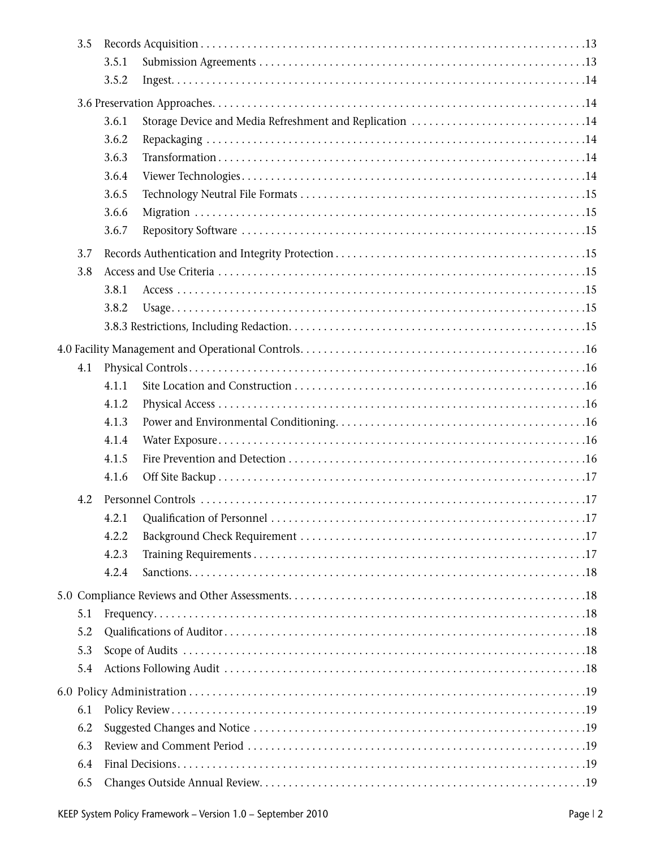| 3.5 |       |                                                         |
|-----|-------|---------------------------------------------------------|
|     | 3.5.1 |                                                         |
|     | 3.5.2 |                                                         |
|     |       |                                                         |
|     | 3.6.1 | Storage Device and Media Refreshment and Replication 14 |
|     | 3.6.2 |                                                         |
|     | 3.6.3 |                                                         |
|     | 3.6.4 |                                                         |
|     | 3.6.5 |                                                         |
|     | 3.6.6 |                                                         |
|     | 3.6.7 |                                                         |
| 3.7 |       |                                                         |
| 3.8 |       |                                                         |
|     |       |                                                         |
|     | 3.8.1 |                                                         |
|     | 3.8.2 |                                                         |
|     |       |                                                         |
|     |       |                                                         |
| 4.1 |       |                                                         |
|     | 4.1.1 |                                                         |
|     | 4.1.2 |                                                         |
|     | 4.1.3 |                                                         |
|     | 4.1.4 |                                                         |
|     | 4.1.5 |                                                         |
|     | 4.1.6 |                                                         |
| 4.2 |       |                                                         |
|     | 4.2.1 |                                                         |
|     | 4.2.2 |                                                         |
|     | 4.2.3 |                                                         |
|     | 4.2.4 |                                                         |
|     |       |                                                         |
| 5.1 |       |                                                         |
| 5.2 |       |                                                         |
| 5.3 |       |                                                         |
| 5.4 |       |                                                         |
|     |       |                                                         |
| 6.1 |       |                                                         |
| 6.2 |       |                                                         |
| 6.3 |       |                                                         |
| 6.4 |       |                                                         |
| 6.5 |       |                                                         |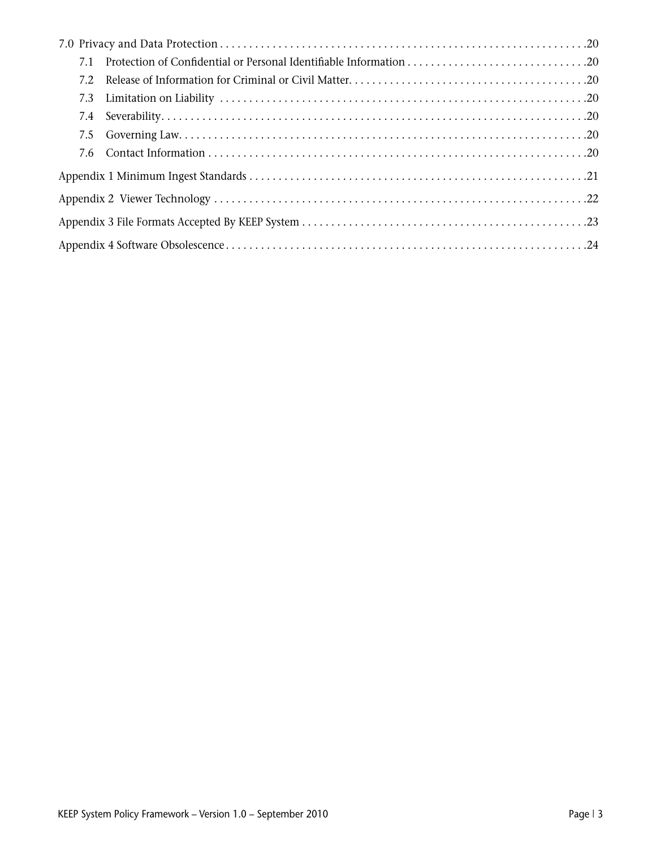| 7.1  |  |  |  |  |  |
|------|--|--|--|--|--|
| 7.2. |  |  |  |  |  |
| 7.3  |  |  |  |  |  |
|      |  |  |  |  |  |
|      |  |  |  |  |  |
|      |  |  |  |  |  |
|      |  |  |  |  |  |
|      |  |  |  |  |  |
|      |  |  |  |  |  |
|      |  |  |  |  |  |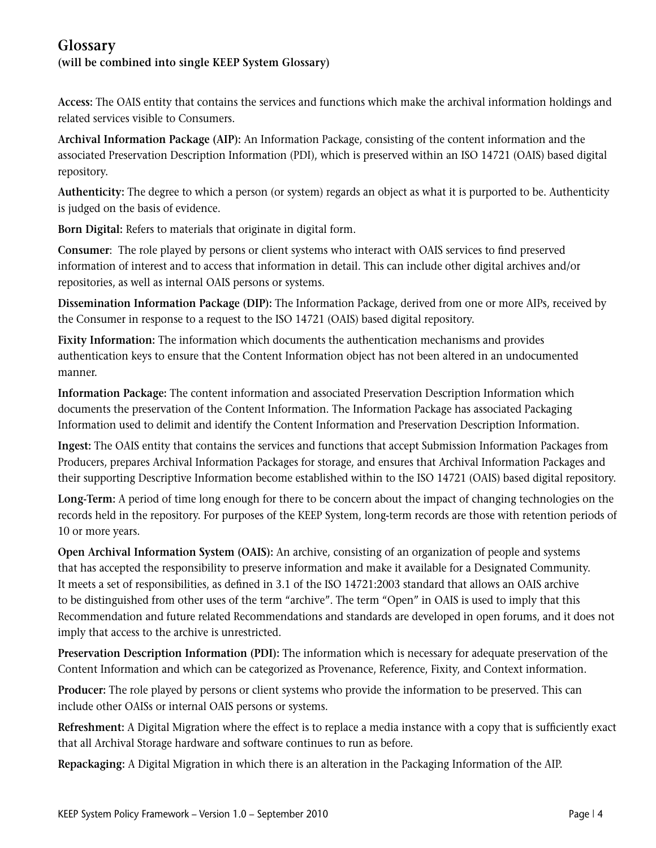## **Glossary**

## **(will be combined into single KEEP System Glossary)**

**Access:** The OAIS entity that contains the services and functions which make the archival information holdings and related services visible to Consumers.

**Archival Information Package (AIP):** An Information Package, consisting of the content information and the associated Preservation Description Information (PDI), which is preserved within an ISO 14721 (OAIS) based digital repository.

**Authenticity:** The degree to which a person (or system) regards an object as what it is purported to be. Authenticity is judged on the basis of evidence.

**Born Digital:** Refers to materials that originate in digital form.

**Consumer**: The role played by persons or client systems who interact with OAIS services to find preserved information of interest and to access that information in detail. This can include other digital archives and/or repositories, as well as internal OAIS persons or systems.

**Dissemination Information Package (DIP):** The Information Package, derived from one or more AIPs, received by the Consumer in response to a request to the ISO 14721 (OAIS) based digital repository.

**Fixity Information:** The information which documents the authentication mechanisms and provides authentication keys to ensure that the Content Information object has not been altered in an undocumented manner.

**Information Package:** The content information and associated Preservation Description Information which documents the preservation of the Content Information. The Information Package has associated Packaging Information used to delimit and identify the Content Information and Preservation Description Information.

**Ingest:** The OAIS entity that contains the services and functions that accept Submission Information Packages from Producers, prepares Archival Information Packages for storage, and ensures that Archival Information Packages and their supporting Descriptive Information become established within to the ISO 14721 (OAIS) based digital repository.

**Long-Term:** A period of time long enough for there to be concern about the impact of changing technologies on the records held in the repository. For purposes of the KEEP System, long-term records are those with retention periods of 10 or more years.

**Open Archival Information System (OAIS):** An archive, consisting of an organization of people and systems that has accepted the responsibility to preserve information and make it available for a Designated Community. It meets a set of responsibilities, as defined in 3.1 of the ISO 14721:2003 standard that allows an OAIS archive to be distinguished from other uses of the term "archive". The term "Open" in OAIS is used to imply that this Recommendation and future related Recommendations and standards are developed in open forums, and it does not imply that access to the archive is unrestricted.

**Preservation Description Information (PDI):** The information which is necessary for adequate preservation of the Content Information and which can be categorized as Provenance, Reference, Fixity, and Context information.

**Producer:** The role played by persons or client systems who provide the information to be preserved. This can include other OAISs or internal OAIS persons or systems.

**Refreshment:** A Digital Migration where the effect is to replace a media instance with a copy that is sufficiently exact that all Archival Storage hardware and software continues to run as before.

**Repackaging:** A Digital Migration in which there is an alteration in the Packaging Information of the AIP.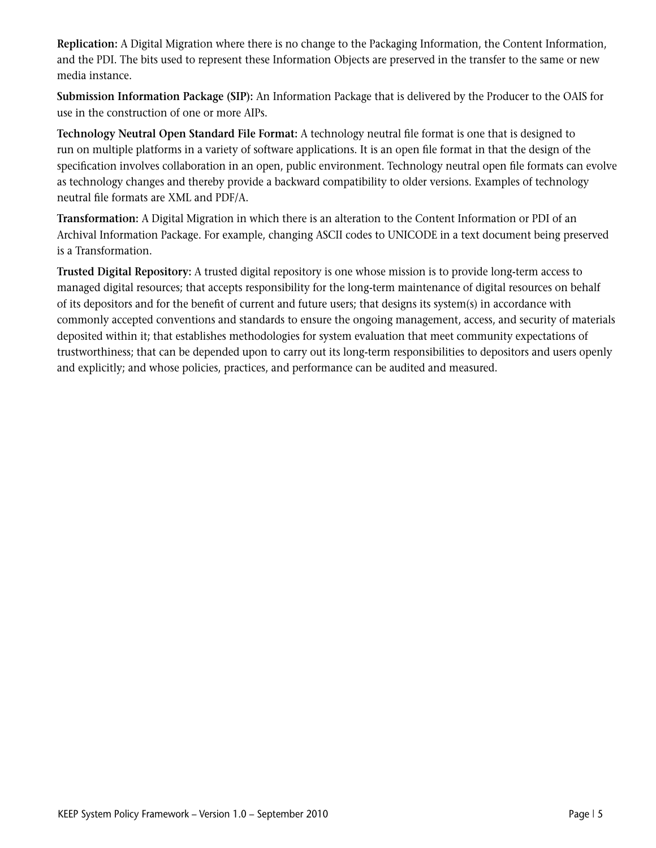**Replication:** A Digital Migration where there is no change to the Packaging Information, the Content Information, and the PDI. The bits used to represent these Information Objects are preserved in the transfer to the same or new media instance.

**Submission Information Package (SIP):** An Information Package that is delivered by the Producer to the OAIS for use in the construction of one or more AIPs.

**Technology Neutral Open Standard File Format:** A technology neutral file format is one that is designed to run on multiple platforms in a variety of software applications. It is an open file format in that the design of the specification involves collaboration in an open, public environment. Technology neutral open file formats can evolve as technology changes and thereby provide a backward compatibility to older versions. Examples of technology neutral file formats are XML and PDF/A.

**Transformation:** A Digital Migration in which there is an alteration to the Content Information or PDI of an Archival Information Package. For example, changing ASCII codes to UNICODE in a text document being preserved is a Transformation.

**Trusted Digital Repository:** A trusted digital repository is one whose mission is to provide long-term access to managed digital resources; that accepts responsibility for the long-term maintenance of digital resources on behalf of its depositors and for the benefit of current and future users; that designs its system(s) in accordance with commonly accepted conventions and standards to ensure the ongoing management, access, and security of materials deposited within it; that establishes methodologies for system evaluation that meet community expectations of trustworthiness; that can be depended upon to carry out its long-term responsibilities to depositors and users openly and explicitly; and whose policies, practices, and performance can be audited and measured.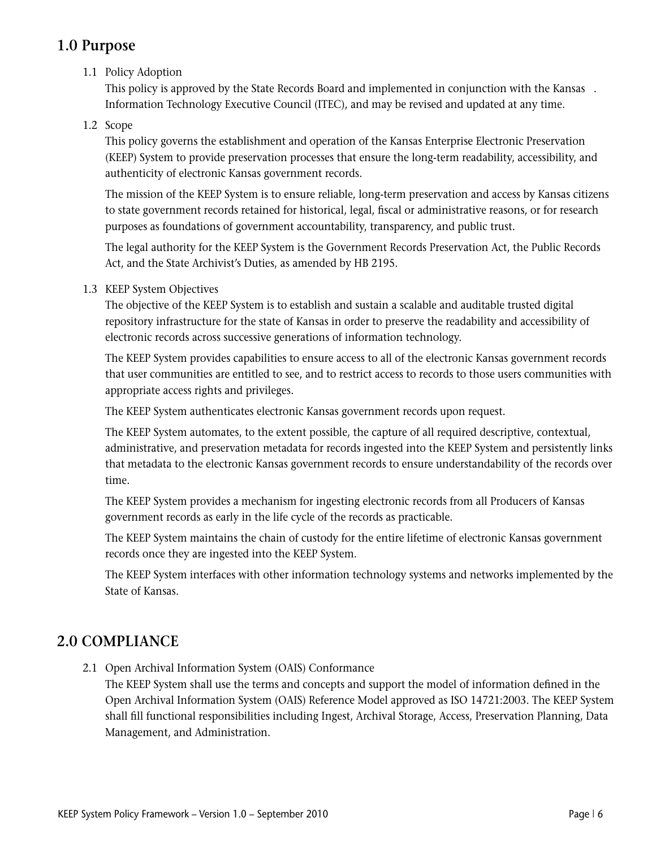## **1.0 Purpose**

## 1.1 Policy Adoption

 This policy is approved by the State Records Board and implemented in conjunction with the Kansas . Information Technology Executive Council (ITEC), and may be revised and updated at any time.

## 1.2 Scope

 This policy governs the establishment and operation of the Kansas Enterprise Electronic Preservation (KEEP) System to provide preservation processes that ensure the long-term readability, accessibility, and authenticity of electronic Kansas government records.

 The mission of the KEEP System is to ensure reliable, long-term preservation and access by Kansas citizens to state government records retained for historical, legal, fiscal or administrative reasons, or for research purposes as foundations of government accountability, transparency, and public trust.

 The legal authority for the KEEP System is the Government Records Preservation Act, the Public Records Act, and the State Archivist's Duties, as amended by HB 2195.

## 1.3 KEEP System Objectives

 The objective of the KEEP System is to establish and sustain a scalable and auditable trusted digital repository infrastructure for the state of Kansas in order to preserve the readability and accessibility of electronic records across successive generations of information technology.

 The KEEP System provides capabilities to ensure access to all of the electronic Kansas government records that user communities are entitled to see, and to restrict access to records to those users communities with appropriate access rights and privileges.

The KEEP System authenticates electronic Kansas government records upon request.

 The KEEP System automates, to the extent possible, the capture of all required descriptive, contextual, administrative, and preservation metadata for records ingested into the KEEP System and persistently links that metadata to the electronic Kansas government records to ensure understandability of the records over time.

 The KEEP System provides a mechanism for ingesting electronic records from all Producers of Kansas government records as early in the life cycle of the records as practicable.

 The KEEP System maintains the chain of custody for the entire lifetime of electronic Kansas government records once they are ingested into the KEEP System.

 The KEEP System interfaces with other information technology systems and networks implemented by the State of Kansas.

## **2.0 COMPLIANCE**

2.1 Open Archival Information System (OAIS) Conformance

 The KEEP System shall use the terms and concepts and support the model of information defined in the Open Archival Information System (OAIS) Reference Model approved as ISO 14721:2003. The KEEP System shall fill functional responsibilities including Ingest, Archival Storage, Access, Preservation Planning, Data Management, and Administration.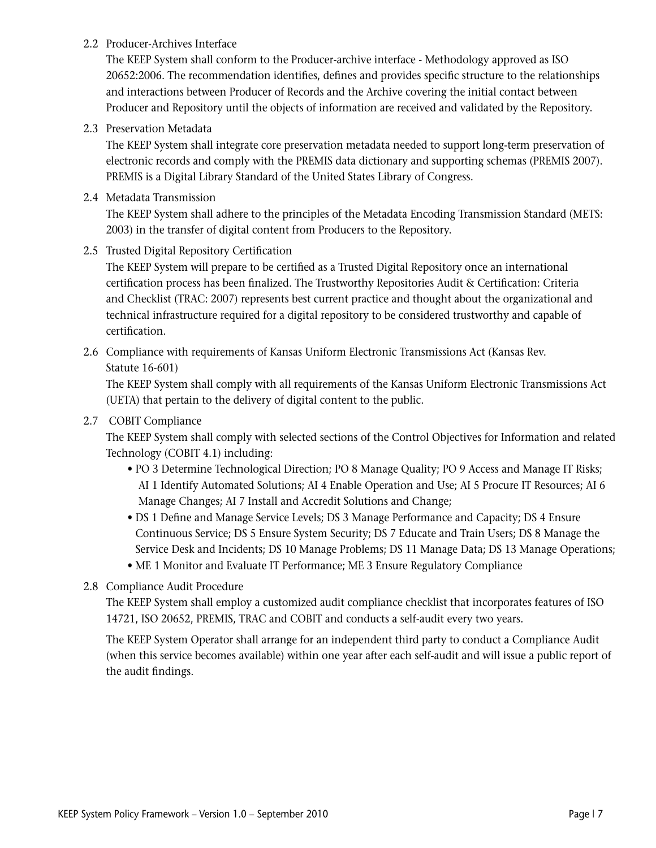## 2.2 Producer-Archives Interface

 The KEEP System shall conform to the Producer-archive interface - Methodology approved as ISO 20652:2006. The recommendation identifies, defines and provides specific structure to the relationships and interactions between Producer of Records and the Archive covering the initial contact between Producer and Repository until the objects of information are received and validated by the Repository.

## 2.3 Preservation Metadata

 The KEEP System shall integrate core preservation metadata needed to support long-term preservation of electronic records and comply with the PREMIS data dictionary and supporting schemas (PREMIS 2007). PREMIS is a Digital Library Standard of the United States Library of Congress.

## 2.4 Metadata Transmission

 The KEEP System shall adhere to the principles of the Metadata Encoding Transmission Standard (METS: 2003) in the transfer of digital content from Producers to the Repository.

## 2.5 Trusted Digital Repository Certification

 The KEEP System will prepare to be certified as a Trusted Digital Repository once an international certification process has been finalized. The Trustworthy Repositories Audit & Certification: Criteria and Checklist (TRAC: 2007) represents best current practice and thought about the organizational and technical infrastructure required for a digital repository to be considered trustworthy and capable of certification.

2.6 Compliance with requirements of Kansas Uniform Electronic Transmissions Act (Kansas Rev. Statute 16-601)

 The KEEP System shall comply with all requirements of the Kansas Uniform Electronic Transmissions Act (UETA) that pertain to the delivery of digital content to the public.

## 2.7 COBIT Compliance

 The KEEP System shall comply with selected sections of the Control Objectives for Information and related Technology (COBIT 4.1) including:

- PO 3 Determine Technological Direction; PO 8 Manage Quality; PO 9 Access and Manage IT Risks; AI 1 Identify Automated Solutions; AI 4 Enable Operation and Use; AI 5 Procure IT Resources; AI 6 Manage Changes; AI 7 Install and Accredit Solutions and Change;
- DS 1 Define and Manage Service Levels; DS 3 Manage Performance and Capacity; DS 4 Ensure Continuous Service; DS 5 Ensure System Security; DS 7 Educate and Train Users; DS 8 Manage the Service Desk and Incidents; DS 10 Manage Problems; DS 11 Manage Data; DS 13 Manage Operations;
- ME 1 Monitor and Evaluate IT Performance; ME 3 Ensure Regulatory Compliance
- 2.8 Compliance Audit Procedure

 The KEEP System shall employ a customized audit compliance checklist that incorporates features of ISO 14721, ISO 20652, PREMIS, TRAC and COBIT and conducts a self-audit every two years.

 The KEEP System Operator shall arrange for an independent third party to conduct a Compliance Audit (when this service becomes available) within one year after each self-audit and will issue a public report of the audit findings.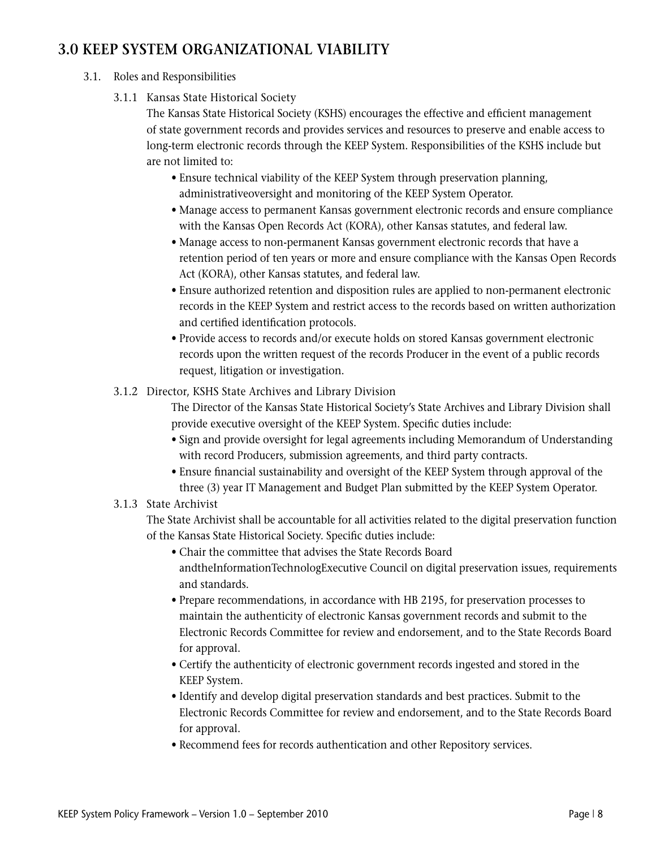## **3.0 KEEP SYSTEM ORGANIZATIONAL VIABILITY**

## 3.1. Roles and Responsibilities

3.1.1 Kansas State Historical Society

 The Kansas State Historical Society (KSHS) encourages the effective and efficient management of state government records and provides services and resources to preserve and enable access to long-term electronic records through the KEEP System. Responsibilities of the KSHS include but are not limited to:

- Ensure technical viability of the KEEP System through preservation planning, administrativeoversight and monitoring of the KEEP System Operator.
- Manage access to permanent Kansas government electronic records and ensure compliance with the Kansas Open Records Act (KORA), other Kansas statutes, and federal law.
- Manage access to non-permanent Kansas government electronic records that have a retention period of ten years or more and ensure compliance with the Kansas Open Records Act (KORA), other Kansas statutes, and federal law.
- Ensure authorized retention and disposition rules are applied to non-permanent electronic records in the KEEP System and restrict access to the records based on written authorization and certified identification protocols.
- Provide access to records and/or execute holds on stored Kansas government electronic records upon the written request of the records Producer in the event of a public records request, litigation or investigation.
- 3.1.2 Director, KSHS State Archives and Library Division

 The Director of the Kansas State Historical Society's State Archives and Library Division shall provide executive oversight of the KEEP System. Specific duties include:

- Sign and provide oversight for legal agreements including Memorandum of Understanding with record Producers, submission agreements, and third party contracts.
- Ensure financial sustainability and oversight of the KEEP System through approval of the three (3) year IT Management and Budget Plan submitted by the KEEP System Operator.

## 3.1.3 State Archivist

 The State Archivist shall be accountable for all activities related to the digital preservation function of the Kansas State Historical Society. Specific duties include:

- Chair the committee that advises the State Records Board andtheInformationTechnologExecutive Council on digital preservation issues, requirements and standards.
- Prepare recommendations, in accordance with HB 2195, for preservation processes to maintain the authenticity of electronic Kansas government records and submit to the Electronic Records Committee for review and endorsement, and to the State Records Board for approval.
- Certify the authenticity of electronic government records ingested and stored in the KEEP System.
- Identify and develop digital preservation standards and best practices. Submit to the Electronic Records Committee for review and endorsement, and to the State Records Board for approval.
- Recommend fees for records authentication and other Repository services.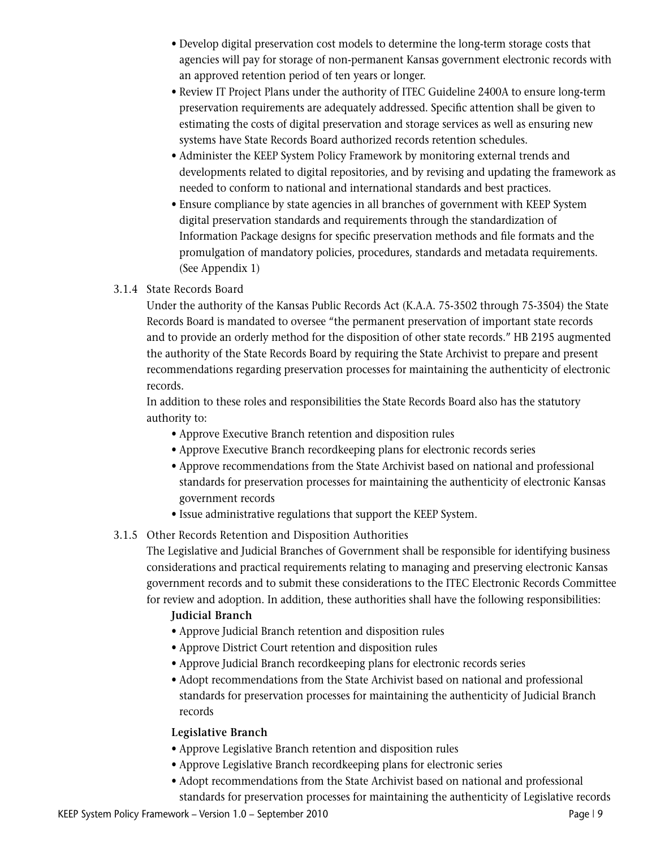- Develop digital preservation cost models to determine the long-term storage costs that agencies will pay for storage of non-permanent Kansas government electronic records with an approved retention period of ten years or longer.
- Review IT Project Plans under the authority of ITEC Guideline 2400A to ensure long-term preservation requirements are adequately addressed. Specific attention shall be given to estimating the costs of digital preservation and storage services as well as ensuring new systems have State Records Board authorized records retention schedules.
- Administer the KEEP System Policy Framework by monitoring external trends and developments related to digital repositories, and by revising and updating the framework as needed to conform to national and international standards and best practices.
- Ensure compliance by state agencies in all branches of government with KEEP System digital preservation standards and requirements through the standardization of Information Package designs for specific preservation methods and file formats and the promulgation of mandatory policies, procedures, standards and metadata requirements. (See Appendix 1)

## 3.1.4 State Records Board

 Under the authority of the Kansas Public Records Act (K.A.A. 75-3502 through 75-3504) the State Records Board is mandated to oversee "the permanent preservation of important state records and to provide an orderly method for the disposition of other state records." HB 2195 augmented the authority of the State Records Board by requiring the State Archivist to prepare and present recommendations regarding preservation processes for maintaining the authenticity of electronic records.

 In addition to these roles and responsibilities the State Records Board also has the statutory authority to:

- Approve Executive Branch retention and disposition rules
- Approve Executive Branch recordkeeping plans for electronic records series
- Approve recommendations from the State Archivist based on national and professional standards for preservation processes for maintaining the authenticity of electronic Kansas government records
- Issue administrative regulations that support the KEEP System.

## 3.1.5 Other Records Retention and Disposition Authorities

 The Legislative and Judicial Branches of Government shall be responsible for identifying business considerations and practical requirements relating to managing and preserving electronic Kansas government records and to submit these considerations to the ITEC Electronic Records Committee for review and adoption. In addition, these authorities shall have the following responsibilities:

## **Judicial Branch**

- Approve Judicial Branch retention and disposition rules
- Approve District Court retention and disposition rules
- Approve Judicial Branch recordkeeping plans for electronic records series
- Adopt recommendations from the State Archivist based on national and professional standards for preservation processes for maintaining the authenticity of Judicial Branch records

## **Legislative Branch**

- Approve Legislative Branch retention and disposition rules
- Approve Legislative Branch recordkeeping plans for electronic series
- Adopt recommendations from the State Archivist based on national and professional standards for preservation processes for maintaining the authenticity of Legislative records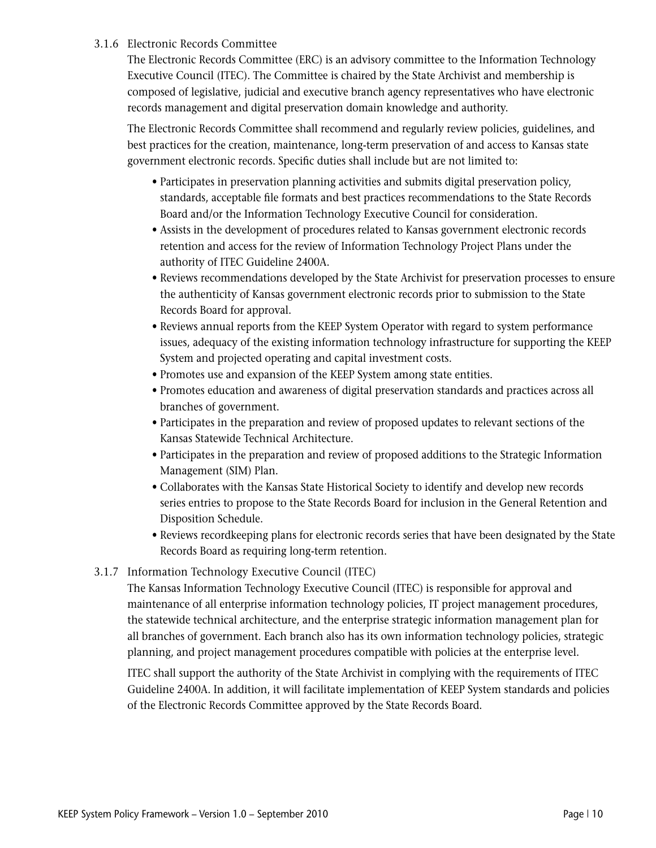## 3.1.6 Electronic Records Committee

 The Electronic Records Committee (ERC) is an advisory committee to the Information Technology Executive Council (ITEC). The Committee is chaired by the State Archivist and membership is composed of legislative, judicial and executive branch agency representatives who have electronic records management and digital preservation domain knowledge and authority.

 The Electronic Records Committee shall recommend and regularly review policies, guidelines, and best practices for the creation, maintenance, long-term preservation of and access to Kansas state government electronic records. Specific duties shall include but are not limited to:

- Participates in preservation planning activities and submits digital preservation policy, standards, acceptable file formats and best practices recommendations to the State Records Board and/or the Information Technology Executive Council for consideration.
- Assists in the development of procedures related to Kansas government electronic records retention and access for the review of Information Technology Project Plans under the authority of ITEC Guideline 2400A.
- Reviews recommendations developed by the State Archivist for preservation processes to ensure the authenticity of Kansas government electronic records prior to submission to the State Records Board for approval.
- Reviews annual reports from the KEEP System Operator with regard to system performance issues, adequacy of the existing information technology infrastructure for supporting the KEEP System and projected operating and capital investment costs.
- Promotes use and expansion of the KEEP System among state entities.
- Promotes education and awareness of digital preservation standards and practices across all branches of government.
- Participates in the preparation and review of proposed updates to relevant sections of the Kansas Statewide Technical Architecture.
- Participates in the preparation and review of proposed additions to the Strategic Information Management (SIM) Plan.
- Collaborates with the Kansas State Historical Society to identify and develop new records series entries to propose to the State Records Board for inclusion in the General Retention and Disposition Schedule.
- Reviews recordkeeping plans for electronic records series that have been designated by the State Records Board as requiring long-term retention.

## 3.1.7 Information Technology Executive Council (ITEC)

 The Kansas Information Technology Executive Council (ITEC) is responsible for approval and maintenance of all enterprise information technology policies, IT project management procedures, the statewide technical architecture, and the enterprise strategic information management plan for all branches of government. Each branch also has its own information technology policies, strategic planning, and project management procedures compatible with policies at the enterprise level.

 ITEC shall support the authority of the State Archivist in complying with the requirements of ITEC Guideline 2400A. In addition, it will facilitate implementation of KEEP System standards and policies of the Electronic Records Committee approved by the State Records Board.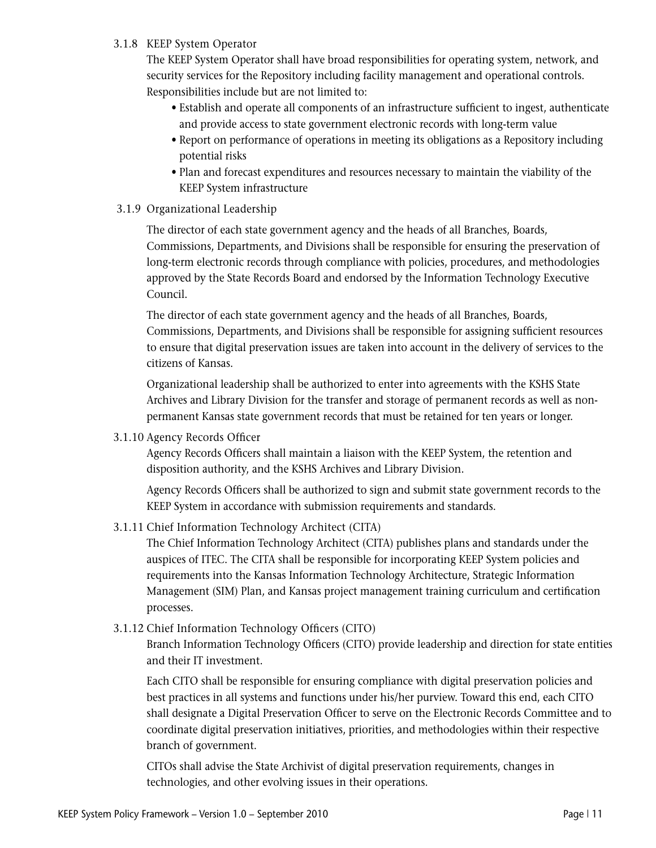## 3.1.8 KEEP System Operator

 The KEEP System Operator shall have broad responsibilities for operating system, network, and security services for the Repository including facility management and operational controls. Responsibilities include but are not limited to:

- Establish and operate all components of an infrastructure sufficient to ingest, authenticate and provide access to state government electronic records with long-term value
- Report on performance of operations in meeting its obligations as a Repository including potential risks
- Plan and forecast expenditures and resources necessary to maintain the viability of the KEEP System infrastructure
- 3.1.9 Organizational Leadership

 The director of each state government agency and the heads of all Branches, Boards, Commissions, Departments, and Divisions shall be responsible for ensuring the preservation of long-term electronic records through compliance with policies, procedures, and methodologies approved by the State Records Board and endorsed by the Information Technology Executive Council.

 The director of each state government agency and the heads of all Branches, Boards, Commissions, Departments, and Divisions shall be responsible for assigning sufficient resources to ensure that digital preservation issues are taken into account in the delivery of services to the citizens of Kansas.

 Organizational leadership shall be authorized to enter into agreements with the KSHS State Archives and Library Division for the transfer and storage of permanent records as well as nonpermanent Kansas state government records that must be retained for ten years or longer.

3.1.10 Agency Records Officer

 Agency Records Officers shall maintain a liaison with the KEEP System, the retention and disposition authority, and the KSHS Archives and Library Division.

 Agency Records Officers shall be authorized to sign and submit state government records to the KEEP System in accordance with submission requirements and standards.

3.1.11 Chief Information Technology Architect (CITA)

 The Chief Information Technology Architect (CITA) publishes plans and standards under the auspices of ITEC. The CITA shall be responsible for incorporating KEEP System policies and requirements into the Kansas Information Technology Architecture, Strategic Information Management (SIM) Plan, and Kansas project management training curriculum and certification processes.

3.1.12 Chief Information Technology Officers (CITO)

 Branch Information Technology Officers (CITO) provide leadership and direction for state entities and their IT investment.

 Each CITO shall be responsible for ensuring compliance with digital preservation policies and best practices in all systems and functions under his/her purview. Toward this end, each CITO shall designate a Digital Preservation Officer to serve on the Electronic Records Committee and to coordinate digital preservation initiatives, priorities, and methodologies within their respective branch of government.

 CITOs shall advise the State Archivist of digital preservation requirements, changes in technologies, and other evolving issues in their operations.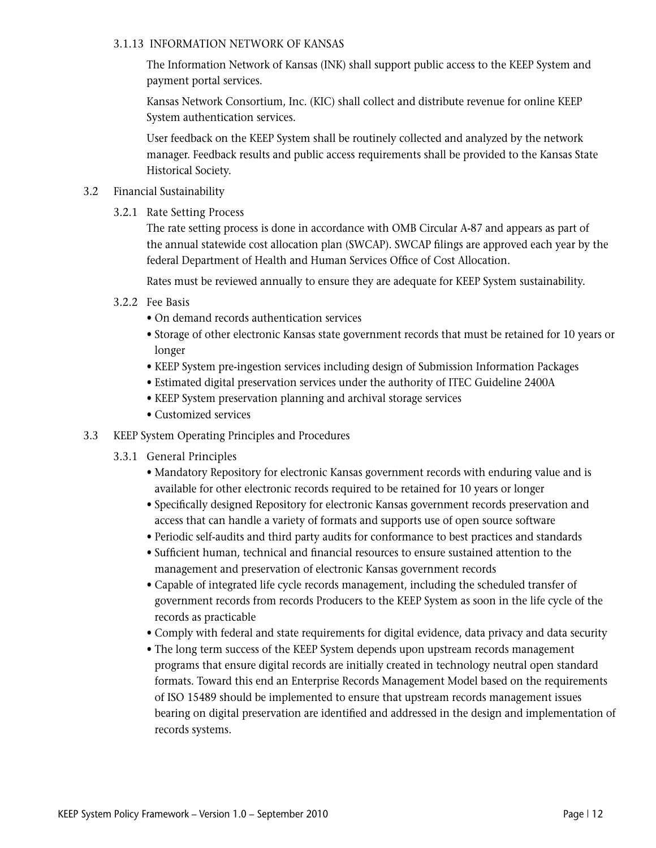#### 3.1.13 INFORMATION NETWORK OF KANSAS

 The Information Network of Kansas (INK) shall support public access to the KEEP System and payment portal services.

 Kansas Network Consortium, Inc. (KIC) shall collect and distribute revenue for online KEEP System authentication services.

 User feedback on the KEEP System shall be routinely collected and analyzed by the network manager. Feedback results and public access requirements shall be provided to the Kansas State Historical Society.

- 3.2 Financial Sustainability
	- 3.2.1 Rate Setting Process

 The rate setting process is done in accordance with OMB Circular A-87 and appears as part of the annual statewide cost allocation plan (SWCAP). SWCAP filings are approved each year by the federal Department of Health and Human Services Office of Cost Allocation.

Rates must be reviewed annually to ensure they are adequate for KEEP System sustainability.

- 3.2.2 Fee Basis
	- On demand records authentication services
	- Storage of other electronic Kansas state government records that must be retained for 10 years or longer
	- KEEP System pre-ingestion services including design of Submission Information Packages
	- Estimated digital preservation services under the authority of ITEC Guideline 2400A
	- KEEP System preservation planning and archival storage services
	- Customized services
- 3.3 KEEP System Operating Principles and Procedures
	- 3.3.1 General Principles
		- Mandatory Repository for electronic Kansas government records with enduring value and is available for other electronic records required to be retained for 10 years or longer
		- Specifically designed Repository for electronic Kansas government records preservation and access that can handle a variety of formats and supports use of open source software
		- Periodic self-audits and third party audits for conformance to best practices and standards
		- Sufficient human, technical and financial resources to ensure sustained attention to the management and preservation of electronic Kansas government records
		- Capable of integrated life cycle records management, including the scheduled transfer of government records from records Producers to the KEEP System as soon in the life cycle of the records as practicable
		- Comply with federal and state requirements for digital evidence, data privacy and data security
		- The long term success of the KEEP System depends upon upstream records management programs that ensure digital records are initially created in technology neutral open standard formats. Toward this end an Enterprise Records Management Model based on the requirements of ISO 15489 should be implemented to ensure that upstream records management issues bearing on digital preservation are identified and addressed in the design and implementation of records systems.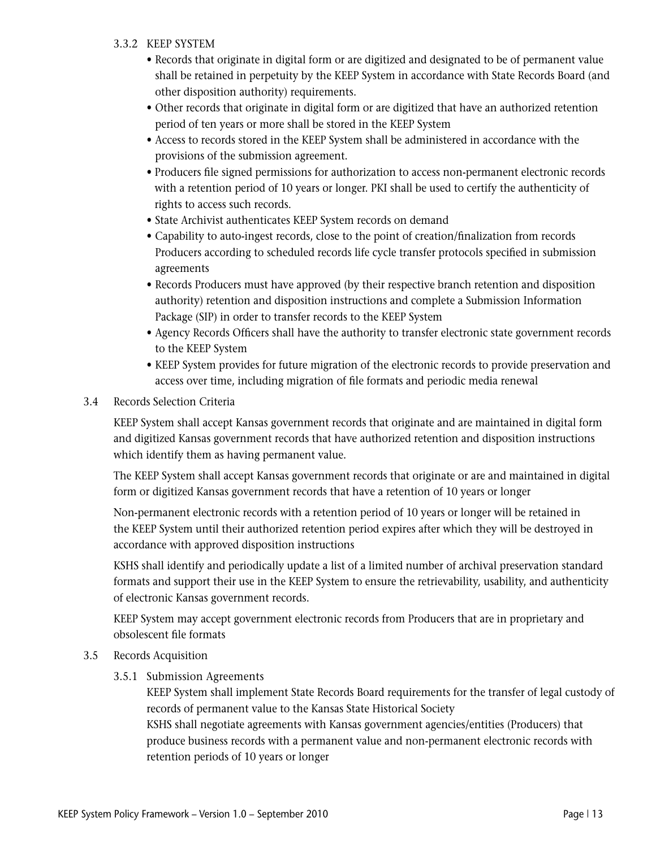## 3.3.2 KEEP SYSTEM

- Records that originate in digital form or are digitized and designated to be of permanent value shall be retained in perpetuity by the KEEP System in accordance with State Records Board (and other disposition authority) requirements.
- Other records that originate in digital form or are digitized that have an authorized retention period of ten years or more shall be stored in the KEEP System
- Access to records stored in the KEEP System shall be administered in accordance with the provisions of the submission agreement.
- Producers file signed permissions for authorization to access non-permanent electronic records with a retention period of 10 years or longer. PKI shall be used to certify the authenticity of rights to access such records.
- State Archivist authenticates KEEP System records on demand
- Capability to auto-ingest records, close to the point of creation/finalization from records Producers according to scheduled records life cycle transfer protocols specified in submission agreements
- Records Producers must have approved (by their respective branch retention and disposition authority) retention and disposition instructions and complete a Submission Information Package (SIP) in order to transfer records to the KEEP System
- Agency Records Officers shall have the authority to transfer electronic state government records to the KEEP System
- KEEP System provides for future migration of the electronic records to provide preservation and access over time, including migration of file formats and periodic media renewal
- 3.4 Records Selection Criteria

 KEEP System shall accept Kansas government records that originate and are maintained in digital form and digitized Kansas government records that have authorized retention and disposition instructions which identify them as having permanent value.

 The KEEP System shall accept Kansas government records that originate or are and maintained in digital form or digitized Kansas government records that have a retention of 10 years or longer

 Non-permanent electronic records with a retention period of 10 years or longer will be retained in the KEEP System until their authorized retention period expires after which they will be destroyed in accordance with approved disposition instructions

 KSHS shall identify and periodically update a list of a limited number of archival preservation standard formats and support their use in the KEEP System to ensure the retrievability, usability, and authenticity of electronic Kansas government records.

 KEEP System may accept government electronic records from Producers that are in proprietary and obsolescent file formats

- 3.5 Records Acquisition
	- 3.5.1 Submission Agreements

 KEEP System shall implement State Records Board requirements for the transfer of legal custody of records of permanent value to the Kansas State Historical Society

 KSHS shall negotiate agreements with Kansas government agencies/entities (Producers) that produce business records with a permanent value and non-permanent electronic records with retention periods of 10 years or longer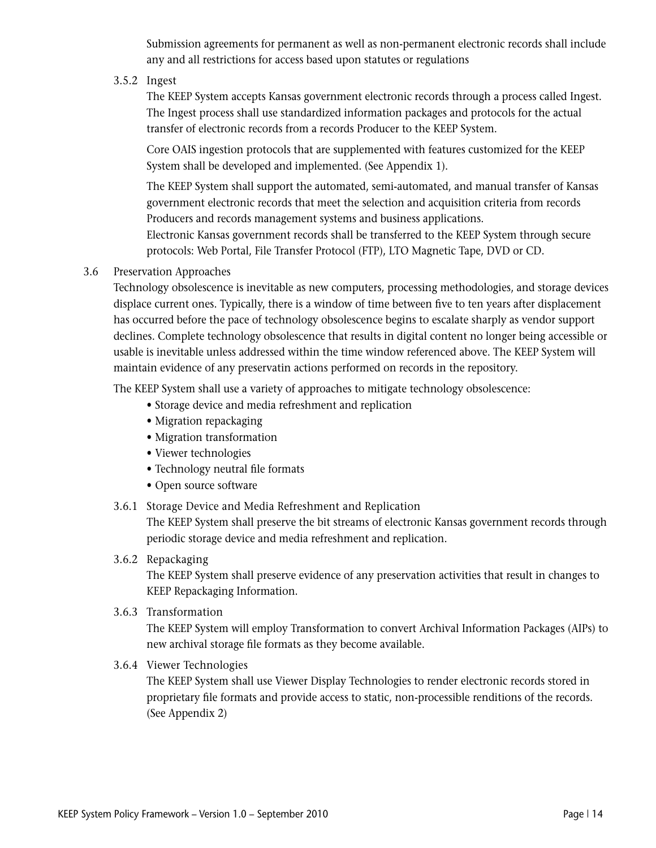Submission agreements for permanent as well as non-permanent electronic records shall include any and all restrictions for access based upon statutes or regulations

3.5.2 Ingest

 The KEEP System accepts Kansas government electronic records through a process called Ingest. The Ingest process shall use standardized information packages and protocols for the actual transfer of electronic records from a records Producer to the KEEP System.

 Core OAIS ingestion protocols that are supplemented with features customized for the KEEP System shall be developed and implemented. (See Appendix 1).

 The KEEP System shall support the automated, semi-automated, and manual transfer of Kansas government electronic records that meet the selection and acquisition criteria from records Producers and records management systems and business applications.

 Electronic Kansas government records shall be transferred to the KEEP System through secure protocols: Web Portal, File Transfer Protocol (FTP), LTO Magnetic Tape, DVD or CD.

3.6 Preservation Approaches

 Technology obsolescence is inevitable as new computers, processing methodologies, and storage devices displace current ones. Typically, there is a window of time between five to ten years after displacement has occurred before the pace of technology obsolescence begins to escalate sharply as vendor support declines. Complete technology obsolescence that results in digital content no longer being accessible or usable is inevitable unless addressed within the time window referenced above. The KEEP System will maintain evidence of any preservatin actions performed on records in the repository.

The KEEP System shall use a variety of approaches to mitigate technology obsolescence:

- Storage device and media refreshment and replication
- Migration repackaging
- Migration transformation
- Viewer technologies
- Technology neutral file formats
- Open source software
- 3.6.1 Storage Device and Media Refreshment and Replication

 The KEEP System shall preserve the bit streams of electronic Kansas government records through periodic storage device and media refreshment and replication.

3.6.2 Repackaging

 The KEEP System shall preserve evidence of any preservation activities that result in changes to KEEP Repackaging Information.

3.6.3 Transformation

 The KEEP System will employ Transformation to convert Archival Information Packages (AIPs) to new archival storage file formats as they become available.

3.6.4 Viewer Technologies

 The KEEP System shall use Viewer Display Technologies to render electronic records stored in proprietary file formats and provide access to static, non-processible renditions of the records. (See Appendix 2)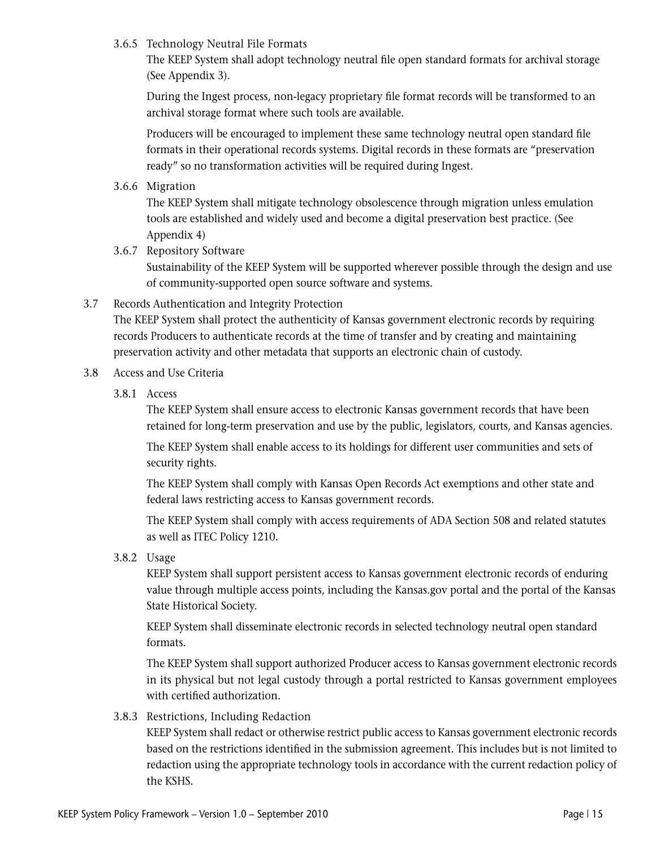## 3.6.5 Technology Neutral File Formats

 The KEEP System shall adopt technology neutral file open standard formats for archival storage (See Appendix 3).

 During the Ingest process, non-legacy proprietary file format records will be transformed to an archival storage format where such tools are available.

 Producers will be encouraged to implement these same technology neutral open standard file formats in their operational records systems. Digital records in these formats are "preservation ready" so no transformation activities will be required during Ingest.

3.6.6 Migration

 The KEEP System shall mitigate technology obsolescence through migration unless emulation tools are established and widely used and become a digital preservation best practice. (See Appendix 4)

3.6.7 Repository Software

 Sustainability of the KEEP System will be supported wherever possible through the design and use of community-supported open source software and systems.

3.7 Records Authentication and Integrity Protection

 The KEEP System shall protect the authenticity of Kansas government electronic records by requiring records Producers to authenticate records at the time of transfer and by creating and maintaining preservation activity and other metadata that supports an electronic chain of custody.

- 3.8 Access and Use Criteria
	- 3.8.1 Access

 The KEEP System shall ensure access to electronic Kansas government records that have been retained for long-term preservation and use by the public, legislators, courts, and Kansas agencies.

 The KEEP System shall enable access to its holdings for different user communities and sets of security rights.

 The KEEP System shall comply with Kansas Open Records Act exemptions and other state and federal laws restricting access to Kansas government records.

 The KEEP System shall comply with access requirements of ADA Section 508 and related statutes as well as ITEC Policy 1210.

3.8.2 Usage

 KEEP System shall support persistent access to Kansas government electronic records of enduring value through multiple access points, including the Kansas.gov portal and the portal of the Kansas State Historical Society.

 KEEP System shall disseminate electronic records in selected technology neutral open standard formats.

 The KEEP System shall support authorized Producer access to Kansas government electronic records in its physical but not legal custody through a portal restricted to Kansas government employees with certified authorization.

3.8.3 Restrictions, Including Redaction

 KEEP System shall redact or otherwise restrict public access to Kansas government electronic records based on the restrictions identified in the submission agreement. This includes but is not limited to redaction using the appropriate technology tools in accordance with the current redaction policy of the KSHS.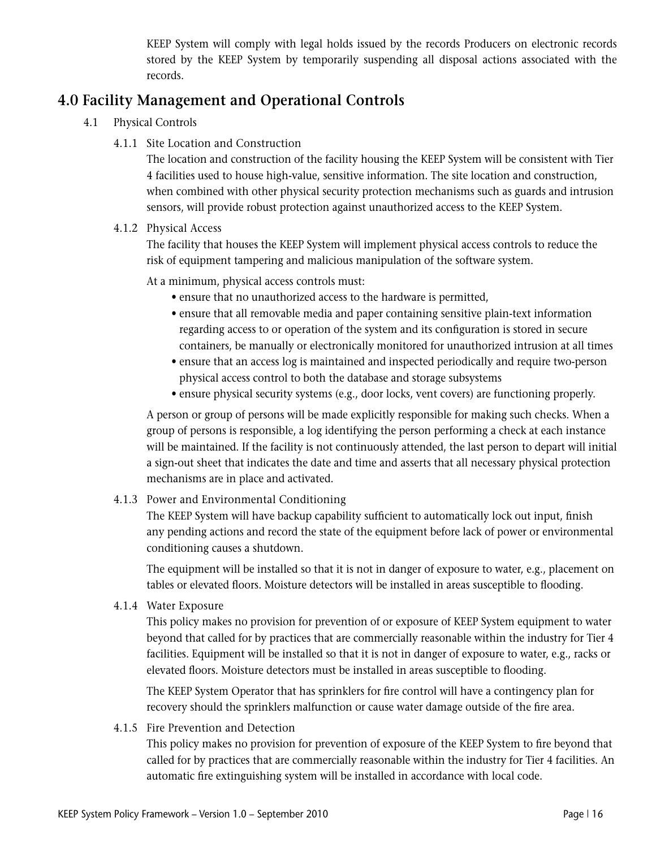KEEP System will comply with legal holds issued by the records Producers on electronic records stored by the KEEP System by temporarily suspending all disposal actions associated with the records.

## **4.0 Facility Management and Operational Controls**

- 4.1 Physical Controls
	- 4.1.1 Site Location and Construction

 The location and construction of the facility housing the KEEP System will be consistent with Tier 4 facilities used to house high-value, sensitive information. The site location and construction, when combined with other physical security protection mechanisms such as guards and intrusion sensors, will provide robust protection against unauthorized access to the KEEP System.

## 4.1.2 Physical Access

 The facility that houses the KEEP System will implement physical access controls to reduce the risk of equipment tampering and malicious manipulation of the software system.

At a minimum, physical access controls must:

- ensure that no unauthorized access to the hardware is permitted,
- ensure that all removable media and paper containing sensitive plain-text information regarding access to or operation of the system and its configuration is stored in secure containers, be manually or electronically monitored for unauthorized intrusion at all times
- ensure that an access log is maintained and inspected periodically and require two-person physical access control to both the database and storage subsystems
- ensure physical security systems (e.g., door locks, vent covers) are functioning properly.

 A person or group of persons will be made explicitly responsible for making such checks. When a group of persons is responsible, a log identifying the person performing a check at each instance will be maintained. If the facility is not continuously attended, the last person to depart will initial a sign-out sheet that indicates the date and time and asserts that all necessary physical protection mechanisms are in place and activated.

4.1.3 Power and Environmental Conditioning

 The KEEP System will have backup capability sufficient to automatically lock out input, finish any pending actions and record the state of the equipment before lack of power or environmental conditioning causes a shutdown.

 The equipment will be installed so that it is not in danger of exposure to water, e.g., placement on tables or elevated floors. Moisture detectors will be installed in areas susceptible to flooding.

4.1.4 Water Exposure

 This policy makes no provision for prevention of or exposure of KEEP System equipment to water beyond that called for by practices that are commercially reasonable within the industry for Tier 4 facilities. Equipment will be installed so that it is not in danger of exposure to water, e.g., racks or elevated floors. Moisture detectors must be installed in areas susceptible to flooding.

 The KEEP System Operator that has sprinklers for fire control will have a contingency plan for recovery should the sprinklers malfunction or cause water damage outside of the fire area.

4.1.5 Fire Prevention and Detection

 This policy makes no provision for prevention of exposure of the KEEP System to fire beyond that called for by practices that are commercially reasonable within the industry for Tier 4 facilities. An automatic fire extinguishing system will be installed in accordance with local code.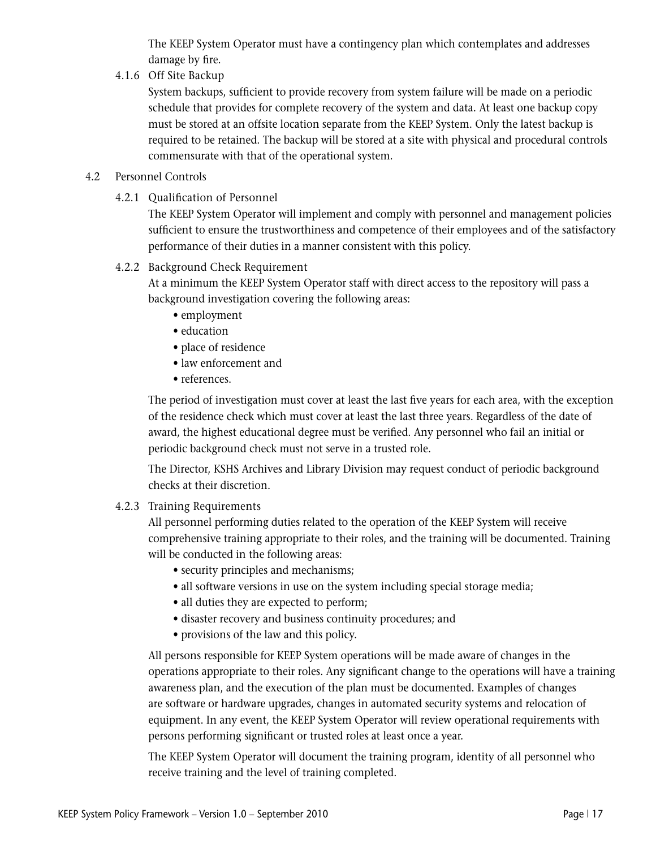The KEEP System Operator must have a contingency plan which contemplates and addresses damage by fire.

4.1.6 Off Site Backup

 System backups, sufficient to provide recovery from system failure will be made on a periodic schedule that provides for complete recovery of the system and data. At least one backup copy must be stored at an offsite location separate from the KEEP System. Only the latest backup is required to be retained. The backup will be stored at a site with physical and procedural controls commensurate with that of the operational system.

## 4.2 Personnel Controls

4.2.1 Qualification of Personnel

 The KEEP System Operator will implement and comply with personnel and management policies sufficient to ensure the trustworthiness and competence of their employees and of the satisfactory performance of their duties in a manner consistent with this policy.

4.2.2 Background Check Requirement

 At a minimum the KEEP System Operator staff with direct access to the repository will pass a background investigation covering the following areas:

- employment
- education
- place of residence
- law enforcement and
- references.

 The period of investigation must cover at least the last five years for each area, with the exception of the residence check which must cover at least the last three years. Regardless of the date of award, the highest educational degree must be verified. Any personnel who fail an initial or periodic background check must not serve in a trusted role.

 The Director, KSHS Archives and Library Division may request conduct of periodic background checks at their discretion.

4.2.3 Training Requirements

 All personnel performing duties related to the operation of the KEEP System will receive comprehensive training appropriate to their roles, and the training will be documented. Training will be conducted in the following areas:

- security principles and mechanisms;
- all software versions in use on the system including special storage media;
- all duties they are expected to perform;
- disaster recovery and business continuity procedures; and
- provisions of the law and this policy.

 All persons responsible for KEEP System operations will be made aware of changes in the operations appropriate to their roles. Any significant change to the operations will have a training awareness plan, and the execution of the plan must be documented. Examples of changes are software or hardware upgrades, changes in automated security systems and relocation of equipment. In any event, the KEEP System Operator will review operational requirements with persons performing significant or trusted roles at least once a year.

 The KEEP System Operator will document the training program, identity of all personnel who receive training and the level of training completed.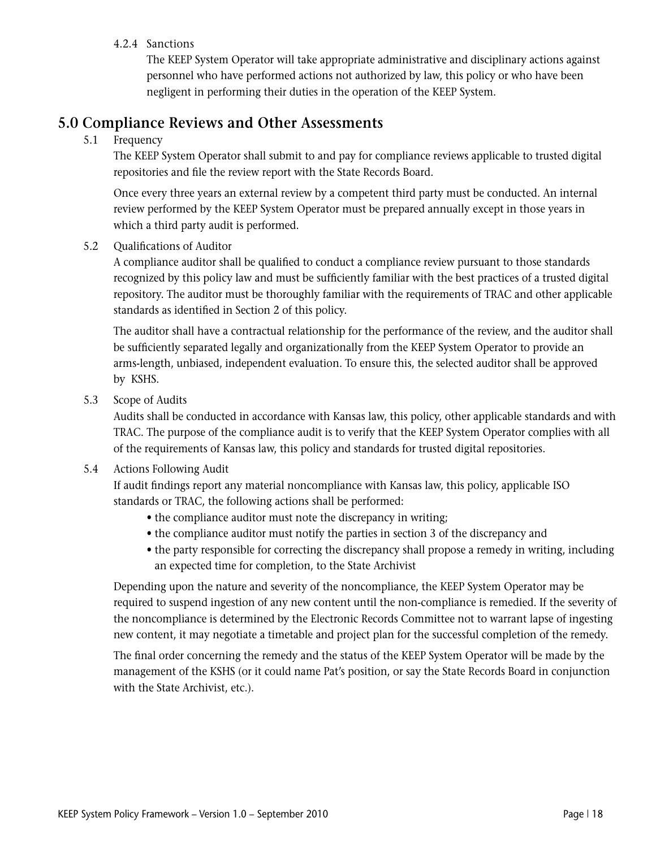## 4.2.4 Sanctions

 The KEEP System Operator will take appropriate administrative and disciplinary actions against personnel who have performed actions not authorized by law, this policy or who have been negligent in performing their duties in the operation of the KEEP System.

## **5.0 Compliance Reviews and Other Assessments**

## 5.1 Frequency

 The KEEP System Operator shall submit to and pay for compliance reviews applicable to trusted digital repositories and file the review report with the State Records Board.

 Once every three years an external review by a competent third party must be conducted. An internal review performed by the KEEP System Operator must be prepared annually except in those years in which a third party audit is performed.

## 5.2 Qualifications of Auditor

 A compliance auditor shall be qualified to conduct a compliance review pursuant to those standards recognized by this policy law and must be sufficiently familiar with the best practices of a trusted digital repository. The auditor must be thoroughly familiar with the requirements of TRAC and other applicable standards as identified in Section 2 of this policy.

 The auditor shall have a contractual relationship for the performance of the review, and the auditor shall be sufficiently separated legally and organizationally from the KEEP System Operator to provide an arms-length, unbiased, independent evaluation. To ensure this, the selected auditor shall be approved by KSHS.

5.3 Scope of Audits

 Audits shall be conducted in accordance with Kansas law, this policy, other applicable standards and with TRAC. The purpose of the compliance audit is to verify that the KEEP System Operator complies with all of the requirements of Kansas law, this policy and standards for trusted digital repositories.

## 5.4 Actions Following Audit

 If audit findings report any material noncompliance with Kansas law, this policy, applicable ISO standards or TRAC, the following actions shall be performed:

- the compliance auditor must note the discrepancy in writing;
- the compliance auditor must notify the parties in section 3 of the discrepancy and
- the party responsible for correcting the discrepancy shall propose a remedy in writing, including an expected time for completion, to the State Archivist

 Depending upon the nature and severity of the noncompliance, the KEEP System Operator may be required to suspend ingestion of any new content until the non-compliance is remedied. If the severity of the noncompliance is determined by the Electronic Records Committee not to warrant lapse of ingesting new content, it may negotiate a timetable and project plan for the successful completion of the remedy.

 The final order concerning the remedy and the status of the KEEP System Operator will be made by the management of the KSHS (or it could name Pat's position, or say the State Records Board in conjunction with the State Archivist, etc.).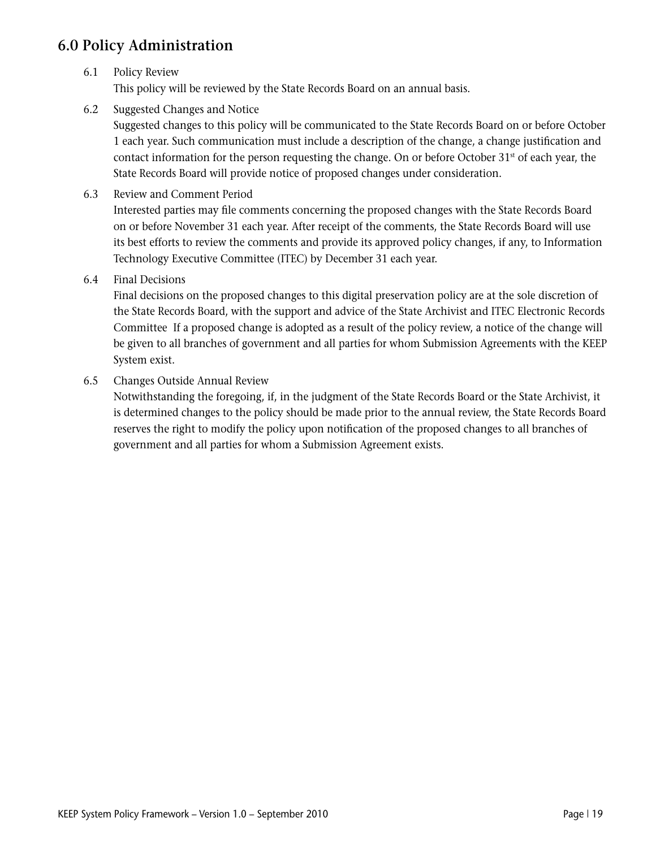## **6.0 Policy Administration**

## 6.1 Policy Review

This policy will be reviewed by the State Records Board on an annual basis.

6.2 Suggested Changes and Notice

 Suggested changes to this policy will be communicated to the State Records Board on or before October 1 each year. Such communication must include a description of the change, a change justification and contact information for the person requesting the change. On or before October  $31<sup>st</sup>$  of each year, the State Records Board will provide notice of proposed changes under consideration.

6.3 Review and Comment Period

 Interested parties may file comments concerning the proposed changes with the State Records Board on or before November 31 each year. After receipt of the comments, the State Records Board will use its best efforts to review the comments and provide its approved policy changes, if any, to Information Technology Executive Committee (ITEC) by December 31 each year.

6.4 Final Decisions

 Final decisions on the proposed changes to this digital preservation policy are at the sole discretion of the State Records Board, with the support and advice of the State Archivist and ITEC Electronic Records Committee If a proposed change is adopted as a result of the policy review, a notice of the change will be given to all branches of government and all parties for whom Submission Agreements with the KEEP System exist.

6.5 Changes Outside Annual Review

 Notwithstanding the foregoing, if, in the judgment of the State Records Board or the State Archivist, it is determined changes to the policy should be made prior to the annual review, the State Records Board reserves the right to modify the policy upon notification of the proposed changes to all branches of government and all parties for whom a Submission Agreement exists.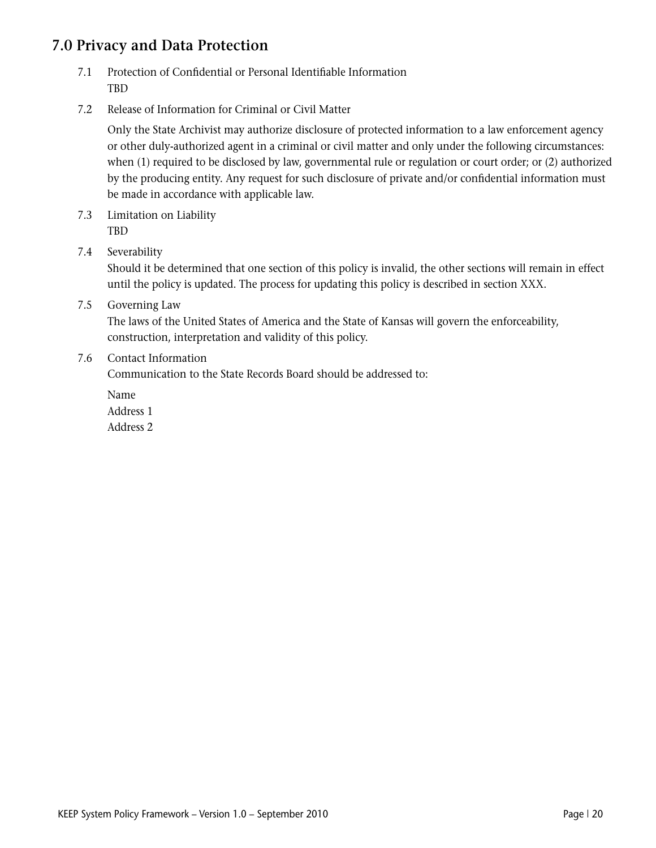## **7.0 Privacy and Data Protection**

- 7.1 Protection of Confidential or Personal Identifiable Information TBD
- 7.2 Release of Information for Criminal or Civil Matter

 Only the State Archivist may authorize disclosure of protected information to a law enforcement agency or other duly-authorized agent in a criminal or civil matter and only under the following circumstances: when (1) required to be disclosed by law, governmental rule or regulation or court order; or (2) authorized by the producing entity. Any request for such disclosure of private and/or confidential information must be made in accordance with applicable law.

- 7.3 Limitation on Liability TBD
- 7.4 Severability

 Should it be determined that one section of this policy is invalid, the other sections will remain in effect until the policy is updated. The process for updating this policy is described in section XXX.

## 7.5 Governing Law

 The laws of the United States of America and the State of Kansas will govern the enforceability, construction, interpretation and validity of this policy.

## 7.6 Contact Information

Communication to the State Records Board should be addressed to:

 Name Address 1

Address 2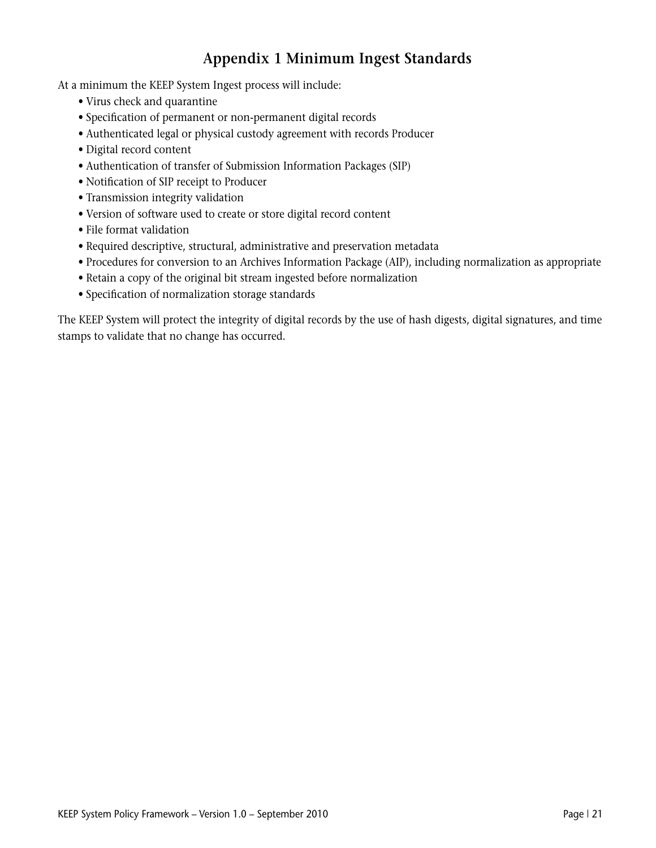## **Appendix 1 Minimum Ingest Standards**

At a minimum the KEEP System Ingest process will include:

- Virus check and quarantine
- Specification of permanent or non-permanent digital records
- Authenticated legal or physical custody agreement with records Producer
- Digital record content
- Authentication of transfer of Submission Information Packages (SIP)
- Notification of SIP receipt to Producer
- Transmission integrity validation
- Version of software used to create or store digital record content
- File format validation
- Required descriptive, structural, administrative and preservation metadata
- Procedures for conversion to an Archives Information Package (AIP), including normalization as appropriate
- Retain a copy of the original bit stream ingested before normalization
- Specification of normalization storage standards

The KEEP System will protect the integrity of digital records by the use of hash digests, digital signatures, and time stamps to validate that no change has occurred.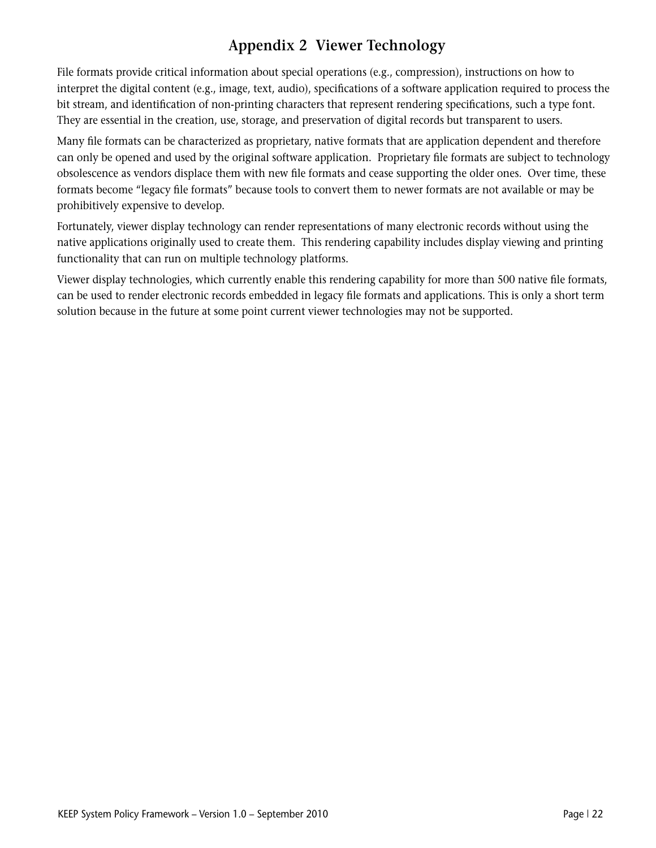## **Appendix 2 Viewer Technology**

File formats provide critical information about special operations (e.g., compression), instructions on how to interpret the digital content (e.g., image, text, audio), specifications of a software application required to process the bit stream, and identification of non-printing characters that represent rendering specifications, such a type font. They are essential in the creation, use, storage, and preservation of digital records but transparent to users.

Many file formats can be characterized as proprietary, native formats that are application dependent and therefore can only be opened and used by the original software application. Proprietary file formats are subject to technology obsolescence as vendors displace them with new file formats and cease supporting the older ones. Over time, these formats become "legacy file formats" because tools to convert them to newer formats are not available or may be prohibitively expensive to develop.

Fortunately, viewer display technology can render representations of many electronic records without using the native applications originally used to create them. This rendering capability includes display viewing and printing functionality that can run on multiple technology platforms.

Viewer display technologies, which currently enable this rendering capability for more than 500 native file formats, can be used to render electronic records embedded in legacy file formats and applications. This is only a short term solution because in the future at some point current viewer technologies may not be supported.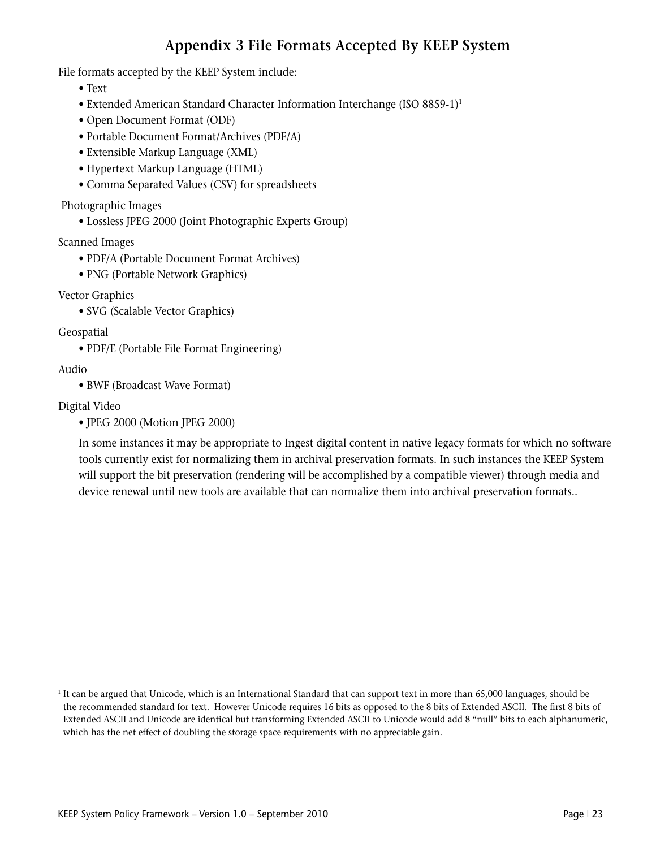## **Appendix 3 File Formats Accepted By KEEP System**

File formats accepted by the KEEP System include:

- Text
- Extended American Standard Character Information Interchange (ISO 8859-1)<sup>1</sup>
- Open Document Format (ODF)
- Portable Document Format/Archives (PDF/A)
- Extensible Markup Language (XML)
- Hypertext Markup Language (HTML)
- Comma Separated Values (CSV) for spreadsheets

Photographic Images

 • Lossless JPEG 2000 (Joint Photographic Experts Group)

Scanned Images

- PDF/A (Portable Document Format Archives)
- PNG (Portable Network Graphics)

Vector Graphics

 • SVG (Scalable Vector Graphics)

Geospatial

 • PDF/E (Portable File Format Engineering)

Audio

 • BWF (Broadcast Wave Format)

Digital Video

 • JPEG 2000 (Motion JPEG 2000)

 In some instances it may be appropriate to Ingest digital content in native legacy formats for which no software tools currently exist for normalizing them in archival preservation formats. In such instances the KEEP System will support the bit preservation (rendering will be accomplished by a compatible viewer) through media and device renewal until new tools are available that can normalize them into archival preservation formats..

<sup>1</sup> It can be argued that Unicode, which is an International Standard that can support text in more than 65,000 languages, should be the recommended standard for text. However Unicode requires 16 bits as opposed to the 8 bits of Extended ASCII. The first 8 bits of Extended ASCII and Unicode are identical but transforming Extended ASCII to Unicode would add 8 "null" bits to each alphanumeric, which has the net effect of doubling the storage space requirements with no appreciable gain.